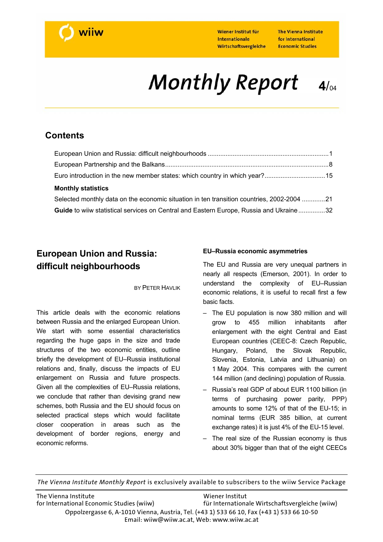

The Vienna Institute for International **Economic Studies** 

# **Monthly Report**  $4/04$

## **Contents**

| <b>Monthly statistics</b>                                                                 |  |
|-------------------------------------------------------------------------------------------|--|
| Selected monthly data on the economic situation in ten transition countries, 2002-2004 21 |  |

**Guide** to wiiw statistical services on Central and Eastern Europe, Russia and Ukraine...............32

## **European Union and Russia: difficult neighbourhoods**

#### **BY PETER HAVLIK**

This article deals with the economic relations between Russia and the enlarged European Union. We start with some essential characteristics regarding the huge gaps in the size and trade structures of the two economic entities, outline briefly the development of EU–Russia institutional relations and, finally, discuss the impacts of EU enlargement on Russia and future prospects. Given all the complexities of EU–Russia relations, we conclude that rather than devising grand new schemes, both Russia and the EU should focus on selected practical steps which would facilitate closer cooperation in areas such as the development of border regions, energy and economic reforms.

### **EU–Russia economic asymmetries**

The EU and Russia are very unequal partners in nearly all respects (Emerson, 2001). In order to understand the complexity of EU–Russian economic relations, it is useful to recall first a few basic facts.

- The EU population is now 380 million and will grow to 455 million inhabitants after enlargement with the eight Central and East European countries (CEEC-8: Czech Republic, Hungary, Poland, the Slovak Republic, Slovenia, Estonia, Latvia and Lithuania) on 1 May 2004. This compares with the current 144 million (and declining) population of Russia.
- Russia's real GDP of about EUR 1100 billion (in terms of purchasing power parity, PPP) amounts to some 12% of that of the EU-15; in nominal terms (EUR 385 billion, at current exchange rates) it is just 4% of the EU-15 level.
- The real size of the Russian economy is thus about 30% bigger than that of the eight CEECs

*The Vienna Institute Monthly Report* is exclusively available to subscribers to the wiiw Service Package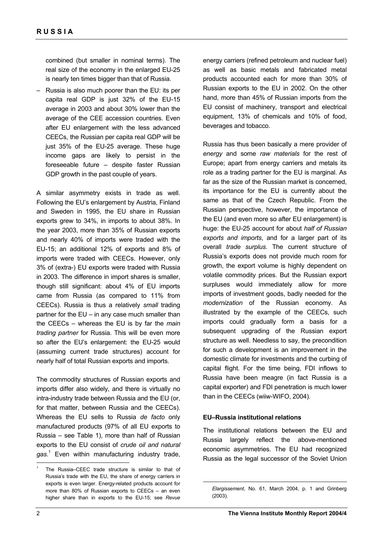combined (but smaller in nominal terms). The real size of the economy in the enlarged EU-25 is nearly ten times bigger than that of Russia.

– Russia is also much poorer than the EU: its per capita real GDP is just 32% of the EU-15 average in 2003 and about 30% lower than the average of the CEE accession countries. Even after EU enlargement with the less advanced CEECs, the Russian per capita real GDP will be just 35% of the EU-25 average. These huge income gaps are likely to persist in the foreseeable future – despite faster Russian GDP growth in the past couple of years.

A similar asymmetry exists in trade as well. Following the EU's enlargement by Austria, Finland and Sweden in 1995, the EU share in Russian exports grew to 34%, in imports to about 38%. In the year 2003, more than 35% of Russian exports and nearly 40% of imports were traded with the EU-15; an additional 12% of exports and 8% of imports were traded with CEECs. However, only 3% of (extra-) EU exports were traded with Russia in 2003. The difference in import shares is smaller, though still significant: about 4% of EU imports came from Russia (as compared to 11% from CEECs). Russia is thus a relatively *small* trading partner for the EU – in any case much smaller than the CEECs – whereas the EU is by far the *main trading partner* for Russia. This will be even more so after the EU's enlargement: the EU-25 would (assuming current trade structures) account for nearly half of total Russian exports and imports.

The commodity structures of Russian exports and imports differ also widely, and there is virtually no intra-industry trade between Russia and the EU (or, for that matter, between Russia and the CEECs). Whereas the EU sells to Russia *de facto* only manufactured products (97% of all EU exports to Russia – see Table 1), more than half of Russian exports to the EU consist of *crude oil and natural gas*. 1 Even within manufacturing industry trade,

energy carriers (refined petroleum and nuclear fuel) as well as basic metals and fabricated metal products accounted each for more than 30% of Russian exports to the EU in 2002. On the other hand, more than 45% of Russian imports from the EU consist of machinery, transport and electrical equipment, 13% of chemicals and 10% of food, beverages and tobacco.

Russia has thus been basically a mere provider of *energy* and some *raw materials* for the rest of Europe; apart from energy carriers and metals its role as a trading partner for the EU is marginal. As far as the size of the Russian market is concerned, its importance for the EU is currently about the same as that of the Czech Republic. From the Russian perspective, however, the importance of the EU (and even more so after EU enlargement) is huge: the EU-25 account for about *half of Russian exports and imports*, and for a larger part of its overall *trade surplus*. The current structure of Russia's exports does not provide much room for growth, the export volume is highly dependent on volatile commodity prices. But the Russian export surpluses would immediately allow for more imports of investment goods, badly needed for the *modernization* of the Russian economy. As illustrated by the example of the CEECs, such imports could gradually form a basis for a subsequent upgrading of the Russian export structure as well. Needless to say, the precondition for such a development is an improvement in the domestic climate for investments and the curbing of capital flight. For the time being, FDI inflows to Russia have been meagre (in fact Russia is a capital exporter) and FDI penetration is much lower than in the CEECs (wiiw-WIFO, 2004).

#### **EU–Russia institutional relations**

 $\overline{a}$ 

The institutional relations between the EU and Russia largely reflect the above-mentioned economic asymmetries. The EU had recognized Russia as the legal successor of the Soviet Union

 $\overline{a}$ 

<sup>1</sup> The Russia–CEEC trade structure is similar to that of Russia's trade with the EU, the share of energy carriers in exports is even larger. Energy-related products account for more than 80% of Russian exports to CEECs – an even higher share than in exports to the EU-15; see *Revue* 

*Elargissement*, No. 61, March 2004, p. 1 and Grinberg (2003).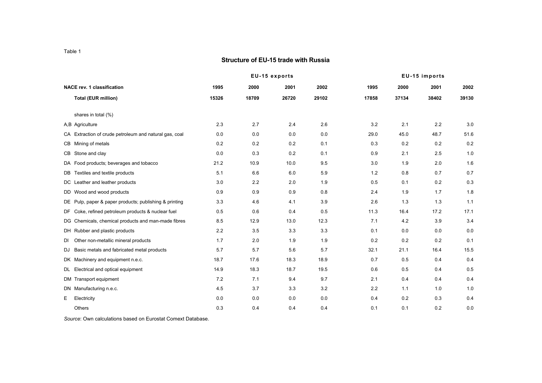#### **Structure of EU-15 trade with Russia**

|    |                                                        |       |       | EU-15 exports |       |       |       | EU-15 imports |       |
|----|--------------------------------------------------------|-------|-------|---------------|-------|-------|-------|---------------|-------|
|    | <b>NACE rev. 1 classification</b>                      | 1995  | 2000  | 2001          | 2002  | 1995  | 2000  | 2001          | 2002  |
|    | <b>Total (EUR million)</b>                             | 15326 | 18709 | 26720         | 29102 | 17858 | 37134 | 38402         | 39130 |
|    | shares in total (%)                                    |       |       |               |       |       |       |               |       |
|    |                                                        | 2.3   | 2.7   |               |       | 3.2   |       |               |       |
|    | A,B Agriculture                                        |       |       | 2.4           | 2.6   |       | 2.1   | 2.2           | 3.0   |
|    | CA Extraction of crude petroleum and natural gas, coal | 0.0   | 0.0   | 0.0           | 0.0   | 29.0  | 45.0  | 48.7          | 51.6  |
|    | CB Mining of metals                                    | 0.2   | 0.2   | 0.2           | 0.1   | 0.3   | 0.2   | $0.2\,$       | 0.2   |
|    | CB Stone and clay                                      | 0.0   | 0.3   | 0.2           | 0.1   | 0.9   | 2.1   | 2.5           | 1.0   |
|    | DA Food products; beverages and tobacco                | 21.2  | 10.9  | 10.0          | 9.5   | 3.0   | 1.9   | 2.0           | 1.6   |
|    | DB Textiles and textile products                       | 5.1   | 6.6   | 6.0           | 5.9   | 1.2   | 0.8   | 0.7           | 0.7   |
|    | DC Leather and leather products                        | 3.0   | 2.2   | 2.0           | 1.9   | 0.5   | 0.1   | 0.2           | 0.3   |
|    | DD Wood and wood products                              | 0.9   | 0.9   | 0.9           | 0.8   | 2.4   | 1.9   | 1.7           | 1.8   |
|    | DE Pulp, paper & paper products; publishing & printing | 3.3   | 4.6   | 4.1           | 3.9   | 2.6   | 1.3   | 1.3           | 1.1   |
|    | DF Coke, refined petroleum products & nuclear fuel     | 0.5   | 0.6   | 0.4           | 0.5   | 11.3  | 16.4  | 17.2          | 17.1  |
|    | DG Chemicals, chemical products and man-made fibres    | 8.5   | 12.9  | 13.0          | 12.3  | 7.1   | 4.2   | 3.9           | 3.4   |
|    | DH Rubber and plastic products                         | 2.2   | 3.5   | 3.3           | 3.3   | 0.1   | 0.0   | 0.0           | 0.0   |
| DI | Other non-metallic mineral products                    | 1.7   | 2.0   | 1.9           | 1.9   | 0.2   | 0.2   | $0.2\,$       | 0.1   |
| DJ | Basic metals and fabricated metal products             | 5.7   | 5.7   | 5.6           | 5.7   | 32.1  | 21.1  | 16.4          | 15.5  |
|    | DK Machinery and equipment n.e.c.                      | 18.7  | 17.6  | 18.3          | 18.9  | 0.7   | 0.5   | 0.4           | 0.4   |
|    | DL Electrical and optical equipment                    | 14.9  | 18.3  | 18.7          | 19.5  | 0.6   | 0.5   | 0.4           | 0.5   |
|    | DM Transport equipment                                 | 7.2   | 7.1   | 9.4           | 9.7   | 2.1   | 0.4   | 0.4           | 0.4   |
|    | DN Manufacturing n.e.c.                                | 4.5   | 3.7   | 3.3           | 3.2   | 2.2   | 1.1   | 1.0           | 1.0   |
| E  | Electricity                                            | 0.0   | 0.0   | 0.0           | 0.0   | 0.4   | 0.2   | 0.3           | 0.4   |
|    | Others                                                 | 0.3   | 0.4   | 0.4           | 0.4   | 0.1   | 0.1   | 0.2           | 0.0   |

*Source*: Own calculations based on Eurostat Comext Database.

Table 1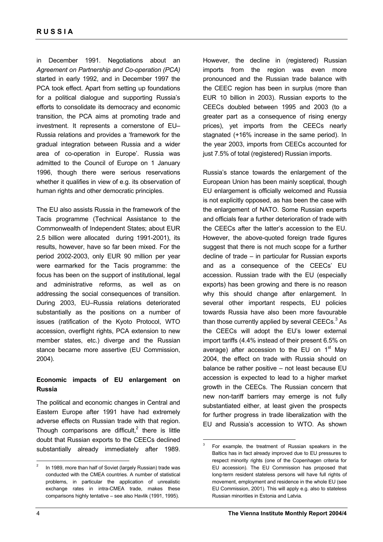in December 1991. Negotiations about an *Agreement on Partnership and Co-operation (PCA)* started in early 1992, and in December 1997 the PCA took effect. Apart from setting up foundations for a political dialogue and supporting Russia's efforts to consolidate its democracy and economic transition, the PCA aims at promoting trade and investment. It represents a cornerstone of EU– Russia relations and provides a 'framework for the gradual integration between Russia and a wider area of co-operation in Europe'. Russia was admitted to the Council of Europe on 1 January 1996, though there were serious reservations whether it qualifies in view of e.g. its observation of human rights and other democratic principles.

The EU also assists Russia in the framework of the Tacis programme (Technical Assistance to the Commonwealth of Independent States; about EUR 2.5 billion were allocated during 1991-2001), its results, however, have so far been mixed. For the period 2002-2003, only EUR 90 million per year were earmarked for the Tacis programme: the focus has been on the support of institutional, legal and administrative reforms, as well as on addressing the social consequences of transition. During 2003, EU–Russia relations deteriorated substantially as the positions on a number of issues (ratification of the Kyoto Protocol, WTO accession, overflight rights, PCA extension to new member states, etc.) diverge and the Russian stance became more assertive (EU Commission, 2004).

## **Economic impacts of EU enlargement on Russia**

The political and economic changes in Central and Eastern Europe after 1991 have had extremely adverse effects on Russian trade with that region. Though comparisons are difficult, $^2$  there is little doubt that Russian exports to the CEECs declined substantially already immediately after 1989.

However, the decline in (registered) Russian imports from the region was even more pronounced and the Russian trade balance with the CEEC region has been in surplus (more than EUR 10 billion in 2003). Russian exports to the CEECs doubled between 1995 and 2003 (to a greater part as a consequence of rising energy prices), yet imports from the CEECs nearly stagnated (+16% increase in the same period). In the year 2003, imports from CEECs accounted for just 7.5% of total (registered) Russian imports.

Russia's stance towards the enlargement of the European Union has been mainly sceptical, though EU enlargement is officially welcomed and Russia is not explicitly opposed, as has been the case with the enlargement of NATO. Some Russian experts and officials fear a further deterioration of trade with the CEECs after the latter's accession to the EU. However, the above-quoted foreign trade figures suggest that there is not much scope for a further decline of trade – in particular for Russian exports and as a consequence of the CEECs' EU accession. Russian trade with the EU (especially exports) has been growing and there is no reason why this should change after enlargement. In several other important respects, EU policies towards Russia have also been more favourable than those currently applied by several CEECs. $3$  As the CEECs will adopt the EU's lower external import tariffs (4.4% instead of their present 6.5% on average) after accession to the EU on  $1<sup>st</sup>$  May 2004, the effect on trade with Russia should on balance be rather positive – not least because EU accession is expected to lead to a higher market growth in the CEECs. The Russian concern that new non-tariff barriers may emerge is not fully substantiated either, at least given the prospects for further progress in trade liberalization with the EU and Russia's accession to WTO. As shown

 $\overline{a}$ 

 $\overline{a}$ 

<sup>2</sup> In 1989, more than half of Soviet (largely Russian) trade was conducted with the CMEA countries. A number of statistical problems, in particular the application of unrealistic exchange rates in intra-CMEA trade, makes these comparisons highly tentative – see also Havlik (1991, 1995).

<sup>3</sup> For example, the treatment of Russian speakers in the Baltics has in fact already improved due to EU pressures to respect minority rights (one of the Copenhagen criteria for EU accession). The EU Commission has proposed that long-term resident stateless persons will have full rights of movement, employment and residence in the whole EU (see EU Commission, 2001). This will apply e.g. also to stateless Russian minorities in Estonia and Latvia.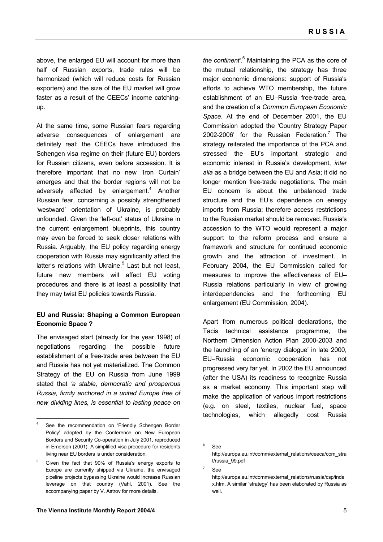above, the enlarged EU will account for more than half of Russian exports, trade rules will be harmonized (which will reduce costs for Russian exporters) and the size of the EU market will grow faster as a result of the CEECs' income catchingup.

At the same time, some Russian fears regarding adverse consequences of enlargement are definitely real: the CEECs have introduced the Schengen visa regime on their (future EU) borders for Russian citizens, even before accession. It is therefore important that no new 'Iron Curtain' emerges and that the border regions will not be adversely affected by enlargement.<sup>4</sup> Another Russian fear, concerning a possibly strengthened 'westward' orientation of Ukraine, is probably unfounded. Given the 'left-out' status of Ukraine in the current enlargement blueprints, this country may even be forced to seek closer relations with Russia. Arguably, the EU policy regarding energy cooperation with Russia may significantly affect the latter's relations with Ukraine.<sup>5</sup> Last but not least, future new members will affect EU voting procedures and there is at least a possibility that they may twist EU policies towards Russia.

## **EU and Russia: Shaping a Common European Economic Space ?**

The envisaged start (already for the year 1998) of negotiations regarding the possible future establishment of a free-trade area between the EU and Russia has not yet materialized. The Common Strategy of the EU on Russia from June 1999 stated that *'a stable, democratic and prosperous Russia, firmly anchored in a united Europe free of new dividing lines, is essential to lasting peace on* 

 $\overline{a}$ 

the continent'.<sup>6</sup> Maintaining the PCA as the core of the mutual relationship, the strategy has three major economic dimensions: support of Russia's efforts to achieve WTO membership, the future establishment of an EU–Russia free-trade area, and the creation of a *Common European Economic Space*. At the end of December 2001, the EU Commission adopted the 'Country Strategy Paper 2002-2006' for the Russian Federation.<sup>7</sup> The strategy reiterated the importance of the PCA and stressed the EU's important strategic and economic interest in Russia's development, *inter alia* as a bridge between the EU and Asia; it did no longer mention free-trade negotiations. The main EU concern is about the unbalanced trade structure and the EU's dependence on energy imports from Russia; therefore access restrictions to the Russian market should be removed. Russia's accession to the WTO would represent a major support to the reform process and ensure a framework and structure for continued economic growth and the attraction of investment. In February 2004, the EU Commission called for measures to improve the effectiveness of EU– Russia relations particularly in view of growing interdependencies and the forthcoming EU enlargement (EU Commission, 2004).

Apart from numerous political declarations, the Tacis technical assistance programme, the Northern Dimension Action Plan 2000-2003 and the launching of an 'energy dialogue' in late 2000, EU–Russia economic cooperation has not progressed very far yet. In 2002 the EU announced (after the USA) its readiness to recognize Russia as a market economy. This important step will make the application of various import restrictions (e.g. on steel, textiles, nuclear fuel, space technologies, which allegedly cost Russia

7 See

<sup>4</sup> See the recommendation on 'Friendly Schengen Border Policy' adopted by the Conference on New European Borders and Security Co-operation in July 2001, reproduced in Emerson (2001). A simplified visa procedure for residents living near EU borders is under consideration.

<sup>5</sup> Given the fact that 90% of Russia's energy exports to Europe are currently shipped via Ukraine, the envisaged pipeline projects bypassing Ukraine would increase Russian leverage on that country (Vahl, 2001). See the accompanying paper by V. Astrov for more details.

<sup>-&</sup>lt;br>6 See

http://europa.eu.int/comm/external\_relations/ceeca/com\_stra t/russia\_99.pdf

http://europa.eu.int/comm/external\_relations/russia/csp/inde x.htm. A similar 'strategy' has been elaborated by Russia as well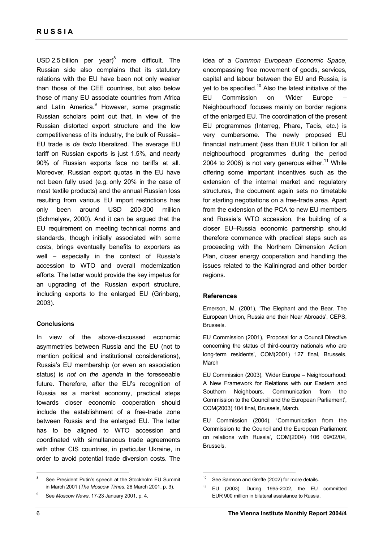USD 2.5 billion per year) $^8$  more difficult. The Russian side also complains that its statutory relations with the EU have been not only weaker than those of the CEE countries, but also below those of many EU associate countries from Africa and Latin America.<sup>9</sup> However, some pragmatic Russian scholars point out that, in view of the Russian distorted export structure and the low competitiveness of its industry, the bulk of Russia– EU trade is *de facto* liberalized. The average EU tariff on Russian exports is just 1.5%, and nearly 90% of Russian exports face no tariffs at all. Moreover, Russian export quotas in the EU have not been fully used (e.g. only 20% in the case of most textile products) and the annual Russian loss resulting from various EU import restrictions has only been around USD 200-300 million (Schmelyev, 2000). And it can be argued that the EU requirement on meeting technical norms and standards, though initially associated with some costs, brings eventually benefits to exporters as well – especially in the context of Russia's accession to WTO and overall modernization efforts. The latter would provide the key impetus for an upgrading of the Russian export structure, including exports to the enlarged EU (Grinberg, 2003).

#### **Conclusions**

In view of the above-discussed economic asymmetries between Russia and the EU (not to mention political and institutional considerations), Russia's EU membership (or even an association status) is *not on the agenda* in the foreseeable future. Therefore, after the EU's recognition of Russia as a market economy, practical steps towards closer economic cooperation should include the establishment of a free-trade zone between Russia and the enlarged EU. The latter has to be aligned to WTO accession and coordinated with simultaneous trade agreements with other CIS countries, in particular Ukraine, in order to avoid potential trade diversion costs. The

8 See President Putin's speech at the Stockholm EU Summit in March 2001 (*The Moscow Times*, 26 March 2001, p. 3).

idea of a *Common European Economic Space*, encompassing free movement of goods, services, capital and labour between the EU and Russia, is yet to be specified.<sup>10</sup> Also the latest initiative of the EU Commission on 'Wider Europe Neighbourhood' focuses mainly on border regions of the enlarged EU. The coordination of the present EU programmes (Interreg, Phare, Tacis, etc.) is very cumbersome. The newly proposed EU financial instrument (less than EUR 1 billion for all neighbourhood programmes during the period 2004 to 2006) is not very generous either.<sup>11</sup> While offering some important incentives such as the extension of the internal market and regulatory structures, the document again sets no timetable for starting negotiations on a free-trade area. Apart from the extension of the PCA to new EU members and Russia's WTO accession, the building of a closer EU–Russia economic partnership should therefore commence with practical steps such as proceeding with the Northern Dimension Action Plan, closer energy cooperation and handling the issues related to the Kaliningrad and other border regions.

#### **References**

 $\overline{a}$ 

Emerson, M. (2001), 'The Elephant and the Bear. The European Union, Russia and their Near Abroads', CEPS, Brussels.

EU Commission (2001), 'Proposal for a Council Directive concerning the status of third-country nationals who are long-term residents', COM(2001) 127 final, Brussels, March

EU Commission (2003), 'Wider Europe – Neighbourhood: A New Framework for Relations with our Eastern and Southern Neighbours. Communication from the Commission to the Council and the European Parliament', COM(2003) 104 final, Brussels, March.

EU Commission (2004), 'Communication from the Commission to the Council and the European Parliament on relations with Russia', COM(2004) 106 09/02/04, Brussels.

 $\overline{a}$ 

<sup>9</sup> See *Moscow News*, 17-23 January 2001, p. 4.

<sup>&</sup>lt;sup>10</sup> See Samson and Greffe (2002) for more details.

<sup>11</sup> EU (2003). During 1995-2002, the EU committed EUR 900 million in bilateral assistance to Russia.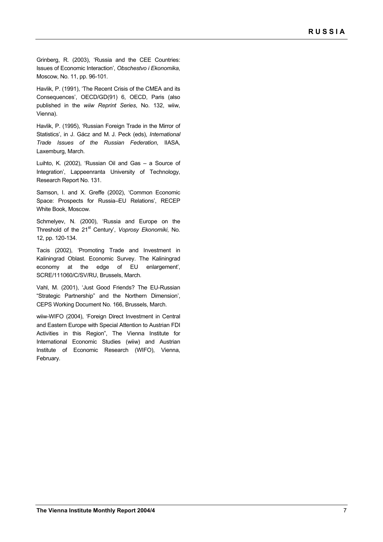Grinberg, R. (2003), 'Russia and the CEE Countries: Issues of Economic Interaction', *Obschestvo i Ekonomika*, Moscow, No. 11, pp. 96-101.

Havlik, P. (1991), 'The Recent Crisis of the CMEA and its Consequences', OECD/GD(91) 6, OECD, Paris (also published in the *wiiw Reprint Series*, No. 132, wiiw, Vienna).

Havlik, P. (1995), 'Russian Foreign Trade in the Mirror of Statistics', in J. Gácz and M. J. Peck (eds), *International Trade Issues of the Russian Federation*, IIASA, Laxemburg, March.

Luihto, K. (2002), 'Russian Oil and Gas – a Source of Integration', Lappeenranta University of Technology, Research Report No. 131.

Samson, I. and X. Greffe (2002), 'Common Economic Space: Prospects for Russia–EU Relations', RECEP White Book, Moscow.

Schmelyev, N. (2000), 'Russia and Europe on the Threshold of the 21st Century', *Voprosy Ekonomiki*, No. 12, pp. 120-134.

Tacis (2002), 'Promoting Trade and Investment in Kaliningrad Oblast. Economic Survey. The Kaliningrad economy at the edge of EU enlargement', SCRE/111060/C/SV/RU, Brussels, March.

Vahl, M. (2001), 'Just Good Friends? The EU-Russian "Strategic Partnership" and the Northern Dimension', CEPS Working Document No. 166, Brussels, March.

wiiw-WIFO (2004), 'Foreign Direct Investment in Central and Eastern Europe with Special Attention to Austrian FDI Activities in this Region", The Vienna Institute for International Economic Studies (wiiw) and Austrian Institute of Economic Research (WIFO), Vienna, February.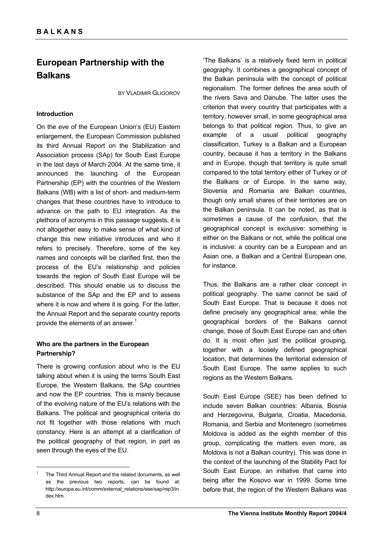## **European Partnership with the Balkans**

BY VLADIMIR GLIGOROV

#### **Introduction**

On the eve of the European Union's (EU) Eastern enlargement, the European Commission published its third Annual Report on the Stabilization and Association process (SAp) for South East Europe in the last days of March 2004. At the same time, it announced the launching of the European Partnership (EP) with the countries of the Western Balkans (WB) with a list of short- and medium-term changes that these countries have to introduce to advance on the path to EU integration. As the plethora of acronyms in this passage suggests, it is not altogether easy to make sense of what kind of change this new initiative introduces and who it refers to precisely. Therefore, some of the key names and concepts will be clarified first, then the process of the EU's relationship and policies towards the region of South East Europe will be described. This should enable us to discuss the substance of the SAp and the EP and to assess where it is now and where it is going. For the latter, the Annual Report and the separate country reports provide the elements of an answer.<sup>1</sup>

## **Who are the partners in the European Partnership?**

There is growing confusion about who is the EU talking about when it is using the terms South East Europe, the Western Balkans, the SAp countries and now the EP countries. This is mainly because of the evolving nature of the EU's relations with the Balkans. The political and geographical criteria do not fit together with those relations with much constancy. Here is an attempt at a clarification of the political geography of that region, in part as seen through the eyes of the EU.

'The Balkans' is a relatively fixed term in political geography. It combines a geographical concept of the Balkan peninsula with the concept of political regionalism. The former defines the area south of the rivers Sava and Danube. The latter uses the criterion that every country that participates with a territory, however small, in some geographical area belongs to that political region. Thus, to give an example of a usual political geography classification, Turkey is a Balkan and a European country, because it has a territory in the Balkans and in Europe, though that territory is quite small compared to the total territory either of Turkey or of the Balkans or of Europe. In the same way, Slovenia and Romania are Balkan countries, though only small shares of their territories are on the Balkan peninsula. It can be noted, as that is sometimes a cause of the confusion, that the geographical concept is exclusive: something is either on the Balkans or not, while the political one is inclusive: a country can be a European and an Asian one, a Balkan and a Central European one, for instance.

Thus, the Balkans are a rather clear concept in political geography. The same cannot be said of South East Europe. That is because it does not define precisely any geographical area; while the geographical borders of the Balkans cannot change, those of South East Europe can and often do. It is most often just the political grouping, together with a loosely defined geographical location, that determines the territorial extension of South East Europe. The same applies to such regions as the Western Balkans.

South East Europe (SEE) has been defined to include seven Balkan countries: Albania, Bosnia and Herzegovina, Bulgaria, Croatia, Macedonia, Romania, and Serbia and Montenegro (sometimes Moldova is added as the eighth member of this group, complicating the matters even more, as Moldova is not a Balkan country). This was done in the context of the launching of the Stability Pact for South East Europe, an initiative that came into being after the Kosovo war in 1999. Some time before that, the region of the Western Balkans was

 $\overline{a}$ 

<sup>1</sup> The Third Annual Report and the related documents, as well as the previous two reports, can be found at: http://europa.eu.int/comm/external\_relations/see/sap/rep3/in dex.htm.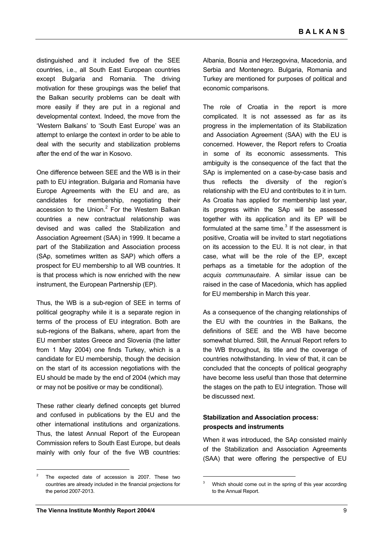distinguished and it included five of the SEE countries, i.e., all South East European countries except Bulgaria and Romania. The driving motivation for these groupings was the belief that the Balkan security problems can be dealt with more easily if they are put in a regional and developmental context. Indeed, the move from the 'Western Balkans' to 'South East Europe' was an attempt to enlarge the context in order to be able to deal with the security and stabilization problems after the end of the war in Kosovo.

One difference between SEE and the WB is in their path to EU integration. Bulgaria and Romania have Europe Agreements with the EU and are, as candidates for membership, negotiating their accession to the Union. $2$  For the Western Balkan countries a new contractual relationship was devised and was called the Stabilization and Association Agreement (SAA) in 1999. It became a part of the Stabilization and Association process (SAp, sometimes written as SAP) which offers a prospect for EU membership to all WB countries. It is that process which is now enriched with the new instrument, the European Partnership (EP).

Thus, the WB is a sub-region of SEE in terms of political geography while it is a separate region in terms of the process of EU integration. Both are sub-regions of the Balkans, where, apart from the EU member states Greece and Slovenia (the latter from 1 May 2004) one finds Turkey, which is a candidate for EU membership, though the decision on the start of its accession negotiations with the EU should be made by the end of 2004 (which may or may not be positive or may be conditional).

These rather clearly defined concepts get blurred and confused in publications by the EU and the other international institutions and organizations. Thus, the latest Annual Report of the European Commission refers to South East Europe, but deals mainly with only four of the five WB countries: Albania, Bosnia and Herzegovina, Macedonia, and Serbia and Montenegro. Bulgaria, Romania and Turkey are mentioned for purposes of political and economic comparisons.

The role of Croatia in the report is more complicated. It is not assessed as far as its progress in the implementation of its Stabilization and Association Agreement (SAA) with the EU is concerned. However, the Report refers to Croatia in some of its economic assessments. This ambiguity is the consequence of the fact that the SAp is implemented on a case-by-case basis and thus reflects the diversity of the region's relationship with the EU and contributes to it in turn. As Croatia has applied for membership last year, its progress within the SAp will be assessed together with its application and its EP will be formulated at the same time. $3$  If the assessment is positive, Croatia will be invited to start negotiations on its accession to the EU. It is not clear, in that case, what will be the role of the EP, except perhaps as a timetable for the adoption of the *acquis communautaire*. A similar issue can be raised in the case of Macedonia, which has applied for EU membership in March this year.

As a consequence of the changing relationships of the EU with the countries in the Balkans, the definitions of SEE and the WB have become somewhat blurred. Still, the Annual Report refers to the WB throughout, its title and the coverage of countries notwithstanding. In view of that, it can be concluded that the concepts of political geography have become less useful than those that determine the stages on the path to EU integration. Those will be discussed next.

### **Stabilization and Association process: prospects and instruments**

 $\overline{a}$ 

When it was introduced, the SAp consisted mainly of the Stabilization and Association Agreements (SAA) that were offering the perspective of EU

<sup>2</sup> The expected date of accession is 2007. These two countries are already included in the financial projections for the period 2007-2013.

<sup>3</sup> Which should come out in the spring of this year according to the Annual Report.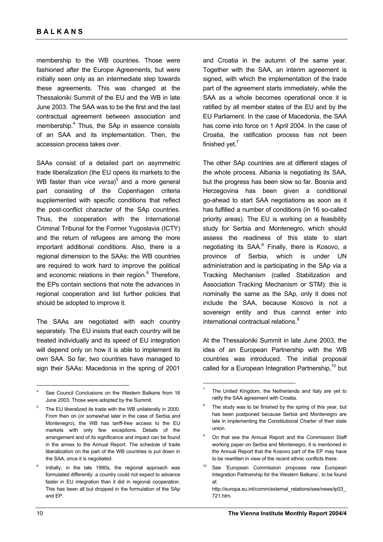membership to the WB countries. Those were fashioned after the Europe Agreements, but were initially seen only as an intermediate step towards these agreements. This was changed at the Thessaloniki Summit of the EU and the WB in late June 2003. The SAA was to be the first and the last contractual agreement between association and membership.<sup>4</sup> Thus, the SAp in essence consists of an SAA and its implementation. Then, the accession process takes over.

SAAs consist of a detailed part on asymmetric trade liberalization (the EU opens its markets to the WB faster than *vice versa*)<sup>5</sup> and a more general part consisting of the Copenhagen criteria supplemented with specific conditions that reflect the post-conflict character of the SAp countries. Thus, the cooperation with the International Criminal Tribunal for the Former Yugoslavia (ICTY) and the return of refugees are among the more important additional conditions. Also, there is a regional dimension to the SAAs: the WB countries are required to work hard to improve the political and economic relations in their region.<sup>6</sup> Therefore, the EPs contain sections that note the advances in regional cooperation and list further policies that should be adopted to improve it.

The SAAs are negotiated with each country separately. The EU insists that each country will be treated individually and its speed of EU integration will depend only on how it is able to implement its own SAA. So far, two countries have managed to sign their SAAs: Macedonia in the spring of 2001 and Croatia in the autumn of the same year. Together with the SAA, an interim agreement is signed, with which the implementation of the trade part of the agreement starts immediately, while the SAA as a whole becomes operational once it is ratified by all member states of the EU and by the EU Parliament. In the case of Macedonia, the SAA has come into force on 1 April 2004. In the case of Croatia, the ratification process has not been finished vet.<sup>7</sup>

The other SAp countries are at different stages of the whole process. Albania is negotiating its SAA, but the progress has been slow so far. Bosnia and Herzegovina has been given a conditional go-ahead to start SAA negotiations as soon as it has fulfilled a number of conditions (in 16 so-called priority areas). The EU is working on a feasibility study for Serbia and Montenegro, which should assess the readiness of this state to start negotiating its SAA.<sup>8</sup> Finally, there is Kosovo, a province of Serbia, which is under UN administration and is participating in the SAp via a Tracking Mechanism (called Stabilization and Association Tracking Mechanism or STM): this is nominally the same as the SAp, only it does not include the SAA, because Kosovo is not a sovereign entity and thus cannot enter into international contractual relations.<sup>9</sup>

At the Thessaloniki Summit in late June 2003, the idea of an European Partnership with the WB countries was introduced. The initial proposal called for a European Integration Partnership,<sup>10</sup> but

<sup>4</sup> See Council Conclusions on the Western Balkans from 16 June 2003. Those were adopted by the Summit.

<sup>5</sup> The EU liberalized its trade with the WB unilaterally in 2000. From then on (or somewhat later in the case of Serbia and Montenegro), the WB has tariff-free access to the EU markets with only few exceptions. Details of the arrangement and of its significance and impact can be found in the annex to the Annual Report. The schedule of trade liberalization on the part of the WB countries is put down in the SAA, once it is negotiated.

<sup>6</sup> Initially, in the late 1990s, the regional approach was formulated differently: a country could not expect to advance faster in EU integration than it did in regional cooperation. This has been all but dropped in the formulation of the SAp and EP.

<sup>7</sup> The United Kingdom, the Netherlands and Italy are yet to ratify the SAA agreement with Croatia.

<sup>8</sup> The study was to be finished by the spring of this year, but has been postponed because Serbia and Montenegro are late in implementing the Constitutional Charter of their state union.

<sup>9</sup> On that see the Annual Report and the Commission Staff working paper on Serbia and Montenegro. It is mentioned in the Annual Report that the Kosovo part of the EP may have to be rewritten in view of the recent ethnic conflicts there.

<sup>&</sup>lt;sup>10</sup> See 'European Commission proposes new European Integration Partnership for the Western Balkans', to be found at:

http://europa.eu.int/comm/external\_relations/see/news/ip03\_ 721.htm.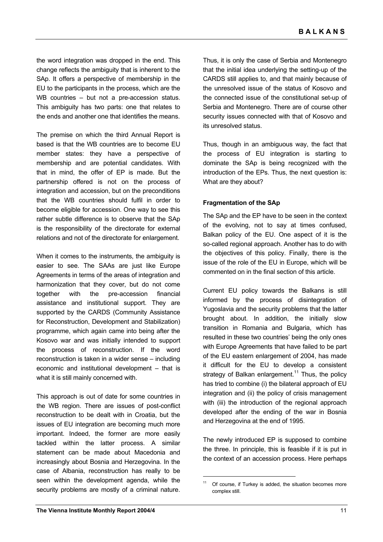the word integration was dropped in the end. This change reflects the ambiguity that is inherent to the SAp. It offers a perspective of membership in the EU to the participants in the process, which are the WB countries – but not a pre-accession status. This ambiguity has two parts: one that relates to the ends and another one that identifies the means.

The premise on which the third Annual Report is based is that the WB countries are to become EU member states: they have a perspective of membership and are potential candidates. With that in mind, the offer of EP is made. But the partnership offered is not on the process of integration and accession, but on the preconditions that the WB countries should fulfil in order to become eligible for accession. One way to see this rather subtle difference is to observe that the SAp is the responsibility of the directorate for external relations and not of the directorate for enlargement.

When it comes to the instruments, the ambiguity is easier to see. The SAAs are just like Europe Agreements in terms of the areas of integration and harmonization that they cover, but do not come together with the pre-accession financial assistance and institutional support. They are supported by the CARDS (Community Assistance for Reconstruction, Development and Stabilization) programme, which again came into being after the Kosovo war and was initially intended to support the process of reconstruction. If the word reconstruction is taken in a wider sense – including economic and institutional development – that is what it is still mainly concerned with.

This approach is out of date for some countries in the WB region. There are issues of post-conflict reconstruction to be dealt with in Croatia, but the issues of EU integration are becoming much more important. Indeed, the former are more easily tackled within the latter process. A similar statement can be made about Macedonia and increasingly about Bosnia and Herzegovina. In the case of Albania, reconstruction has really to be seen within the development agenda, while the security problems are mostly of a criminal nature.

Thus, it is only the case of Serbia and Montenegro that the initial idea underlying the setting-up of the CARDS still applies to, and that mainly because of the unresolved issue of the status of Kosovo and the connected issue of the constitutional set-up of Serbia and Montenegro. There are of course other security issues connected with that of Kosovo and its unresolved status.

Thus, though in an ambiguous way, the fact that the process of EU integration is starting to dominate the SAp is being recognized with the introduction of the EPs. Thus, the next question is: What are they about?

### **Fragmentation of the SAp**

The SAp and the EP have to be seen in the context of the evolving, not to say at times confused, Balkan policy of the EU. One aspect of it is the so-called regional approach. Another has to do with the objectives of this policy. Finally, there is the issue of the role of the EU in Europe, which will be commented on in the final section of this article.

Current EU policy towards the Balkans is still informed by the process of disintegration of Yugoslavia and the security problems that the latter brought about. In addition, the initially slow transition in Romania and Bulgaria, which has resulted in these two countries' being the only ones with Europe Agreements that have failed to be part of the EU eastern enlargement of 2004, has made it difficult for the EU to develop a consistent strategy of Balkan enlargement.<sup>11</sup> Thus, the policy has tried to combine (i) the bilateral approach of EU integration and (ii) the policy of crisis management with (iii) the introduction of the regional approach developed after the ending of the war in Bosnia and Herzegovina at the end of 1995.

The newly introduced EP is supposed to combine the three. In principle, this is feasible if it is put in the context of an accession process. Here perhaps

 $\overline{a}$ 

Of course, if Turkey is added, the situation becomes more complex still.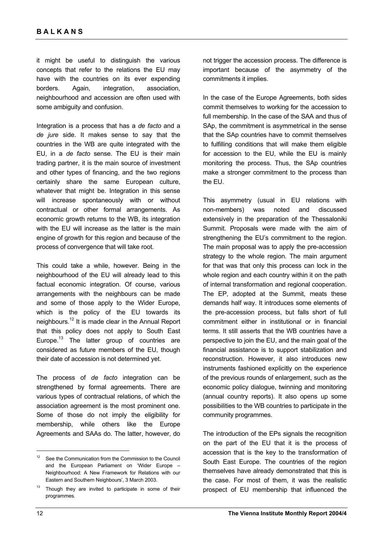it might be useful to distinguish the various concepts that refer to the relations the EU may have with the countries on its ever expending borders. Again, integration, association, neighbourhood and accession are often used with some ambiguity and confusion.

Integration is a process that has a *de facto* and a *de jure* side. It makes sense to say that the countries in the WB are quite integrated with the EU, in a *de facto* sense. The EU is their main trading partner, it is the main source of investment and other types of financing, and the two regions certainly share the same European culture, whatever that might be. Integration in this sense will increase spontaneously with or without contractual or other formal arrangements. As economic growth returns to the WB, its integration with the EU will increase as the latter is the main engine of growth for this region and because of the process of convergence that will take root.

This could take a while, however. Being in the neighbourhood of the EU will already lead to this factual economic integration. Of course, various arrangements with the neighbours can be made and some of those apply to the Wider Europe, which is the policy of the EU towards its neighbours.12 It is made clear in the Annual Report that this policy does not apply to South East Europe.<sup>13</sup> The latter group of countries are considered as future members of the EU, though their date of accession is not determined yet.

The process of *de facto* integration can be strengthened by formal agreements. There are various types of contractual relations, of which the association agreement is the most prominent one. Some of those do not imply the eligibility for membership, while others like the Europe Agreements and SAAs do. The latter, however, do

not trigger the accession process. The difference is important because of the asymmetry of the commitments it implies.

In the case of the Europe Agreements, both sides commit themselves to working for the accession to full membership. In the case of the SAA and thus of SAp, the commitment is asymmetrical in the sense that the SAp countries have to commit themselves to fulfilling conditions that will make them eligible for accession to the EU, while the EU is mainly monitoring the process. Thus, the SAp countries make a stronger commitment to the process than the EU.

This asymmetry (usual in EU relations with non-members) was noted and discussed extensively in the preparation of the Thessaloniki Summit. Proposals were made with the aim of strengthening the EU's commitment to the region. The main proposal was to apply the pre-accession strategy to the whole region. The main argument for that was that only this process can lock in the whole region and each country within it on the path of internal transformation and regional cooperation. The EP, adopted at the Summit, meats these demands half way. It introduces some elements of the pre-accession process, but falls short of full commitment either in institutional or in financial terms. It still asserts that the WB countries have a perspective to join the EU, and the main goal of the financial assistance is to support stabilization and reconstruction. However, it also introduces new instruments fashioned explicitly on the experience of the previous rounds of enlargement, such as the economic policy dialogue, twinning and monitoring (annual country reports). It also opens up some possibilities to the WB countries to participate in the community programmes.

The introduction of the EPs signals the recognition on the part of the EU that it is the process of accession that is the key to the transformation of South East Europe. The countries of the region themselves have already demonstrated that this is the case. For most of them, it was the realistic prospect of EU membership that influenced the

<sup>&</sup>lt;sup>12</sup> See the Communication from the Commission to the Council and the European Parliament on 'Wider Europe – Neighbourhood: A New Framework for Relations with our Eastern and Southern Neighbours', 3 March 2003.

Though they are invited to participate in some of their programmes.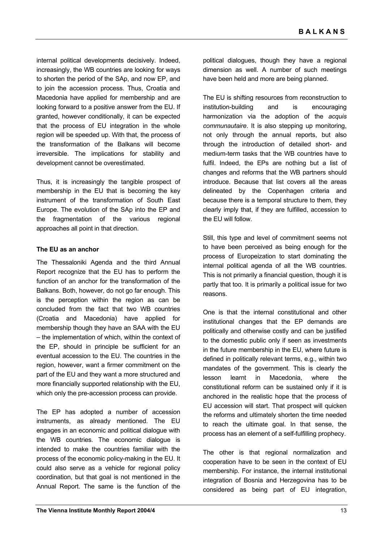internal political developments decisively. Indeed, increasingly, the WB countries are looking for ways to shorten the period of the SAp, and now EP, and to join the accession process. Thus, Croatia and Macedonia have applied for membership and are looking forward to a positive answer from the EU. If granted, however conditionally, it can be expected that the process of EU integration in the whole region will be speeded up. With that, the process of the transformation of the Balkans will become irreversible. The implications for stability and development cannot be overestimated.

Thus, it is increasingly the tangible prospect of membership in the EU that is becoming the key instrument of the transformation of South East Europe. The evolution of the SAp into the EP and the fragmentation of the various regional approaches all point in that direction.

#### **The EU as an anchor**

The Thessaloniki Agenda and the third Annual Report recognize that the EU has to perform the function of an anchor for the transformation of the Balkans. Both, however, do not go far enough. This is the perception within the region as can be concluded from the fact that two WB countries (Croatia and Macedonia) have applied for membership though they have an SAA with the EU – the implementation of which, within the context of the EP, should in principle be sufficient for an eventual accession to the EU. The countries in the region, however, want a firmer commitment on the part of the EU and they want a more structured and more financially supported relationship with the EU, which only the pre-accession process can provide.

The EP has adopted a number of accession instruments, as already mentioned. The EU engages in an economic and political dialogue with the WB countries. The economic dialogue is intended to make the countries familiar with the process of the economic policy-making in the EU. It could also serve as a vehicle for regional policy coordination, but that goal is not mentioned in the Annual Report. The same is the function of the

political dialogues, though they have a regional dimension as well. A number of such meetings have been held and more are being planned.

The EU is shifting resources from reconstruction to institution-building and is encouraging harmonization via the adoption of the *acquis communautaire*. It is also stepping up monitoring, not only through the annual reports, but also through the introduction of detailed short- and medium-term tasks that the WB countries have to fulfil. Indeed, the EPs are nothing but a list of changes and reforms that the WB partners should introduce. Because that list covers all the areas delineated by the Copenhagen criteria and because there is a temporal structure to them, they clearly imply that, if they are fulfilled, accession to the EU will follow.

Still, this type and level of commitment seems not to have been perceived as being enough for the process of Europeization to start dominating the internal political agenda of all the WB countries. This is not primarily a financial question, though it is partly that too. It is primarily a political issue for two reasons.

One is that the internal constitutional and other institutional changes that the EP demands are politically and otherwise costly and can be justified to the domestic public only if seen as investments in the future membership in the EU, where future is defined in politically relevant terms, e.g., within two mandates of the government. This is clearly the lesson learnt in Macedonia, where the constitutional reform can be sustained only if it is anchored in the realistic hope that the process of EU accession will start. That prospect will quicken the reforms and ultimately shorten the time needed to reach the ultimate goal. In that sense, the process has an element of a self-fulfilling prophecy.

The other is that regional normalization and cooperation have to be seen in the context of EU membership. For instance, the internal institutional integration of Bosnia and Herzegovina has to be considered as being part of EU integration,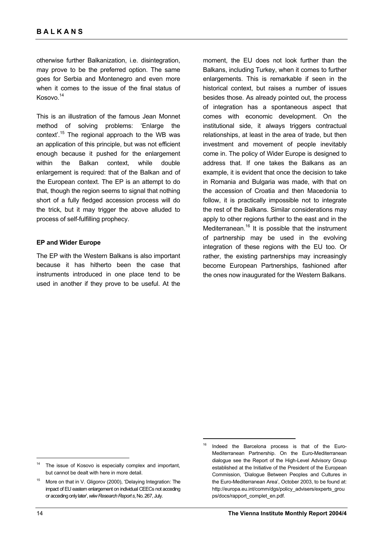otherwise further Balkanization, i.e. disintegration, may prove to be the preferred option. The same goes for Serbia and Montenegro and even more when it comes to the issue of the final status of Kosovo.14

This is an illustration of the famous Jean Monnet method of solving problems: 'Enlarge the context'.15 The regional approach to the WB was an application of this principle, but was not efficient enough because it pushed for the enlargement within the Balkan context, while double enlargement is required: that of the Balkan and of the European context. The EP is an attempt to do that, though the region seems to signal that nothing short of a fully fledged accession process will do the trick, but it may trigger the above alluded to process of self-fulfilling prophecy.

#### **EP and Wider Europe**

The EP with the Western Balkans is also important because it has hitherto been the case that instruments introduced in one place tend to be used in another if they prove to be useful. At the

moment, the EU does not look further than the Balkans, including Turkey, when it comes to further enlargements. This is remarkable if seen in the historical context, but raises a number of issues besides those. As already pointed out, the process of integration has a spontaneous aspect that comes with economic development. On the institutional side, it always triggers contractual relationships, at least in the area of trade, but then investment and movement of people inevitably come in. The policy of Wider Europe is designed to address that. If one takes the Balkans as an example, it is evident that once the decision to take in Romania and Bulgaria was made, with that on the accession of Croatia and then Macedonia to follow, it is practically impossible not to integrate the rest of the Balkans. Similar considerations may apply to other regions further to the east and in the Mediterranean.<sup>16</sup> It is possible that the instrument of partnership may be used in the evolving integration of these regions with the EU too. Or rather, the existing partnerships may increasingly become European Partnerships, fashioned after the ones now inaugurated for the Western Balkans.

 $\overline{a}$ 

 $\overline{a}$ 

<sup>&</sup>lt;sup>14</sup> The issue of Kosovo is especially complex and important, but cannot be dealt with here in more detail.

More on that in V. Gligorov (2000), 'Delaying Integration: The impact of EU eastern enlargement on individual CEECs not acceding or acceding only later', *wiiw Research Report s*, No. 267, July.

Indeed the Barcelona process is that of the Euro-Mediterranean Partnership. On the Euro-Mediterranean dialogue see the Report of the High-Level Advisory Group established at the Initiative of the President of the European Commission, 'Dialogue Between Peoples and Cultures in the Euro-Mediterranean Area', October 2003, to be found at: http://europa.eu.int/comm/dgs/policy\_advisers/experts\_grou ps/docs/rapport\_complet\_en.pdf.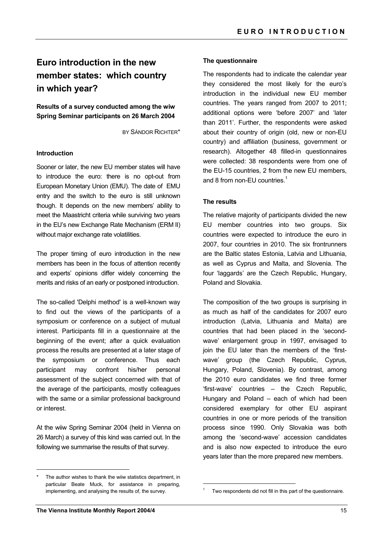## **Euro introduction in the new member states: which country in which year?**

**Results of a survey conducted among the wiw Spring Seminar participants on 26 March 2004** 

BY SÁNDOR RICHTER\*

#### **Introduction**

Sooner or later, the new EU member states will have to introduce the euro: there is no opt-out from European Monetary Union (EMU). The date of EMU entry and the switch to the euro is still unknown though. It depends on the new members' ability to meet the Maastricht criteria while surviving two years in the EU's new Exchange Rate Mechanism (ERM II) without major exchange rate volatilities.

The proper timing of euro introduction in the new members has been in the focus of attention recently and experts' opinions differ widely concerning the merits and risks of an early or postponed introduction.

The so-called 'Delphi method' is a well-known way to find out the views of the participants of a symposium or conference on a subject of mutual interest. Participants fill in a questionnaire at the beginning of the event; after a quick evaluation process the results are presented at a later stage of the symposium or conference. Thus each participant may confront his/her personal assessment of the subject concerned with that of the average of the participants, mostly colleagues with the same or a similar professional background or interest.

At the wiiw Spring Seminar 2004 (held in Vienna on 26 March) a survey of this kind was carried out. In the following we summarise the results of that survey.

#### **The questionnaire**

The respondents had to indicate the calendar year they considered the most likely for the euro's introduction in the individual new EU member countries. The years ranged from 2007 to 2011; additional options were 'before 2007' and 'later than 2011'. Further, the respondents were asked about their country of origin (old, new or non-EU country) and affiliation (business, government or research). Altogether 48 filled-in questionnaires were collected: 38 respondents were from one of the EU-15 countries, 2 from the new EU members, and 8 from non-EU countries.<sup>1</sup>

#### **The results**

The relative majority of participants divided the new EU member countries into two groups. Six countries were expected to introduce the euro in 2007, four countries in 2010. The six frontrunners are the Baltic states Estonia, Latvia and Lithuania, as well as Cyprus and Malta, and Slovenia. The four 'laggards' are the Czech Republic, Hungary, Poland and Slovakia.

The composition of the two groups is surprising in as much as half of the candidates for 2007 euro introduction (Latvia, Lithuania and Malta) are countries that had been placed in the 'secondwave' enlargement group in 1997, envisaged to join the EU later than the members of the 'firstwave' group (the Czech Republic, Cyprus, Hungary, Poland, Slovenia). By contrast, among the 2010 euro candidates we find three former 'first-wave' countries – the Czech Republic, Hungary and Poland – each of which had been considered exemplary for other EU aspirant countries in one or more periods of the transition process since 1990. Only Slovakia was both among the 'second-wave' accession candidates and is also now expected to introduce the euro years later than the more prepared new members.

 $\overline{a}$ 

The author wishes to thank the wiiw statistics department, in particular Beate Muck, for assistance in preparing, implementing, and analysing the results of, the survey.

<sup>1</sup> Two respondents did not fill in this part of the questionnaire.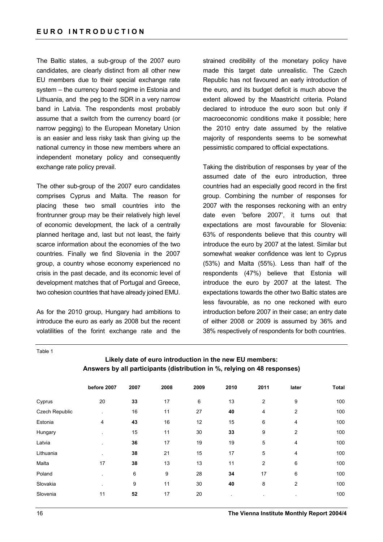The Baltic states, a sub-group of the 2007 euro candidates, are clearly distinct from all other new EU members due to their special exchange rate system – the currency board regime in Estonia and Lithuania, and the peg to the SDR in a very narrow band in Latvia. The respondents most probably assume that a switch from the currency board (or narrow pegging) to the European Monetary Union is an easier and less risky task than giving up the national currency in those new members where an independent monetary policy and consequently exchange rate policy prevail.

The other sub-group of the 2007 euro candidates comprises Cyprus and Malta. The reason for placing these two small countries into the frontrunner group may be their relatively high level of economic development, the lack of a centrally planned heritage and, last but not least, the fairly scarce information about the economies of the two countries. Finally we find Slovenia in the 2007 group, a country whose economy experienced no crisis in the past decade, and its economic level of development matches that of Portugal and Greece, two cohesion countries that have already joined EMU.

As for the 2010 group, Hungary had ambitions to introduce the euro as early as 2008 but the recent volatilities of the forint exchange rate and the strained credibility of the monetary policy have made this target date unrealistic. The Czech Republic has not favoured an early introduction of the euro, and its budget deficit is much above the extent allowed by the Maastricht criteria. Poland declared to introduce the euro soon but only if macroeconomic conditions make it possible; here the 2010 entry date assumed by the relative majority of respondents seems to be somewhat pessimistic compared to official expectations.

Taking the distribution of responses by year of the assumed date of the euro introduction, three countries had an especially good record in the first group. Combining the number of responses for 2007 with the responses reckoning with an entry date even 'before 2007', it turns out that expectations are most favourable for Slovenia: 63% of respondents believe that this country will introduce the euro by 2007 at the latest. Similar but somewhat weaker confidence was lent to Cyprus (53%) and Malta (55%). Less than half of the respondents (47%) believe that Estonia will introduce the euro by 2007 at the latest. The expectations towards the other two Baltic states are less favourable, as no one reckoned with euro introduction before 2007 in their case; an entry date of either 2008 or 2009 is assumed by 36% and 38% respectively of respondents for both countries.

Table 1

## **Likely date of euro introduction in the new EU members: Answers by all participants (distribution in %, relying on 48 responses)**

|                | before 2007 | 2007 | 2008 | 2009 | 2010         | 2011           | later          | <b>Total</b> |
|----------------|-------------|------|------|------|--------------|----------------|----------------|--------------|
| Cyprus         | 20          | 33   | 17   | 6    | 13           | $\overline{2}$ | 9              | 100          |
| Czech Republic |             | 16   | 11   | 27   | 40           | 4              | $\overline{2}$ | 100          |
| Estonia        | 4           | 43   | 16   | 12   | 15           | 6              | 4              | 100          |
| Hungary        |             | 15   | 11   | 30   | 33           | 9              | 2              | 100          |
| Latvia         |             | 36   | 17   | 19   | 19           | 5              | 4              | 100          |
| Lithuania      | $\cdot$     | 38   | 21   | 15   | 17           | 5              | 4              | 100          |
| Malta          | 17          | 38   | 13   | 13   | 11           | $\overline{2}$ | 6              | 100          |
| Poland         |             | 6    | 9    | 28   | 34           | 17             | 6              | 100          |
| Slovakia       |             | 9    | 11   | 30   | 40           | 8              | $\overline{2}$ | 100          |
| Slovenia       | 11          | 52   | 17   | 20   | $\mathbf{r}$ |                | $\cdot$        | 100          |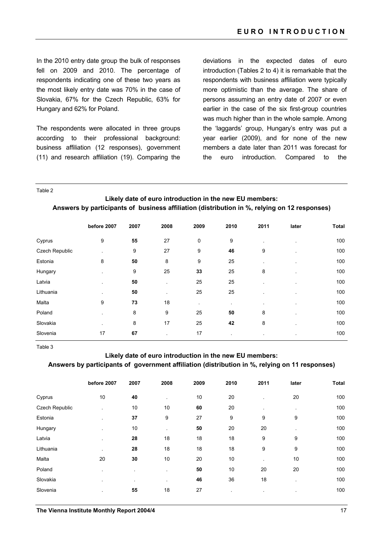In the 2010 entry date group the bulk of responses fell on 2009 and 2010. The percentage of respondents indicating one of these two years as the most likely entry date was 70% in the case of Slovakia, 67% for the Czech Republic, 63% for Hungary and 62% for Poland.

The respondents were allocated in three groups according to their professional background: business affiliation (12 responses), government (11) and research affiliation (19). Comparing the

deviations in the expected dates of euro introduction (Tables 2 to 4) it is remarkable that the respondents with business affiliation were typically more optimistic than the average. The share of persons assuming an entry date of 2007 or even earlier in the case of the six first-group countries was much higher than in the whole sample. Among the 'laggards' group, Hungary's entry was put a year earlier (2009), and for none of the new members a date later than 2011 was forecast for the euro introduction. Compared to the

Table 2

**Likely date of euro introduction in the new EU members: Answers by participants of business affiliation (distribution in %, relying on 12 responses)** 

|                | before 2007 | 2007 | 2008    | 2009      | 2010 | 2011 | later                | <b>Total</b> |
|----------------|-------------|------|---------|-----------|------|------|----------------------|--------------|
| Cyprus         | 9           | 55   | 27      | 0         | 9    |      | $\ddot{\phantom{a}}$ | 100          |
| Czech Republic |             | 9    | 27      | 9         | 46   | 9    |                      | 100          |
| Estonia        | 8           | 50   | 8       | 9         | 25   |      |                      | 100          |
| Hungary        |             | 9    | 25      | 33        | 25   | 8    |                      | 100          |
| Latvia         |             | 50   |         | 25        | 25   |      |                      | 100          |
| Lithuania      |             | 50   | $\cdot$ | 25        | 25   |      |                      | 100          |
| Malta          | 9           | 73   | 18      | $\bullet$ |      |      | $\bullet$            | 100          |
| Poland         |             | 8    | 9       | 25        | 50   | 8    |                      | 100          |
| Slovakia       |             | 8    | 17      | 25        | 42   | 8    |                      | 100          |
| Slovenia       | 17          | 67   |         | 17        |      |      | $\bullet$            | 100          |

Table 3

#### **Likely date of euro introduction in the new EU members:**

**Answers by participants of government affiliation (distribution in %, relying on 11 responses)** 

|                | before 2007 | 2007 | 2008                     | 2009 | 2010    | 2011 | later                    | <b>Total</b> |
|----------------|-------------|------|--------------------------|------|---------|------|--------------------------|--------------|
| Cyprus         | 10          | 40   | $\blacksquare$           | 10   | 20      |      | 20                       | 100          |
| Czech Republic |             | 10   | 10                       | 60   | 20      |      |                          | 100          |
| Estonia        |             | 37   | 9                        | 27   | 9       | 9    | 9                        | 100          |
| Hungary        |             | 10   | $\overline{\phantom{a}}$ | 50   | 20      | 20   |                          | 100          |
| Latvia         |             | 28   | 18                       | 18   | 18      | 9    | 9                        | 100          |
| Lithuania      |             | 28   | 18                       | 18   | 18      | 9    | 9                        | 100          |
| Malta          | 20          | 30   | 10                       | 20   | 10      |      | 10                       | 100          |
| Poland         |             |      |                          | 50   | 10      | 20   | 20                       | 100          |
| Slovakia       |             |      | $\overline{\phantom{a}}$ | 46   | 36      | 18   |                          | 100          |
| Slovenia       |             | 55   | 18                       | 27   | $\cdot$ |      | $\overline{\phantom{a}}$ | 100          |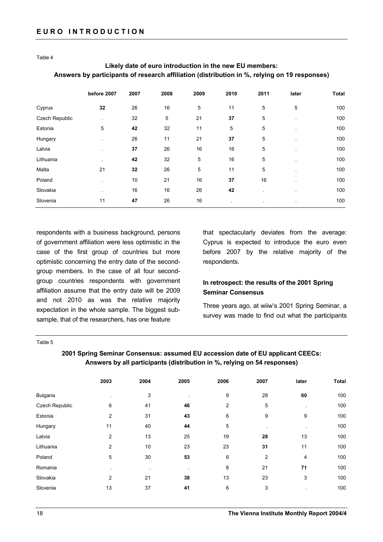Table 4

## **Likely date of euro introduction in the new EU members: Answers by participants of research affiliation (distribution in %, relying on 19 responses)**

|                | before 2007 | 2007 | 2008 | 2009 | 2010 | 2011 | later          | <b>Total</b> |
|----------------|-------------|------|------|------|------|------|----------------|--------------|
| Cyprus         | 32          | 26   | 16   | 5    | 11   | 5    | 5              | 100          |
| Czech Republic |             | 32   | 5    | 21   | 37   | 5    |                | 100          |
| Estonia        | 5           | 42   | 32   | 11   | 5    | 5    |                | 100          |
| Hungary        |             | 26   | 11   | 21   | 37   | 5    |                | 100          |
| Latvia         |             | 37   | 26   | 16   | 16   | 5    |                | 100          |
| Lithuania      |             | 42   | 32   | 5    | 16   | 5    |                | 100          |
| Malta          | 21          | 32   | 26   | 5    | 11   | 5    |                | 100          |
| Poland         |             | 10   | 21   | 16   | 37   | 16   |                | 100          |
| Slovakia       |             | 16   | 16   | 26   | 42   |      |                | 100          |
| Slovenia       | 11          | 47   | 26   | 16   |      |      | $\blacksquare$ | 100          |
|                |             |      |      |      |      |      |                |              |

respondents with a business background, persons of government affiliation were less optimistic in the case of the first group of countries but more optimistic concerning the entry date of the secondgroup members. In the case of all four secondgroup countries respondents with government affiliation assume that the entry date will be 2009 and not 2010 as was the relative majority expectation in the whole sample. The biggest subsample, that of the researchers, has one feature

that spectacularly deviates from the average: Cyprus is expected to introduce the euro even before 2007 by the relative majority of the respondents.

## **In retrospect: the results of the 2001 Spring Seminar Consensus**

Three years ago, at wiiw's 2001 Spring Seminar, a survey was made to find out what the participants

#### Table 5

### **2001 Spring Seminar Consensus: assumed EU accession date of EU applicant CEECs: Answers by all participants (distribution in %, relying on 54 responses)**

|                 | 2003           | 2004 | 2005 | 2006 | 2007 | later   | <b>Total</b> |
|-----------------|----------------|------|------|------|------|---------|--------------|
| <b>Bulgaria</b> |                | 3    |      | 9    | 28   | 60      | 100          |
| Czech Republic  | 6              | 41   | 46   | 2    | 5    |         | 100          |
| Estonia         | $\overline{2}$ | 31   | 43   | 6    | 9    | 9       | 100          |
| Hungary         | 11             | 40   | 44   | 5    |      | $\cdot$ | 100          |
| Latvia          | $\overline{2}$ | 13   | 25   | 19   | 28   | 13      | 100          |
| Lithuania       | $\overline{2}$ | 10   | 23   | 23   | 31   | 11      | 100          |
| Poland          | 5              | 30   | 53   | 6    | 2    | 4       | 100          |
| Romania         | $\cdot$        | ٠    |      | 8    | 21   | 71      | 100          |
| Slovakia        | $\overline{2}$ | 21   | 38   | 13   | 23   | 3       | 100          |
| Slovenia        | 13             | 37   | 41   | 6    | 3    |         | 100          |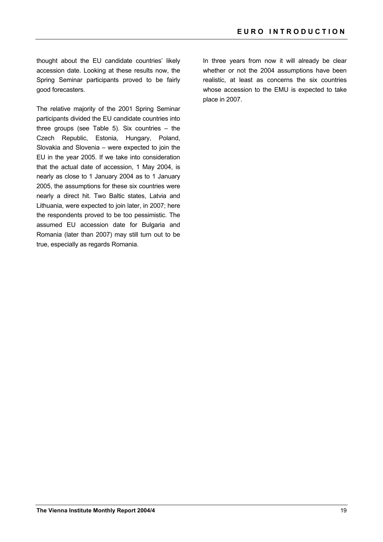thought about the EU candidate countries' likely accession date. Looking at these results now, the Spring Seminar participants proved to be fairly good forecasters.

The relative majority of the 2001 Spring Seminar participants divided the EU candidate countries into three groups (see Table 5). Six countries – the Czech Republic, Estonia, Hungary, Poland, Slovakia and Slovenia – were expected to join the EU in the year 2005. If we take into consideration that the actual date of accession, 1 May 2004, is nearly as close to 1 January 2004 as to 1 January 2005, the assumptions for these six countries were nearly a direct hit. Two Baltic states, Latvia and Lithuania, were expected to join later, in 2007; here the respondents proved to be too pessimistic. The assumed EU accession date for Bulgaria and Romania (later than 2007) may still turn out to be true, especially as regards Romania.

In three years from now it will already be clear whether or not the 2004 assumptions have been realistic, at least as concerns the six countries whose accession to the EMU is expected to take place in 2007.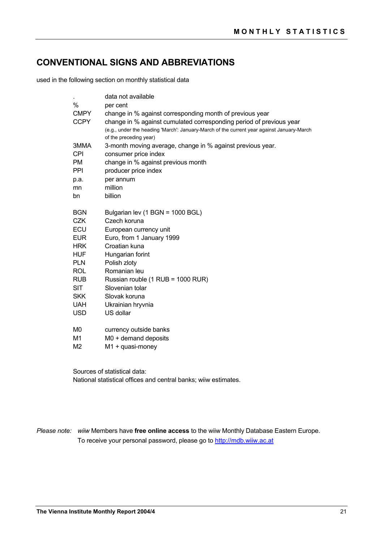## **CONVENTIONAL SIGNS AND ABBREVIATIONS**

used in the following section on monthly statistical data

|                            | data not available                                                                                                              |
|----------------------------|---------------------------------------------------------------------------------------------------------------------------------|
| $\%$                       | per cent                                                                                                                        |
| <b>CMPY</b><br><b>CCPY</b> | change in % against corresponding month of previous year<br>change in % against cumulated corresponding period of previous year |
|                            | (e.g., under the heading 'March': January-March of the current year against January-March<br>of the preceding year)             |
| 3MMA                       | 3-month moving average, change in % against previous year.                                                                      |
| <b>CPI</b>                 | consumer price index                                                                                                            |
| <b>PM</b>                  | change in % against previous month                                                                                              |
| PPI                        | producer price index                                                                                                            |
| p.a.                       | per annum                                                                                                                       |
| mn                         | million                                                                                                                         |
| bn                         | billion                                                                                                                         |
| <b>BGN</b>                 | Bulgarian lev (1 BGN = 1000 BGL)                                                                                                |
| <b>CZK</b>                 | Czech koruna                                                                                                                    |
| <b>ECU</b>                 | European currency unit                                                                                                          |
| <b>EUR</b>                 | Euro, from 1 January 1999                                                                                                       |
| <b>HRK</b>                 | Croatian kuna                                                                                                                   |
| <b>HUF</b>                 | Hungarian forint                                                                                                                |
| <b>PLN</b>                 | Polish zloty                                                                                                                    |
| <b>ROL</b>                 | Romanian leu                                                                                                                    |
| <b>RUB</b>                 | Russian rouble (1 RUB = 1000 RUR)                                                                                               |
| <b>SIT</b>                 | Slovenian tolar                                                                                                                 |
| <b>SKK</b>                 | Slovak koruna                                                                                                                   |
| <b>UAH</b>                 | Ukrainian hryvnia                                                                                                               |
| <b>USD</b>                 | US dollar                                                                                                                       |
| M0                         | currency outside banks                                                                                                          |
| M1                         | $MO +$ demand deposits                                                                                                          |
| M <sub>2</sub>             | $M1 + quasi-money$                                                                                                              |

Sources of statistical data: National statistical offices and central banks; wiiw estimates.

*Please note: wiiw* Members have **free online access** to the wiiw Monthly Database Eastern Europe. To receive your personal password, please go to http://mdb.wiiw.ac.at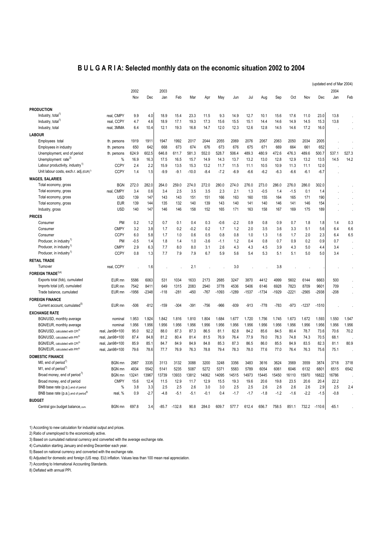## **B U L G A R I A: Selected monthly data on the economic situation 2002 to 2004**

|                                                    |                 |         |         |         |          |         |        |         |         |         |         |         |         |         |          | (updated end of Mar 2004) |       |
|----------------------------------------------------|-----------------|---------|---------|---------|----------|---------|--------|---------|---------|---------|---------|---------|---------|---------|----------|---------------------------|-------|
|                                                    |                 | 2002    |         | 2003    |          |         |        |         |         |         |         |         |         |         |          | 2004                      |       |
|                                                    |                 | Nov     | Dec     | Jan     | Feb      | Mar     | Apr    | May     | Jun     | Jul     | Aug     | Sep     | Oct     | Nov     | Dec      | Jan                       | Feb   |
| <b>PRODUCTION</b>                                  |                 |         |         |         |          |         |        |         |         |         |         |         |         |         |          |                           |       |
| Industry, total <sup>1)</sup>                      | real. CMPY      | 9.9     | 4.0     | 18.9    | 15.4     | 23.3    | 11.5   | 9.3     | 14.9    | 12.7    | 10.1    | 15.6    | 17.6    | 11.0    | 23.0     | 13.8                      |       |
| Industry, total <sup>1)</sup>                      | real, CCPY      | 4.7     | 4.6     | 18.9    | 17.1     | 19.3    | 17.3   | 15.6    | 15.5    | 15.1    | 14.4    | 14.6    | 14.9    | 14.5    | 15.3     | 13.8                      |       |
| Industry, total                                    | real, 3MMA      | 6.4     | 10.4    | 12.1    | 19.3     | 16.8    | 14.7   | 12.0    | 12.3    | 12.6    | 12.8    | 14.5    | 14.6    | 17.2    | 16.0     |                           |       |
|                                                    |                 |         |         |         |          |         |        |         |         |         |         |         |         |         |          |                           |       |
| <b>LABOUR</b>                                      |                 |         |         |         |          |         |        |         |         |         |         |         |         |         |          |                           |       |
| Employees total                                    | th. persons     | 1919    | 1911    | 1947    | 1992     | 2017    | 2044   | 2055    | 2069    | 2076    | 2067    | 2063    | 2050    | 2034    | 2005     |                           |       |
| Employees in industry                              | th. persons     | 650     | 642     | 668     | 673      | 674     | 676    | 673     | 676     | 675     | 671     | 669     | 664     | 661     | 652      |                           |       |
| Unemployment, end of period                        | th. persons     | 624.9   | 602.5   | 646.8   | 611.7    | 581.3   | 552.0  | 528.7   | 506.4   | 489.3   | 480.9   | 472.6   | 476.3   | 489.6   | 500.7    | 537.1                     | 527.3 |
| Unemployment rate <sup>2)</sup>                    | %               | 16.9    | 16.3    | 17.5    | 16.5     | 15.7    | 14.9   | 14.3    | 13.7    | 13.2    | 13.0    | 12.8    | 12.9    | 13.2    | 13.5     | 14.5                      | 14.2  |
| Labour productivity, industry <sup>1)</sup>        | <b>CCPY</b>     | 2.4     | 2.2     | 15.9    | 13.5     | 15.3    | 13.2   | 11.7    | 11.5    | 11.1    | 10.5    | 10.9    | 11.3    | 11.1    | 12.0     |                           |       |
| Unit labour costs, exch.r. adj.(EUR) <sup>1)</sup> | <b>CCPY</b>     | 1.4     | 1.5     | $-9.9$  | $-9.1$   | $-10.0$ | $-8.4$ | $-7.2$  | $-6.9$  | $-6.6$  | $-6.2$  | $-6.3$  | $-6.6$  | $-6.1$  | $-6.7$   |                           |       |
| <b>WAGES, SALARIES</b>                             |                 |         |         |         |          |         |        |         |         |         |         |         |         |         |          |                           |       |
| Total economy, gross                               | <b>BGN</b>      | 272.0   | 282.0   | 264.0   | 259.0    | 274.0   | 272.0  | 280.0   | 274.0   | 276.0   | 273.0   | 286.0   | 276.0   | 286.0   | 302.0    |                           |       |
| Total economy, gross                               | real, CMPY      | 3.4     | 0.6     | 3.4     | 2.5      | 3.5     | 3.5    | 2.3     | 2.1     | 1.3     | $-0.5$  | 1.4     | $-1.5$  | 0.1     | 1.4      |                           |       |
| Total economy, gross                               | <b>USD</b>      | 139     | 147     | 143     | 143      | 151     | 151    | 166     | 163     | 160     | 155     | 164     | 165     | 171     | 190      |                           |       |
| Total economy, gross                               | <b>EUR</b>      | 139     | 144     | 135     | 132      | 140     | 139    | 143     | 140     | 141     | 140     | 146     | 141     | 146     | 154      |                           |       |
| Industry, gross                                    | <b>USD</b>      | 140     | 147     | 146     | 146      | 158     | 152    | 165     | 171     | 163     | 158     | 167     | 169     | 175     | 189      |                           |       |
| <b>PRICES</b>                                      |                 |         |         |         |          |         |        |         |         |         |         |         |         |         |          |                           |       |
| Consumer                                           | PM              | 0.2     | 1.2     | 0.7     | 0.1      | 0.4     | 0.3    | $-0.6$  | $-2.2$  | 0.9     | 0.8     | 0.9     | 0.7     | 1.8     | 1.8      | 1.4                       | 0.3   |
| Consumer                                           | <b>CMPY</b>     | 3.2     | 3.8     | 1.7     | 0.2      | $-0.2$  | 0.2    | 1.7     | 1.2     | 2.0     | 3.5     | 3.6     | 3.3     | 5.1     | 5.6      | 6.4                       | 6.6   |
| Consumer                                           | <b>CCPY</b>     | 6.0     | 5.8     | 1.7     | 1.0      | 0.6     | 0.5    | 0.8     | 0.8     | 1.0     | 1.3     | 1.6     | 1.7     | 2.0     | 2.3      | 6.4                       | 6.5   |
| Producer, in industry <sup>1)</sup>                | PM              | $-0.5$  | 1.4     | 1.8     | 1.4      | 1.0     | $-3.6$ | $-1.1$  | 1.2     | 0.4     | 0.8     | 0.7     | 0.9     | 0.2     | 0.9      | 0.7                       |       |
| Producer, in industry <sup>1)</sup>                | <b>CMPY</b>     | 2.9     | 6.3     | 7.7     | 8.0      | 8.0     | 3.1    | 2.6     | 4.3     | 4.3     | 4.5     | 3.9     | 4.3     | 5.0     | 4.4      | 3.4                       |       |
| Producer, in industry <sup>1)</sup>                | <b>CCPY</b>     | 0.8     | 1.3     | 7.7     | 7.9      | 7.9     | 6.7    | 5.9     |         |         | 5.3     | 5.1     | 5.1     | 5.0     | 5.0      |                           |       |
|                                                    |                 |         |         |         |          |         |        |         | 5.6     | 5.4     |         |         |         |         |          | 3.4                       |       |
| <b>RETAIL TRADE</b>                                |                 |         |         |         |          |         |        |         |         |         |         |         |         |         |          |                           |       |
| Turnover                                           | real, CCPY      |         | 1.6     |         |          | 2.1     |        |         | 3.0     |         |         | 3.8     |         |         |          |                           |       |
| <b>FOREIGN TRADE</b> <sup>3)4)</sup>               |                 |         |         |         |          |         |        |         |         |         |         |         |         |         |          |                           |       |
| Exports total (fob), cumulated                     | EUR mn          | 5586    | 6063    | 531     | 1034     | 1633    | 2173   | 2685    | 3247    | 3870    | 4412    | 4999    | 5602    | 6144    | 6663     | 500                       |       |
| Imports total (cif), cumulated                     | EUR mn          | 7542    | 8411    | 649     | 1315     | 2083    | 2940   | 3778    | 4536    | 5406    | 6146    | 6928    | 7823    | 8709    | 9601     | 709                       |       |
| Trade balance, cumulated                           | EUR mn          | $-1956$ | $-2348$ | $-118$  | $-281$   | $-450$  | $-767$ | $-1093$ | $-1289$ | $-1537$ | $-1734$ | $-1929$ | $-2221$ | $-2565$ | $-2938$  | $-208$                    |       |
| <b>FOREIGN FINANCE</b>                             |                 |         |         |         |          |         |        |         |         |         |         |         |         |         |          |                           |       |
| Current account, cumulated <sup>b)</sup>           | EUR mn          | $-506$  | $-812$  | $-159$  | $-304$   | $-391$  | $-756$ | $-966$  | $-939$  | $-913$  | $-778$  | $-783$  | $-973$  | $-1237$ | $-1510$  |                           |       |
| <b>EXCHANGE RATE</b>                               |                 |         |         |         |          |         |        |         |         |         |         |         |         |         |          |                           |       |
| BGN/USD, monthly average                           | nominal         | 1.953   | 1.924   | 1.842   | 1.816    | 1.810   | 1.804  | 1.684   | 1.677   | 1.720   | 1.756   | 1.745   | 1.673   | 1.672   | 1.593    | 1.550                     | 1.547 |
| BGN/EUR, monthly average                           | nominal         | 1.956   | 1.956   | 1.956   | 1.956    | 1.956   | 1.956  | 1.956   | 1.956   | 1.956   | 1.956   | 1.956   | 1.956   | 1.956   | 1.956    | 1.956                     | 1.956 |
| BGN/USD, calculated with CPI6                      | real, Jan98=100 | 95.0    | 92.2    | 88.0    | 87.3     | 87.3    | 86.5   | 81.1    | 82.8    | 84.2    | 85.6    | 84.5    | 80.4    | 78.7    | 73.6     | 70.6                      | 70.2  |
| BGN/USD, calculated with PPI <sup>6)</sup>         | real, Jan98=100 | 87.4    | 84.8    | 81.2    | 80.4     | 81.4    | 81.5   | 76.9    | 76.4    | 77.9    | 79.0    | 78.3    | 74.8    | 74.3    | 70.5     | 68.1                      |       |
| BGN/EUR, calculated with CPI6)                     | real, Jan98=100 | 85.9    | 85.1    | 84.7    | 84.9     | 84.9    | 84.8   |         | 87.3    | 86.5    | 86.0    | 85.5    | 84.9    | 83.5    | 82.3     | 81.1                      | 80.9  |
| BGN/EUR, calculated with PPI <sup>6)</sup>         |                 |         |         |         |          |         |        | 85.3    |         |         |         |         |         |         |          |                           |       |
|                                                    | real, Jan98=100 | 79.6    | 78.6    | 77.7    | 76.9     | 76.3    | 78.8   | 79.4    | 78.3    | 78.0    | 77.6    | 77.0    | 76.4    | 76.3    | 75.6     | 75.1                      |       |
| <b>DOMESTIC FINANCE</b>                            |                 |         |         |         |          |         |        |         |         |         |         |         |         |         |          |                           |       |
| $MO$ , end of period <sup>7)</sup>                 | <b>BGN</b> mn   | 2987    | 3335    | 3113    | 3132     | 3088    | 3200   | 3248    | 3356    | 3483    | 3616    | 3624    | 3569    | 3559    | 3874     | 3718                      | 3718  |
| M <sub>1</sub> , end of period <sup>7</sup>        | <b>BGN</b> mn   | 4934    | 5542    | 5141    | 5235     | 5087    | 5272   | 5371    | 5583    | 5789    | 6054    | 6061    | 6046    | 6132    | 6801     | 6515                      | 6542  |
| Broad money, end of period <sup>7</sup>            | BGN mn          | 13241   | 13967   | 13739   | 13933    | 13812   | 14062  | 14095   | 14515   | 14973   | 15445   | 15450   | 16110   | 15970   | 16822    | 16786                     |       |
| Broad money, end of period                         | <b>CMPY</b>     | 15.6    | 12.4    | 11.5    | 12.9     | 11.7    | 12.9   | 15.5    | 19.3    | 19.6    | 20.6    | 19.8    | 23.5    | 20.6    | 20.4     | 22.2                      |       |
| BNB base rate (p.a.), end of period                | %               | 3.8     | 3.3     | 2.5     | 2.5      | 2.6     | 3.0    | 3.0     | 2.5     | 2.5     | 2.6     | 2.6     | 2.6     | 2.6     | 2.9      | 2.5                       | 2.4   |
| BNB base rate (p.a.), end of period <sup>8)</sup>  | real, %         | 0.9     | $-2.7$  | $-4.8$  | $-5.1$   | $-5.1$  | $-0.1$ | 0.4     | $-1.7$  | $-1.7$  | $-1.8$  | -1.2    | $-1.6$  | $-2.2$  | $-1.5$   | $-0.8$                    |       |
| <b>BUDGET</b>                                      |                 |         |         |         |          |         |        |         |         |         |         |         |         |         |          |                           |       |
| Central gov.budget balance, cum.                   | <b>BGN</b> mn   | 697.8   | 3.4     | $-85.7$ | $-132.8$ | 90.8    | 284.0  | 609.7   | 577.7   | 612.4   | 656.7   | 758.5   | 851.1   | 732.2   | $-110.6$ | $-65.1$                   |       |
|                                                    |                 |         |         |         |          |         |        |         |         |         |         |         |         |         |          |                           |       |

1) According to new calculation for industrial output and prices.

2) Ratio of unemployed to the economically active.

3) Based on cumulated national currency and converted with the average exchange rate.

4) Cumulation starting January and ending December each year.

5) Based on national currency and converted with the exchange rate.

6) Adjusted for domestic and foreign (US resp. EU) inflation. Values less than 100 mean real appreciation.

7) According to International Accounting Standards.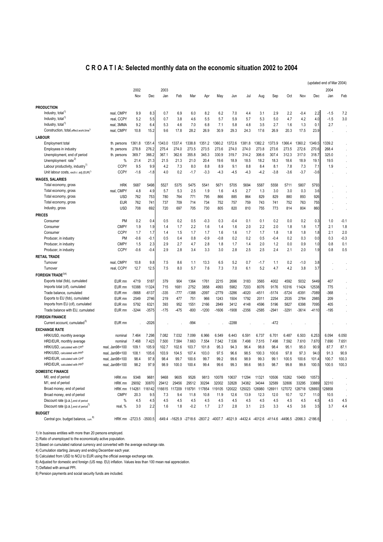### **C R O A T I A: Selected monthly data on the economic situation 2002 to 2004**

|                                                     |                        |         |         |        |        |         |               |                                                                                                |         |               |         |         |               |         |         | (updated end of Mar 2004) |         |
|-----------------------------------------------------|------------------------|---------|---------|--------|--------|---------|---------------|------------------------------------------------------------------------------------------------|---------|---------------|---------|---------|---------------|---------|---------|---------------------------|---------|
|                                                     |                        | 2002    |         | 2003   |        |         |               |                                                                                                |         |               |         |         |               |         |         | 2004                      |         |
|                                                     |                        | Nov     | Dec     | Jan    | Feb    | Mar     | Apr           | May                                                                                            | Jun     | Jul           | Aug     | Sep     | Oct           | Nov     | Dec     | Jan                       | Feb     |
| <b>PRODUCTION</b>                                   |                        |         |         |        |        |         |               |                                                                                                |         |               |         |         |               |         |         |                           |         |
| Industry, total <sup>1</sup>                        | real, CMPY             | 9.9     | 8.3     | 0.7    | 6.9    | 6.0     | 8.2           | 6.2                                                                                            | 7.0     | 4.4           | 3.1     | 2.9     | 2.2           | $-0.4$  | 2.2     | -1.5                      | 7.2     |
| Industry, total <sup>1)</sup>                       | real, CCPY             | 5.2     | 5.5     | 0.7    | 3.8    | 4.6     | 5.5           | 5.7                                                                                            | 5.9     | 5.7           | 5.3     | 5.0     | 4.7           | 4.2     | 4.0     | $-1.5$                    | 3.0     |
| Industry, total <sup>1)</sup>                       | real, 3MMA             | 9.2     | 6.4     | 5.3    | 4.6    | 7.0     | 6.8           | 7.1                                                                                            | 5.8     | 4.8           | 3.5     | 2.7     | 1.6           | 1.3     | 0.1     | 2.7                       |         |
| Construction, total, effect.work.time <sup>1)</sup> | real, CMPY             | 10.8    | 15.2    | 9.6    | 17.8   | 28.2    | 26.9          | 30.9                                                                                           | 29.3    | 24.3          | 17.6    | 26.9    | 20.3          | 17.5    | 23.9    |                           |         |
| <b>LABOUR</b>                                       |                        |         |         |        |        |         |               |                                                                                                |         |               |         |         |               |         |         |                           |         |
| Employment total                                    | th. persons            | 1361.8  | 1351.4  | 1343.0 | 1337.4 | 1338.8  | 1351.2        | 1360.2                                                                                         | 1372.6  | 1381.8        | 1382.2  | 1373.9  | 1366.4        | 1360.2  | 1349.5  | 1339.2                    |         |
| Employees in industry                               | th. persons            | 278.8   | 276.2   | 275.4  | 274.0  | 273.5   | 273.5         | 273.6                                                                                          | 274.0   | 274.0         | 273.8   | 273.6   | 273.5         | 272.6   | 270.6   | 268.4                     |         |
| Unemployment, end of period                         | th. persons            | 369.7   | 366.2   | 367.1  | 362.6  | 355.8   | 345.3         | 330.9                                                                                          | 319.7   | 314.2         | 306.6   | 307.4   | 312.3         | 317.0   | 318.7   | 325.0                     |         |
| Unemployment rate <sup>2)</sup>                     | %                      | 21.4    | 21.3    | 21.5   | 21.3   | 21.0    | 20.4          | 19.6                                                                                           | 18.9    | 18.5          | 18.2    | 18.3    | 18.6          | 18.9    | 19.1    | 19.5                      |         |
| Labour productivity, industry <sup>1)</sup>         | <b>CCPY</b>            | 9.5     | 9.9     | 4.2    | 7.3    | 8.0     | 8.8           | 8.9                                                                                            | 9.1     | 8.8           | 8.4     | 8.1     | 7.8           | 7.3     | 7.1     | 1.9                       |         |
| Unit labour costs, exch.r. adj.(EUR) <sup>1)</sup>  | <b>CCPY</b>            | $-1.6$  | $-1.8$  | 4.0    | 0.2    | $-1.7$  | $-3.3$        | $-4.3$                                                                                         | $-4.5$  | $-4.3$        | $-4.2$  | $-3.8$  | $-3.6$        | $-3.7$  | $-3.6$  |                           |         |
| <b>WAGES, SALARIES</b>                              |                        |         |         |        |        |         |               |                                                                                                |         |               |         |         |               |         |         |                           |         |
| Total economy, gross                                | <b>HRK</b>             | 5687    | 5498    | 5527   | 5375   | 5475    | 5541          | 5671                                                                                           | 5705    | 5694          | 5587    | 5558    | 5711          | 5807    | 5793    |                           |         |
| Total economy, gross                                | real, CMPY             | 4.8     | 4.9     | 5.7    | 5.3    | 2.5     | 1.9           | 1.6                                                                                            | 4.5     | 2.7           | 1.3     | 3.0     | 3.0           | 0.3     | 3.6     |                           |         |
| Total economy, gross                                | <b>USD</b>             | 762     | 753     | 780    | 764    | 771     | 795           | 866                                                                                            | 885     | 864           | 829     | 829     | 880           | 893     | 926     |                           |         |
| Total economy, gross                                | <b>EUR</b>             | 762     | 741     | 737    | 709    | 714     | 734           | 752                                                                                            | 757     | 759           | 743     | 741     | 752           | 763     | 755     |                           |         |
| Industry, gross                                     | <b>USD</b>             | 708     | 692     | 720    | 697    | 705     | 730           | 805                                                                                            | 820     | 810           | 755     | 773     | 814           | 804     | 860     |                           |         |
| <b>PRICES</b>                                       |                        |         |         |        |        |         |               |                                                                                                |         |               |         |         |               |         |         |                           |         |
| Consumer                                            | PM                     | 0.2     | 0.4     | 0.5    | 0.2    | 0.5     | $-0.3$        | 0.3                                                                                            | $-0.4$  | 0.1           | 0.1     | 0.2     | 0.0           | 0.2     | 0.3     | 1.0                       | $-0.1$  |
| Consumer                                            | <b>CMPY</b>            | 1.9     | 1.9     | 1.4    | 1.7    | 2.2     | 1.6           | 1.4                                                                                            | 1.6     | 2.0           | 2.2     | 2.0     | 1.8           | 1.8     | 1.7     | 2.1                       | 1.8     |
| Consumer                                            | <b>CCPY</b>            | 1.7     | 1.7     | 1.4    | 1.5    | 1.7     | 1.7           | 1.6                                                                                            | 1.6     | 1.7           | 1.7     | 1.8     | 1.8           | 1.8     | 1.8     | 2.1                       | 2.0     |
| Producer, in industry                               | PM                     | $-0.6$  | $-0.1$  | 0.5    | 0.4    | 0.8     | $-0.9$        | $-0.8$                                                                                         | 0.2     | 0.2           | 0.5     | $-0.4$  | 0.2           | 0.3     | 0.0     | 0.3                       | $-0.3$  |
| Producer, in industry                               | <b>CMPY</b>            | 1.5     | 2.3     | 2.9    | 2.7    | 4.7     | 2.8           | 1.8                                                                                            | 1.7     | 1.4           | 2.0     | 1.2     | 0.0           | 0.9     | 1.0     | 0.8                       | 0.1     |
| Producer, in industry                               | <b>CCPY</b>            | $-0.6$  | $-0.4$  | 2.9    | 2.8    | 3.4     | 3.3           | 3.0                                                                                            | 2.8     | 2.5           | 2.5     | 2.4     | 2.1           | 2.0     | 1.9     | 0.8                       | 0.5     |
| <b>RETAIL TRADE</b>                                 |                        |         |         |        |        |         |               |                                                                                                |         |               |         |         |               |         |         |                           |         |
| Turnover                                            | real, CMPY             | 10.8    | 9.8     | 7.5    | 8.6    | 1.1     | 13.3          | 6.5                                                                                            | 5.2     | 0.7           | $-1.7$  | 1.1     | 0.2           | $-1.0$  | 3.8     |                           |         |
| Turnover                                            | real, CCPY             | 12.7    | 12.5    | 7.5    | 8.0    | 5.7     | 7.6           | 7.3                                                                                            | 7.0     | 6.1           | 5.2     | 4.7     | 4.2           | 3.8     | 3.7     |                           |         |
| FOREIGN TRADE <sup>3)4)</sup>                       |                        |         |         |        |        |         |               |                                                                                                |         |               |         |         |               |         |         |                           |         |
| Exports total (fob), cumulated                      | EUR mn                 | 4719    | 5187    | 379    | 904    | 1364    | 1761          | 2215                                                                                           | 2696    | 3183          | 3565    | 4002    | 4592          | 5032    | 5449    | 407                       |         |
| Imports total (cif), cumulated                      | EUR mn                 | 10388   | 11324   | 715    | 1681   | 2752    | 3858          | 4993                                                                                           | 5982    | 7203          | 8076    | 9176    | 10316         | 11424   | 12538   | 775                       |         |
| Trade balance, cumulated                            | EUR mn                 | -5668   | $-6137$ | $-335$ | -777   | $-1388$ | -2097         | $-2779$                                                                                        | -3286   | $-4020$       | $-4511$ | $-5174$ | $-5724$       | $-6391$ | $-7089$ | $-368$                    |         |
| Exports to EU (fob), cumulated                      | EUR mn                 | 2549    | 2746    | 219    | 477    | 751     | 966           | 1243                                                                                           | 1504    | 1792          | 2011    | 2254    | 2535          | 2784    | 2985    | 209                       |         |
| Imports from EU (cif), cumulated                    | EUR mn                 | 5792    | 6321    | 393    | 952    | 1551    | 2166          | 2849                                                                                           | 3412    | 4148          | 4596    | 5196    | 5827          | 6398    | 7095    | 405                       |         |
| Trade balance with EU, cumulated                    | EUR mn                 | $-3244$ | $-3575$ | -175   | $-475$ | $-800$  | $-1200$       | $-1606$                                                                                        | $-1908$ | $-2356$       | $-2585$ | $-2941$ | -3291         | $-3614$ | $-4110$ | $-195$                    |         |
| <b>FOREIGN FINANCE</b>                              |                        |         |         |        |        |         |               |                                                                                                |         |               |         |         |               |         |         |                           |         |
| Current account, cumulated <sup>5)</sup>            | EUR mn                 |         | $-2026$ |        |        | $-994$  |               |                                                                                                | -2288   |               |         | -472    |               |         |         |                           |         |
| <b>EXCHANGE RATE</b>                                |                        |         |         |        |        |         |               |                                                                                                |         |               |         |         |               |         |         |                           |         |
| HRK/USD, monthly average                            | nominal                | 7.464   | 7.298   | 7.082  | 7.032  | 7.099   | 6.966         | 6.549                                                                                          | 6.443   | 6.591         | 6.737   | 6.701   | 6.487         | 6.503   | 6.253   | 6.094                     | 6.050   |
| HRD/EUR, monthly average                            | nominal                | 7.468   | 7.423   | 7.500  | 7.584  | 7.663   | 7.554         | 7.542                                                                                          | 7.536   | 7.498         | 7.515   | 7.498   | 7.592         | 7.610   | 7.670   | 7.690                     | 7.651   |
| HRK/USD, calculated with CPf <sup>6)</sup>          | real, Jan98=100        | 109.1   | 105.9   | 102.7  | 102.6  | 103.7   | 101.8         | 95.3                                                                                           | 94.3    | 96.4          | 98.8    | 98.4    | 95.1          | 95.0    | 90.9    | 87.7                      | 87.1    |
| HRK/USD, calculated with PPf <sup>6)</sup>          | real, Jan98=100        | 108.1   | 105.6   | 103.9  | 104.5  | 107.4   | 103.0         | 97.5                                                                                           | 96.6    | 98.5          | 100.3   | 100.6   | 97.8          | 97.3    | 94.0    | 91.3                      | 90.9    |
| HRD/EUR, calculated with CPf®                       | real, Jan98=100        | 98.4    | 97.8    | 98.4   | 99.7   | 100.6   | 99.7          | 99.2                                                                                           | 99.6    | 98.9          | 99.3    | 99.1    | 100.5         | 100.6   | 101.4   | 100.7                     | 100.3   |
| HRD/EUR, calculated with PPf <sup>6)</sup>          | real. Jan98=100        | 98.2    | 97.9    | 98.9   | 100.0  | 100.4   | 99.4          | 99.6                                                                                           | 99.3    | 98.6          | 98.5    | 98.7    | 99.8          | 99.8    | 100.5   | 100.5                     | 100.3   |
| <b>DOMESTIC FINANCE</b>                             |                        |         |         |        |        |         |               |                                                                                                |         |               |         |         |               |         |         |                           |         |
| M0, end of period                                   | HRK mn                 | 9348    | 9681    | 9468   | 9605   | 9526    | 9813          | 10078                                                                                          | 10637   | 11294         | 11321   | 10506   | 10262         | 10400   | 10573   |                           |         |
| M1, end of period                                   | HRK mn                 | 29092   | 30870   | 29412  | 29456  | 29512   | 30294         | 32002                                                                                          | 32828   | 34382         | 34044   | 32589   | 32806         | 33295   | 33889   | 32310                     |         |
| Broad money, end of period                          | HRK mn                 | 114261  | 116142  | 116615 | 117209 |         | 118791 117854 | 119105                                                                                         |         | 120022 125023 | 126980  | 126911  | 127072 128718 |         | 128893  | 128858                    |         |
| Broad money, end of period                          | <b>CMPY</b>            | 20.3    | 9.5     | 7.3    | 9.4    | 11.8    | 10.8          | 11.9                                                                                           | 12.6    | 13.9          | 12.3    | 12.0    | 10.7          | 12.7    | 11.0    | 10.5                      | $\cdot$ |
| Discount rate (p.a.), end of period                 | $\%$                   | 4.5     | 4.5     | 4.5    | 4.5    | 4.5     | 4.5           | 4.5                                                                                            | 4.5     | 4.5           | 4.5     | 4.5     | 4.5           | 4.5     | 4.5     | 4.5                       | 4.5     |
| Discount rate (p.a.), end of period'                | real, %                | 3.0     | 2.2     | 1.6    | 1.8    | $-0.2$  | 1.7           | 2.7                                                                                            | 2.8     | 3.1           | 2.5     | 3.3     | 4.5           | 3.6     | 3.5     | 3.7                       | 4.4     |
| <b>BUDGET</b>                                       |                        |         |         |        |        |         |               |                                                                                                |         |               |         |         |               |         |         |                           |         |
| Central gov. budget balance, cum. <sup>8)</sup>     | HRK mn -2723.5 -3500.5 |         |         |        |        |         |               | -649.4 -1625.9 -2718.6 -2837.2 -4007.7 -4021.9 -4432.4 -4012.6 -4114.6 -4496.5 -2066.3 -2186.6 |         |               |         |         |               |         |         |                           |         |
|                                                     |                        |         |         |        |        |         |               |                                                                                                |         |               |         |         |               |         |         |                           |         |

1) In business entities with more than 20 persons employed.

2) Ratio of unemployed to the economically active population.

3) Based on cumulated national currency and converted with the average exchange rate.

4) Cumulation starting January and ending December each year.

5) Calculated from USD to NCU to EUR using the official average exchange rate.

6) Adjusted for domestic and foreign (US resp. EU) inflation. Values less than 100 mean real appreciation.

7) Deflated with annual PPI.

8) Pension payments and social security funds are included.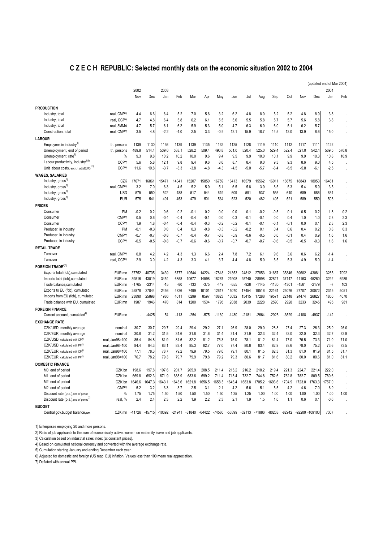### **C Z E C H REPUBLIC: Selected monthly data on the economic situation 2002 to 2004**

|                                                      |                 |          |         |               |        |          |               |         |         |          |          |          |          |         |                | (updated end of Mar 2004) |                      |
|------------------------------------------------------|-----------------|----------|---------|---------------|--------|----------|---------------|---------|---------|----------|----------|----------|----------|---------|----------------|---------------------------|----------------------|
|                                                      |                 | 2002     |         | 2003          |        |          |               |         |         |          |          |          |          |         |                | 2004                      |                      |
|                                                      |                 | Nov      | Dec     | Jan           | Feb    | Mar      | Apr           | May     | Jun     | Jul      | Aug      | Sep      | Oct      | Nov     | Dec            | Jan                       | Feb                  |
|                                                      |                 |          |         |               |        |          |               |         |         |          |          |          |          |         |                |                           |                      |
| <b>PRODUCTION</b>                                    |                 |          |         |               |        |          |               |         |         |          |          |          |          |         |                |                           |                      |
| Industry, total                                      | real, CMPY      | 4.4      | 6.6     | 6.4           | 5.2    | 7.0      | 5.6           | 3.2     | 6.2     | 4.8      | 8.0      | 5.2      | 5.2      | 4.8     | 8.9            | 3.8                       |                      |
| Industry, total                                      | real. CCPY      | 4.7      | 4.8     | 6.4           | 5.8    | 6.2      | 6.1           | 5.5     | 5.6     | 5.5      | 5.8      | 5.7      | 5.7      | 5.6     | 5.8            | 3.8                       |                      |
| Industry, total                                      | real, 3MMA      | 4.7      | 5.7     | 6.1           | 6.2    | 5.9      | 5.3           | 5.0     | 4.7     | 6.3      | 6.0      | 6.0      | 5.1      | 6.2     | 5.7            |                           |                      |
| Construction, total                                  | real, CMPY      | 3.5      | 4.8     | $-2.2$        | $-4.0$ | 2.5      | 3.3           | $-0.9$  | 12.1    | 15.9     | 18.7     | 14.5     | 12.0     | 13.9    | 8.6            | 15.0                      |                      |
| <b>LABOUR</b>                                        |                 |          |         |               |        |          |               |         |         |          |          |          |          |         |                |                           |                      |
| Employees in industry <sup>1)</sup>                  | th. persons     | 1139     | 1130    | 1136          | 1139   | 1139     | 1135          | 1132    | 1125    | 1128     | 1119     | 1110     | 1112     | 1117    | 1111           | 1122                      |                      |
| Unemployment, end of period                          | th. persons     | 489.8    | 514.4   | 539.0         | 538.1  | 528.2    | 509.4         | 496.8   | 501.0   | 520.4    | 525.0    | 529.4    | 522.4    | 521.0   | 542.4          | 569.5                     | 570.8                |
| Unemployment rate <sup>2)</sup>                      | %               | 9.3      | 9.8     | 10.2          | 10.2   | 10.0     | 9.6           | 9.4     | 9.5     | 9.9      | 10.0     | 10.1     | 9.9      | 9.9     | 10.3           | 10.8                      | 10.9                 |
| Labour productivity, industry <sup>1)3)</sup>        | <b>CCPY</b>     | 5.6      | 5.8     | 12.1          | 9.8    | 9.4      | 9.6           | 8.6     | 8.7     | 8.4      | 9.0      | 9.3      | 9.3      | 8.6     | 9 <sub>c</sub> | 4.5                       |                      |
| Unit labour costs, exch.r. adj.(EUR) <sup>1)3)</sup> | <b>CCPY</b>     | 11.6     | 10.8    | $-3.7$        | $-3.3$ | $-3.8$   | $-4.8$        | $-4.3$  | $-4.5$  | $-5.0$   | $-5.7$   | $-6.4$   | $-6.5$   | $-5.8$  | $-6.1$         | $-2.5$                    |                      |
| <b>WAGES, SALARIES</b>                               |                 |          |         |               |        |          |               |         |         |          |          |          |          |         |                |                           |                      |
| Industry, gross <sup>1</sup>                         | CZK             | 17671    | 16861   | 15471         | 14341  | 15207    | 15850         | 16759   | 6413    | 16579    | 15562    | 16011    | 16675    | 18843   | 18053          | 16461                     |                      |
| Industry, gross <sup>1)</sup>                        | real, CMPY      | 3.2      | 7.0     | 6.3           | 4.5    | 5.2      | 5.9           | 5.1     | 6.5     | 5.8      | 3.9      | 8.5      | 5.3      | 5.4     | 5.9            | 3.5                       |                      |
| Industry, gross <sup>1)</sup>                        | <b>USD</b>      | 575      | 550     | 522           | 488    | 517      | 544           | 619     | 609     | 591      | 537      | 555      | 610      | 689     | 686            | 634                       |                      |
| Industry, gross <sup>1)</sup>                        | <b>EUR</b>      | 575      | 541     | 491           | 453    | 479      | 501           | 534     | 523     | 520      | 482      | 495      | 521      | 589     | 559            | 503                       |                      |
|                                                      |                 |          |         |               |        |          |               |         |         |          |          |          |          |         |                |                           | $\ddot{\phantom{a}}$ |
| <b>PRICES</b>                                        |                 |          |         |               |        |          |               |         |         |          |          |          |          |         |                |                           |                      |
| Consumer                                             | PM              | $-0.2$   | 0.2     | 0.6           | 0.2    | $-0.1$   | 0.2           | 0.0     | 0.0     | 0.1      | $-0.2$   | $-0.5$   | 0.1      | 0.5     | 0.2            | 1.8                       | 0.2                  |
| Consumer                                             | <b>CMPY</b>     | 0.5      | 0.6     | $-0.4$        | $-0.4$ | $-0.4$   | $-0.1$        | 0.0     | 0.3     | $-0.1$   | $-0.1$   | 0.0      | 0.4      | 1.0     | 1.0            | 2.3                       | 2.3                  |
| Consumer                                             | CCPY            | 1.9      | 1.8     | $-0.4$        | $-0.4$ | $-0.4$   | $-0.3$        | $-0.2$  | $-0.2$  | $-0.1$   | $-0.1$   | $-0.1$   | $-0.1$   | 0.0     | 0.1            | 2.3                       | 2.3                  |
| Producer, in industry                                | <b>PM</b>       | $-0.1$   | $-0.3$  | 0.0           | 0.4    | 0.3      | $-0.8$        | $-0.3$  | $-0.2$  | $-0.2$   | 0.1      | 0.4      | 0.6      | 0.4     | 0.2            | 0.8                       | 0.3                  |
| Producer, in industry                                | <b>CMPY</b>     | $-0.7$   | $-0.7$  | $-0.8$        | $-0.7$ | $-0.4$   | $-0.7$        | $-0.8$  | $-0.9$  | $-0.6$   | $-0.5$   | 0.0      | $-0.1$   | 0.4     | 0.9            | 1.6                       | 1.6                  |
| Producer, in industry                                | <b>CCPY</b>     | $-0.5$   | $-0.5$  | $-0.8$        | $-0.7$ | $-0.6$   | $-0.6$        | $-0.7$  | $-0.7$  | $-0.7$   | $-0.7$   | $-0.6$   | $-0.5$   | $-0.5$  | $-0.3$         | 1.6                       | 1.6                  |
| <b>RETAIL TRADE</b>                                  |                 |          |         |               |        |          |               |         |         |          |          |          |          |         |                |                           |                      |
| Tumover                                              | real. CMPY      | 0.8      | 4.2     | 4.2           | 4.3    | 1.3      | 6.6           | 2.4     | 7.8     | 7.2      | 6.1      | 9.6      | 3.6      | 0.6     | 6.2            | $-1.4$                    |                      |
| Turnover                                             | real, CCPY      | 2.9      | 3.0     | 4.2           | 4.3    | 3.3      | 4.1           | 3.7     | 4.4     | 4.8      | 5.0      | 5.5      | 5.3      | 4.9     | 5.0            | $-1.4$                    |                      |
| <b>FOREIGN TRADE</b> <sup>4)5)</sup>                 |                 |          |         |               |        |          |               |         |         |          |          |          |          |         |                |                           |                      |
| Exports total (fob), cumulated                       | EUR mn          | 37752    | 40705   | 3439          | 6777   | 10544    | 14224         | 17818   | 21353   | 24812    | 27853    | 31687    | 35846    | 39602   | 43081          | 3285                      | 7092                 |
| Imports total (fob), cumulated                       | EUR mn          | 39516    | 43019   | 3454          | 6858   | 10677    | 14598         | 18267   | 21908   | 25740    | 28998    | 32817    | 37147    | 41163   | 45260          | 3292                      | 6989                 |
| Trade balance, cumulated                             | EUR mn          | $-1765$  | $-2314$ | $-15$         | $-80$  | $-133$   | $-375$        | $-449$  | $-555$  | $-928$   | $-1145$  | $-1130$  | $-1301$  | $-1561$ | $-2179$        | $-7$                      | 103                  |
| Exports to EU (fob), cumulated                       | EUR mn          | 25878    | 27844   | 2456          | 4826   | 7499     | 10101         | 12617   | 15070   | 17454    | 19516    | 22161    | 25076    | 27707   | 30072          | 2345                      | 5051                 |
| Imports from EU (fob), cumulated                     | EUR mn          | 23890    | 25898   | 1986          | 4011   | 6299     | 8597          | 10823   | 13032   | 15415    | 17288    | 19571    | 22148    | 24474   | 26827          | 1850                      | 4070                 |
| Trade balance with EU, cumulated                     | EUR mn          | 1987     | 1946    | 470           | 814    | 1200     | 1504          | 1795    | 2038    | 2039     | 2228     | 2590     | 2928     | 3233    | 3245           | 495                       | 981                  |
| <b>FOREIGN FINANCE</b>                               |                 |          |         |               |        |          |               |         |         |          |          |          |          |         |                |                           |                      |
| Current account, cumulated <sup>4</sup>              | EUR mn          |          | $-4425$ | 54            | $-113$ | $-254$   | $-575$        | $-1139$ | $-1430$ | $-2181$  | $-2664$  | $-2925$  | $-3529$  | $-4108$ | $-4937$        | $-142$                    |                      |
|                                                      |                 |          |         |               |        |          |               |         |         |          |          |          |          |         |                |                           |                      |
| <b>EXCHANGE RATE</b>                                 |                 |          |         |               |        |          |               |         |         |          |          |          |          |         |                |                           |                      |
| CZK/USD, monthly average                             | nominal         | 30.7     | 30.7    | 29.7          | 29.4   | 29.4     | 29.2          | 27.1    | 26.9    | 28.0     | 29.0     | 28.8     | 27.4     | 27.3    | 26.3           | 25.9                      | 26.0                 |
| CZK/EUR, monthly average                             | nominal         | 30.8     | 31.2    | 31.5          | 31.6   | 31.8     | 31.6          | 31.4    | 31.4    | 31.9     | 32.3     | 32.4     | 32.0     | 32.0    | 32.3           | 32.7                      | 32.9                 |
| CZK/USD, calculated with CP(6)                       | real, Jan98=100 | 85.4     | 84.8    | 81.9          | 81.6   | 82.2     | 81.2          | 75.3    | 75.0    | 78.1     | 81.2     | 81.4     | 77.0     | 76.5    | 73.3           | 71.0                      | 71.0                 |
| CZK/USD, calculated with PPf6)                       | real. Jan98=100 | 84.4     | 84.3    | 83.1          | 83.4   | 85.3     | 82.7          | 77.0    | 77.4    | 80.6     | 83.4     | 82.9     | 78.6     | 78.0    | 75.2           | 73.6                      | 73.5                 |
| CZK/EUR, calculated with CP(6)                       | real, Jan98=100 | 77.1     | 78.3    | 78.7          | 79.2   | 79.9     | 79.5          | 79.0    | 79.1    | 80.1     | 81.5     | 82.3     | 81.3     | 81.0    | 81.9           | 81.5                      | 81.7                 |
| CZK/EUR, calculated with PP(6)                       | real. Jan98=100 | 76.7     | 78.2    | 79.3          | 79.7   | 79.9     | 79.8          | 79.2    | 79.3    | 80.6     | 81.7     | 81.6     | 80.2     | 80.0    | 80.6           | 81.0                      | 81.1                 |
| <b>DOMESTIC FINANCE</b>                              |                 |          |         |               |        |          |               |         |         |          |          |          |          |         |                |                           |                      |
| M0, end of period                                    | CZK bn          | 198.6    | 197.8   | 197.6         | 201.7  | 205.9    | 208.5         | 211.4   | 215.2   | 216.2    | 218.2    | 219.4    | 221.3    | 224.7   | 221.4          | 222.0                     |                      |
| M1, end of period                                    | CZK bn          | 669.8    | 692.3   | 671.9         | 688.9  | 683.6    | 699.2         | 711.4   | 718.4   | 732.7    | 744.8    | 752.6    | 762.8    | 782.7   | 809.5          | 789.6                     |                      |
| M2, end of period                                    | CZK bn          | 1646.6   | 1647.3  | 1643.1        | 1643.6 | 1621.8   | 1656.5        | 1658.5  | 1646.4  | 1683.8   | 1705.2   | 1693.6   | 1704.9   | 1723.0  | 1763.3         | 1757.0                    |                      |
| M2, end of period                                    | <b>CMPY</b>     | 5.2      | 3.2     | 3.3           | 3.7    | 2.5      | 3.1           | 2.1     | 4.2     | 5.6      | 5.1      | 5.5      | 4.2      | 4.6     | 7.0            | 6.9                       |                      |
| Discount rate (p.a.), end of period                  | %               | 1.75     | 1.75    | 1.50          | 1.50   | 1.50     | 1.50          | 1.50    | 1.25    | 1.25     | 1.00     | 1.00     | 1.00     | 1.00    | 1.00           | 1.00                      | 1.00                 |
| Discount rate (p.a.), end of period <sup>11</sup>    | real, %         | 2.4      | 2.4     | 2.3           | 2.2    | 1.9      | 2.2           | 2.3     | 2.1     | 1.9      | 1.5      | 1.0      | 1.1      | 0.6     | 0.1            | $-0.6$                    |                      |
| <b>BUDGET</b>                                        |                 |          |         |               |        |          |               |         |         |          |          |          |          |         |                |                           |                      |
| Central gov.budget balance,cum.                      | CZK mn          | $-41726$ |         | -45715 -10392 | -24941 | $-31840$ | -64422 -74586 |         | -53399  | $-62113$ | $-71886$ | $-80268$ | $-82942$ |         | -92209 -109100 | 7307                      |                      |
|                                                      |                 |          |         |               |        |          |               |         |         |          |          |          |          |         |                |                           |                      |

1) Enterprises employing 20 and more persons.

2) Ratio of job applicants to the sum of economically active, women on maternity leave and job applicants.

3) Calculation based on industrial sales index (at constant prices).

4) Based on cumulated national currency and converted with the average exchange rate.

5) Cumulation starting January and ending December each year.

6) Adjusted for domestic and foreign (US resp. EU) inflation. Values less than 100 mean real appreciation.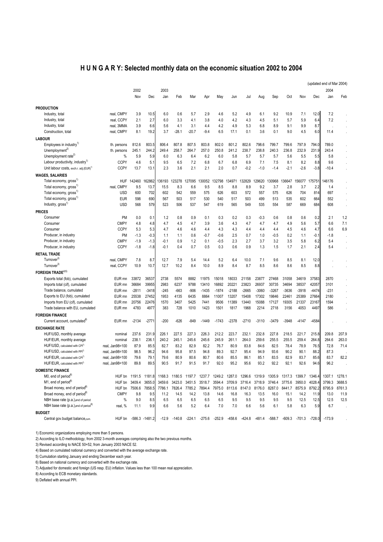## **H U N G A R Y: Selected monthly data on the economic situation 2002 to 2004**

|                                                    |                 |                      |                |        |          |                      |          |          |                      |          |               |          |               |          |          | (updated end of Mar 2004) |         |
|----------------------------------------------------|-----------------|----------------------|----------------|--------|----------|----------------------|----------|----------|----------------------|----------|---------------|----------|---------------|----------|----------|---------------------------|---------|
|                                                    |                 | 2002                 |                | 2003   |          |                      |          |          |                      |          |               |          |               |          |          | 2004                      |         |
|                                                    |                 | Nov                  | Dec            | Jan    | Feb      | Mar                  | Apr      | May      | Jun                  | Jul      | Aug           | Sep      | Oct           | Nov      | Dec      | Jan                       | Feb     |
|                                                    |                 |                      |                |        |          |                      |          |          |                      |          |               |          |               |          |          |                           |         |
| <b>PRODUCTION</b>                                  |                 |                      |                |        |          |                      |          |          |                      |          |               |          |               |          |          |                           |         |
| Industry, total                                    | real, CMPY      | 3.9                  | 10.5           | 6.0    | 0.6      | 5.7                  | 2.9      | 4.6      | 5.2                  | 4.9      | 6.1           | 9.2      | 10.9          | 7.1      | 12.0     | 7.2                       |         |
| Industry, total                                    | real, CCPY      | 2.1                  | 2.7            | 6.0    | 3.3      | 4.1                  | 3.8      | 4.0      | 4.2                  | 4.3      | 4.5           | 5.1      | 5.7           | 5.9      | 6.4      | 7.2                       |         |
| Industry, total                                    | real, 3MMA      | 3.9                  | 6.6            | 5.6    | 4.1      | 3.1                  | 4.4      | 4.2      | 4.9                  | 5.3      | 6.8           | 8.9      | 9.1           | 9.9      | 8.7      |                           |         |
| Construction, total                                | real, CMPY      | 8.1                  | 19.2           | 3.7    | $-28.1$  | $-20.7$              | $-9.4$   | 6.5      | 17.1                 | 0.1      | 3.6           | 0.1      | 9.0           | 4.5      | 6.0      | 11.4                      |         |
| <b>LABOUR</b>                                      |                 |                      |                |        |          |                      |          |          |                      |          |               |          |               |          |          |                           |         |
| Employees in industry <sup>1)</sup>                | th. persons     | 812.6                | 803.5          | 806.4  | 807.8    | 807.5                | 803.8    | 802.0    | 801.2                | 802.6    | 798.6         | 799.7    | 799.6         | 797.9    | 794.0    | 789.0                     |         |
| Unemployment <sup>2)</sup>                         | th. persons     | 245.1                | 244.2          | 249.4  | 258.7    | 264.7                | 257.0    | 250.8    | 241.2                | 238.7    | 238.8         | 240.3    | 236.8         | 232.9    | 231.9    | 243.4                     |         |
| Unemployment rate <sup>2)</sup>                    | $\%$            | 5.9                  | 5.9            | 6.0    | 6.3      | 6.4                  | 6.2      | 6.0      | 5.8                  | 5.7      | 5.7           | 5.7      | 5.6           | 5.5      | 5.5      | 5.8                       |         |
| Labour productivity, industry <sup>1)</sup>        | <b>CCPY</b>     | 4.6                  | 5.1            | 9.5    | 6.5      | 7.2                  | 6.8      | 6.7      | 6.8                  | 6.9      | 7.1           | 7.5      | 8.1           | 8.2      | 8.8      | 9.6                       |         |
| Unit labour costs, exch.r. adj.(EUR) <sup>1)</sup> | <b>CCPY</b>     | 13.7                 | 13.1           | 2.3    | 3.6      | 2.1                  | 2.1      | 2.0      | 0.7                  | $-0.2$   | $-1.0$        | $-1.4$   | $-2.1$        | $-2.6$   | $-3.8$   | $-10.4$                   |         |
| <b>WAGES, SALARIES</b>                             |                 |                      |                |        |          |                      |          |          |                      |          |               |          |               |          |          |                           |         |
| Total economy, gross <sup>1)</sup>                 | <b>HUF</b>      | 142460               | 162862         | 136193 | :3278    | 127095               | 130052   | 132798   | 134971               | 132829   | 129620        | 130968   | 136647        | 56077    | 175751   | 146176                    |         |
| Total economy, gross <sup>1)</sup>                 | real, CMPY      | 9.5                  | 13.7           | 15.5   | 8.3      | 6.6                  | 9.5      | 8.5      | 8.8                  | 8.9      | 9.2           | 3.7      | 2.8           | 3.7      | 2.2      | 1.4                       |         |
| Total economy, gross <sup>1)</sup>                 | <b>USD</b>      | 600                  | 702            | 602    | 542      | 559                  | 575      | 626      | 603                  | 572      | 557           | 575      | 626           | 704      | 814      | 697                       |         |
| Total economy, gross <sup>1)</sup>                 | <b>EUR</b>      | 598                  | 690            | 567    | 503      | 517                  | 530      | 540      | 517                  | 503      | 499           | 513      | 535           | 602      | 664      | 552                       |         |
| Industry, gross <sup>1)</sup>                      | <b>USD</b>      | 568                  | 579            | 523    | 506      | 537                  | 547      | 619      | 565                  | 549      | 535           | 554      | 587           | 669      | 684      | 608                       |         |
| <b>PRICES</b>                                      |                 |                      |                |        |          |                      |          |          |                      |          |               |          |               |          |          |                           | $\cdot$ |
| Consumer                                           |                 |                      |                |        |          |                      |          |          |                      |          |               |          |               |          |          |                           |         |
|                                                    | PM              | 0.0                  | 0.1            | 1.2    | 0.8      | 0.9                  | 0.1      | 0.3      | 0.2                  | 0.3      | $-0.3$        | 0.6      | 0.8           | 0.6      | 0.2      | 2.1                       | 1.2     |
| Consumer                                           | <b>CMPY</b>     | 4.8                  | 4.8            | 4.7    | 4.5      | 4.7                  | 3.9      | 3.6      | 4.3                  | 4.7      | 4.7           | 4.7      | 4.9           | 5.6      | 5.7      | 6.6                       | 7.1     |
| Consumer                                           | <b>CCPY</b>     | 5.3                  | 5.3            | 4.7    | 4.6      | 4.6                  | 4.4      | 4.3      | 4.3                  | 4.4      | 4.4           | 4.4      | 4.5           | 4.6      | 4.7      | 6.6                       | 6.9     |
| Producer, in industry                              | PM              | $-1.3$               | $-0.3$         | 1.1    | 1.1      | 0.6                  | -0.7     | $-0.6$   | 2.5                  | 0.7      | 1.0           | $-0.5$   | 0.2           | 1.1      | $-0.1$   | $-1.8$                    |         |
| Producer, in industry                              | <b>CMPY</b>     | $-1.9$               | $-1.3$         | $-0.1$ | 0.9      | 1.2                  | 0.1      | $-0.5$   | 2.3                  | 2.7      | 3.7           | 3.2      | 3.5           | 5.8      | 6.2      | 5.4                       |         |
| Producer, in industry                              | <b>CCPY</b>     | $-1.8$               | $-1.8$         | $-0.1$ | 0.4      | 0.7                  | 0.5      | 0.3      | 0.6                  | 0.9      | 1.3           | 1.5      | 1.7           | 2.1      | 2.4      | 5.4                       |         |
| <b>RETAIL TRADE</b>                                |                 |                      |                |        |          |                      |          |          |                      |          |               |          |               |          |          |                           |         |
| Turnover <sup>3)</sup>                             | real, CMPY      | 7.8                  | 8.7            | 12.7   | 7.9      | 5.4                  | 14.4     | 5.2      | 6.4                  | 10.0     | 7.1           | 9.6      | 8.5           | 8.1      | 12.0     |                           |         |
| Turnover <sup>3)</sup>                             | real, CCPY      | 10.9                 | 10.7           | 12.7   | 10.2     | 8.4                  | 10.0     | 8.9      | 8.4                  | 8.7      | 8.5           | 8.6      | 8.6           | 8.5      | 8.8      |                           |         |
| <b>FOREIGN TRADE4)5)</b>                           |                 |                      |                |        |          |                      |          |          |                      |          |               |          |               |          |          |                           |         |
| Exports total (fob), cumulated                     | EUR mn          | 33872                | 36537          | 2738   | 5574     | 8882                 | 11975    | 15018    | 18033                | 21158    | 23877         | 27468    | 31058         | 34619    | 37583    | 2870                      |         |
| Imports total (cif), cumulated                     | EUR mn          | 36684                | 39955          | 2983   | 6237     | 9788                 | 13410    | 16892    | 20221                | 23823    | 26937         | 30735    | 34694         | 38537    | 42057    | 3101                      |         |
| Trade balance, cumulated                           | EUR mn          | $-2811$              | $-3418$        | $-245$ | $-663$   | $-906$               | $-1435$  | $-1874$  | $-2188$              | $-2665$  | $-3060$       | $-3267$  | -3636         | $-3918$  | $-4474$  | $-231$                    |         |
| Exports to EU (fob), cumulated                     | EUR mn          | 25538                | 27452          | 1953   | 4135     | 6435                 | 8864     | 11007    | 13207                | 15408    | 17302         | 19846    | 22461         | 25389    | 27664    | 2180                      |         |
| Imports from EU (cif), cumulated                   | EUR mn          | 20756                | 22476          | 1570   | 3407     | 5425                 | 7441     | 9506     | 11389                | 13440    | 15088         | 17127    | 19305         | 21337    | 23167    | 1594                      |         |
| Trade balance with EU, cumulated                   | EUR mn          | 4783                 | 4977           | 383    | 728      | 1010                 | 1423     | 1501     | 1817                 | 1968     | 2214          | 2718     | 3156          | 4053     | 4497     | 586                       |         |
| <b>FOREIGN FINANCE</b>                             |                 |                      |                |        |          |                      |          |          |                      |          |               |          |               |          |          |                           |         |
| Current account, cumulated <sup>6)</sup>           | EUR mn          | $-2134$              | -2771          | $-200$ | $-626$   | $-849$               | $-1449$  | $-1743$  | $-2378$              | $-2710$  | $-3110$       | $-3479$  | -3948         | -4147    | $-4584$  |                           |         |
| <b>EXCHANGE RATE</b>                               |                 |                      |                |        |          |                      |          |          |                      |          |               |          |               |          |          |                           |         |
| HUF/USD, monthly average                           | nominal         | 237.6                | 231.9          | 226.1  | 227.5    | 227.3                | 226.3    | 212.2    | 223.7                | 232.1    | 232.8         | 227.8    | 218.5         | 221.7    | 215.8    | 209.8                     | 207.9   |
| HUF/EUR, monthly average                           | nominal         | 238.1                | 236.           | 240.2  | 245.1    | 245.6                | 245.6    | 245.9    | 261.1                | 264.0    | 259.6         | 255.5    | 255.5         | 259.4    | 264.8    | 264.6                     | 263.0   |
| HUF/USD, calculated with CPI <sup>7)</sup>         | real, Jan98=100 | 87.9                 | 85.5           | 82.7   | 83.2     | 82.9                 | 82.2     | 76.7     | 80.9                 | 83.8     | 84.6          | 82.5     | 78.4          | 78.9     | 76.5     | 72.8                      | 71.4    |
| HUF/USD, calculated with PPI <sup>7)</sup>         | real, Jan98=100 | 98.5                 | 96.2           | 94.6   | 95.8     | 97.5                 | 94.8     | 89.3     | 92.7                 | 95.4     | 94.9          | 93.6     | 90.2          | 90.1     | 88.2     | 87.3                      |         |
| HUF/EUR, calculated with CPI <sup>71</sup>         | real, Jan98=100 | 79.6                 | 79.1           | 79.6   | 80.9     | 80.6                 | 80.7     | 80.6     | 85.5                 | 86.1     | 85.1          | 83.5     | 82.9          | 83.7     | 85.6     | 83.7                      | 82.2    |
| HUF/EUR, calculated with PPI <sup>7)</sup>         | real, Jan98=100 | 89.8                 | 89.5           | 90.5   | 91.7     | 91.5                 | 91.7     | 92.0     | 95.2                 | 95.6     | 93.2          | 92.2     | 92.1          | 92.6     | 94.6     | 96.2                      |         |
|                                                    |                 |                      |                |        |          |                      |          |          |                      |          |               |          |               |          |          |                           |         |
| <b>DOMESTIC FINANCE</b>                            |                 |                      |                |        |          |                      |          |          |                      |          |               |          |               |          |          |                           |         |
| M0, end of period <sup>8)</sup>                    |                 | HUF bn 1191.5 1181.8 |                |        |          | 1168.3 1180.5 1197.7 | 1237.7   |          | 1249.2 1287.0 1296.6 |          | 1319.9 1305.9 |          | 1317.3        | 1399.7   | 1346.4   | 1307.1                    | 1278.1  |
| M1, end of period <sup>8)</sup>                    | HUF bn 3409.4   |                      | 3655.0         | 3459.6 | 3423.0   | 3451.5               | 3518.7   | 3594.4   | 3709.9               | 3716.4   | 3718.9        | 3746.4   | 3775.6        | 3950.0   | 4028.4   | 3799.3                    | 3688.5  |
| Broad money, end of period <sup>8)</sup>           | HUF bn          | 7506.6 7858.5        |                | 7786.1 |          | 7826.4 7785.2        | 7894.4   | 7975.0   | 8113.6               | 8147.0   | 8176.0        | 8287.0   | 8441.7 8575.9 |          | 8792.2   | 8795.9                    | 8761.3  |
| Broad money, end of period <sup>8)</sup>           | <b>CMPY</b>     | 9.8                  | 9.5            | 11.2   | 14.5     | 14.2                 | 13.8     | 14.6     | 16.8                 | 16.3     | 13.5          | 16.0     | 15.1          | 14.2     | 11.9     | 13.0                      | 11.9    |
| NBH base rate (p.a.), end of period                | $\%$            | 9.0                  | 8.5            | 6.5    | 6.5      | 6.5                  | 6.5      | 6.5      | 9.5                  | 9.5      | 9.5           | 9.5      | 9.5           | 12.5     | 12.5     | 12.5                      | 12.5    |
| NBH base rate (p.a.), end of period <sup>9)</sup>  | real, %         | 11.1                 | 9.9            | 6.6    | 5.6      | 5.2                  | 6.4      | 7.0      | 7.0                  | 6.6      | 5.6           | 6.1      | 5.8           | 6.3      | 5.9      | 6.7                       |         |
| <b>BUDGET</b>                                      |                 |                      |                |        |          |                      |          |          |                      |          |               |          |               |          |          |                           |         |
| Central gov.budget balance,cum.                    | HUF bn          |                      | -586.3 -1481.2 | -12.9  | $-140.8$ | $-224.1$             | $-275.6$ | $-252.9$ | -458.6               | $-424.8$ | -481.4        | $-588.7$ | $-609.3$      | $-701.3$ | $-728.0$ | $-173.9$                  |         |

1) Economic organizations employing more than 5 persons.

2) According to ILO methodology, from 2002 3-month averages comprising also the two previous months.

3) Revised according to NACE 50+52, from January 2003 NACE 52.

4) Based on cumulated national currency and converted with the average exchange rate.

5) Cumulation starting January and ending December each year.

6) Based on national currency and converted with the exchange rate.

7) Adjusted for domestic and foreign (US resp. EU) inflation. Values less than 100 mean real appreciation.

8) According to ECB monetary standards.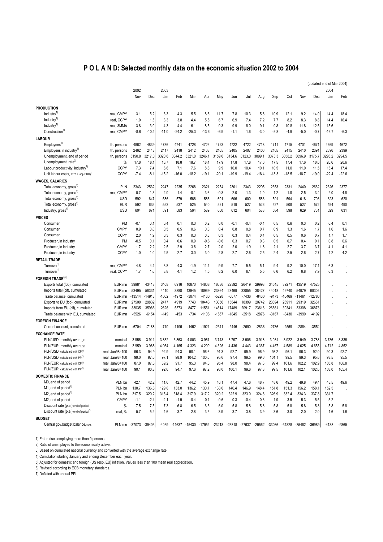## **P O L A N D: Selected monthly data on the economic situation 2002 to 2004**

|                                                    |                      |          |          |         |         |         |         |                                                               |         |         |         |         |          |                      |          | (updated end of Mar 2004) |                                 |
|----------------------------------------------------|----------------------|----------|----------|---------|---------|---------|---------|---------------------------------------------------------------|---------|---------|---------|---------|----------|----------------------|----------|---------------------------|---------------------------------|
|                                                    |                      | 2002     |          | 2003    |         |         |         |                                                               |         |         |         |         |          |                      |          | 2004                      |                                 |
|                                                    |                      | Nov      | Dec      | Jan     | Feb     | Mar     | Apr     | May                                                           | Jun     | Jul     | Aug     | Sep     | Oct      | Nov                  | Dec      | Jan                       | Feb                             |
|                                                    |                      |          |          |         |         |         |         |                                                               |         |         |         |         |          |                      |          |                           |                                 |
| <b>PRODUCTION</b>                                  |                      |          |          |         |         |         |         |                                                               |         |         |         |         |          |                      |          |                           |                                 |
| Industry <sup>1)</sup>                             | real, CMPY           | 3.1      | 5.2      | 3.3     | 4.3     | 5.5     | 8.6     | 11.7                                                          | 7.8     | 10.3    | 5.8     | 10.9    | 12.1     | 9.2                  | 14.0     | 14.4                      | 18.4                            |
| Industry <sup>1)</sup>                             | real, CCPY           | 1.0      | 1.5      | 3.3     | 3.8     | 4.4     | 5.5     | 6.7                                                           | 6.9     | 7.4     | 7.2     | 7.7     | 8.2      | 8.3                  | 8.8      | 14.4                      | 16.4                            |
| Industry <sup>1)</sup>                             | real, 3MMA           | 3.8      | 3.9      | 4.3     | 4.4     | 6.1     | 8.5     | 9.3                                                           | 9.9     | 8.0     | 9.1     | 9.8     | 10.8     | 11.8                 | 12.5     | 15.6                      |                                 |
| Construction <sup>1)</sup>                         | real, CMPY           | $-8.6$   | $-10.4$  | $-11.0$ | $-24.2$ | $-25.3$ | $-13.6$ | $-6.9$                                                        | $-1.1$  | 1.6     | $-3.0$  | $-3.8$  | $-4.9$   | $-5.0$               | $-0.7$   | $-16.7$                   | $-6.3$                          |
| <b>LABOUR</b>                                      |                      |          |          |         |         |         |         |                                                               |         |         |         |         |          |                      |          |                           |                                 |
| Employees <sup>1</sup>                             | th. persons          | 4862     | 4839     | 4736    | 4741    | 4728    | 4726    | 4723                                                          | 4722    | 4722    | 4718    | 4711    | 4715     | 4701                 | 4671     | 4669                      | 4672                            |
| Employees in industry <sup>1)</sup>                | th. persons          | 2462     | 2448     | 2417    | 2418    | 2412    | 2408    | 2405                                                          | 2405    | 2407    | 2406    | 2405    | 2415     | 2410                 | 2391     | 2396                      | 2399                            |
| Unemployment, end of period                        | th. persons          | 3150.8   | 3217.0   | 3320.6  | 3344.2  | 3321.0  | 3246.1  | 3159.6                                                        | 3134.6  | 3123.0  | 3099.1  | 3073.3  | 3058.2   | 3096.9               | 3175.7   | 3293.2                    | 3294.5                          |
| Unemployment rate <sup>2)</sup>                    | $\%$                 | 17.8     | 18.1     | 18.7    | 18.8    | 18.7    | 18.4    | 17.9                                                          | 17.8    | 17.8    | 17.6    | 17.5    | 17.4     | 17.6                 | 18.0     | 20.6                      | 20.6                            |
| Labour productivity, industry <sup>1)</sup>        | <b>CCPY</b>          | 7.3      | 7.4      | 6.6     | 7.1     | 7.6     | 8.6     | 9.9                                                           | 10.0    | 10.4    | 10.1    | 10.5    | 11.0     | 11.0                 | 11.5     | 15.4                      | 17.4                            |
| Unit labour costs, exch.r. adj.(EUR) <sup>1)</sup> | <b>CCPY</b>          | $-7.4$   | $-8.1$   | $-15.2$ | $-16.0$ | $-18.2$ | $-19.1$ | $-20.1$                                                       | $-19.9$ | $-19.4$ | $-18.4$ | $-18.3$ | $-18.5$  | $-18.7$              | $-19.0$  | $-22.4$                   | $-22.6$                         |
| <b>WAGES, SALARIES</b>                             |                      |          |          |         |         |         |         |                                                               |         |         |         |         |          |                      |          |                           |                                 |
| Total economy, gross <sup>1)</sup>                 | <b>PLN</b>           | 2343     | 2532     | 2247    | 2235    | 2268    | 2321    | 2254                                                          | 2301    | 2343    | 2295    | 2353    | 2331     | 2440                 | 2662     | 2326                      | 2377                            |
| Total economy, gross <sup>1)</sup>                 | real, CMPY           | 0.7      | 1.3      | 2.0     | 1.4     | $-0.1$  | 3.6     | $-0.8$                                                        | 2.0     | 1.3     | 1.0     | 1.2     | 1.8      | 2.5                  | 3.4      | 2.0                       | 4.8                             |
| Total economy, gross <sup>1)</sup>                 | <b>USD</b>           | 592      | 647      | 586     | 579     | 566     | 586     | 601                                                           | 606     | 600     | 586     | 591     | 594      | 618                  | 703      | 623                       | 620                             |
| Total economy, gross <sup>1)</sup>                 | <b>EUR</b>           | 592      | 635      | 553     | 537     | 525     | 540     | 521                                                           | 519     | 527     | 526     | 527     | 508      | 527                  | 572      | 494                       | 490                             |
| Industry, gross <sup>1)</sup>                      | <b>USD</b>           | 604      | 671      | 591     | 583     | 564     | 589     | 600                                                           | 612     | 604     | 588     | 584     | 598      | 629                  | 731      | 629                       | 631                             |
| <b>PRICES</b>                                      |                      |          |          |         |         |         |         |                                                               |         |         |         |         |          |                      |          |                           |                                 |
| Consumer                                           | <b>PM</b>            | $-0.1$   | 0.1      | 0.4     | 0.1     | 0.3     | 0.2     | 0.0                                                           | $-0.1$  | $-0.4$  | $-0.4$  | 0.5     | 0.6      | 0.3                  | 0.2      | 0.4                       | 0.1                             |
| Consumer                                           | <b>CMPY</b>          | 0.9      | 0.8      | 0.5     | 0.5     | 0.6     | 0.3     | 0.4                                                           | 0.8     | 0.8     | 0.7     | 0.9     | 1.3      | 1.6                  | 1.7      | 1.6                       | 1.6                             |
| Consumer                                           | <b>CCPY</b>          | 2.0      | 1.9      | 0.3     | 0.3     | 0.3     | 0.3     | 0.3                                                           | 0.3     | 0.4     | 0.4     | 0.5     | 0.5      | 0.6                  | 0.7      | 1.7                       | 1.7                             |
| Producer, in industry                              | PM                   | $-0.5$   | 0.1      | 0.4     | 0.6     | 0.9     | $-0.6$  | $-0.6$                                                        | 0.3     | 0.7     | 0.3     | 0.5     | 0.7      | 0.4                  | 0.1      | 0.8                       | 0.6                             |
| Producer, in industry                              | <b>CMPY</b>          | 1.7      | 2.2      | 2.5     | 2.9     | 3.6     | 2.7     | 2.0                                                           | 2.0     | 1.9     | 1.8     | 2.1     | 2.7      | 3.7                  | 3.7      | 4.1                       | 4.1                             |
| Producer, in industry                              | <b>CCPY</b>          | 1.0      | 1.0      | 2.5     | 2.7     | 3.0     | 3.0     | 2.8                                                           | 2.7     | 2.6     | 2.5     | 2.4     | 2.5      | 2.6                  | 2.7      | 4.2                       | 4.2                             |
| <b>RETAIL TRADE</b>                                |                      |          |          |         |         |         |         |                                                               |         |         |         |         |          |                      |          |                           |                                 |
| Turnover <sup>1)</sup>                             | real, CMPY           | 4.8      | 4.4      | 3.8     | 4.3     | $-1.9$  | 11.4    | 9.9                                                           | 7.7     | 5.5     | 5.1     | 9.4     | 9.2      | 10.0                 | 17.1     | 6.3                       |                                 |
| Turnover <sup>1</sup>                              | real, CCPY           | 1.7      | 1.6      | 3.8     | 4.1     | 1.2     | 4.5     | 6.2                                                           | 6.0     | 6.1     | 5.5     | 6.6     | 6.2      | 6.8                  | 7.9      | 6.3                       |                                 |
| FOREIGN TRADE <sup>3)4)</sup>                      |                      |          |          |         |         |         |         |                                                               |         |         |         |         |          |                      |          |                           |                                 |
| Exports total (fob), cumulated                     |                      | 39981    | 43418    | 3408    | 6916    | 10870   | 14808   | 18636                                                         | 22392   | 26419   | 29998   | 34545   | 39271    | 43519                | 47525    |                           |                                 |
| Imports total (cif), cumulated                     | EUR mn<br>EUR mn     | 53495    | 58331    | 4410    | 8888    | 13945   | 18969   | 23864                                                         | 28469   | 33855   | 38427   | 44018   | 49740    | 54979                | 60305    |                           |                                 |
| Trade balance, cumulated                           | EUR mn               | $-13514$ | $-14913$ | $-1002$ | $-1972$ | $-3074$ | $-4160$ | $-5228$                                                       | $-6077$ | $-7436$ | $-8430$ | $-9473$ | $-10469$ | $-11461$             | $-12780$ |                           |                                 |
| Exports to EU (fob), cumulated                     | EUR mn               | 27509    | 29832    | 2477    | 4919    | 7743    | 10443   | 13056                                                         | 15644   | 18399   | 20742   | 23694   | 26911    | 29319                | 32681    |                           |                                 |
| Imports from EU (cif), cumulated                   | EUR mn               | 33035    | 35986    | 2626    | 5373    | 8477    | 11551   | 14614                                                         | 17489   | 20917   | 23618   | 26861   | 30341    | 33308                | 36873    |                           |                                 |
| Trade balance with EU, cumulated                   | EUR mn               | -5526    | $-6154$  | $-149$  | $-453$  | $-734$  | $-1108$ | $-1557$                                                       | $-1845$ | $-2518$ | $-2876$ | $-3167$ | $-3430$  | -3990                | $-4192$  |                           | $\cdot$<br>$\ddot{\phantom{a}}$ |
|                                                    |                      |          |          |         |         |         |         |                                                               |         |         |         |         |          |                      |          |                           |                                 |
| <b>FOREIGN FINANCE</b>                             |                      |          |          |         |         |         |         |                                                               |         |         |         |         |          |                      |          |                           |                                 |
| Current account, cumulated                         | EUR mn               | $-6704$  | $-7188$  | $-710$  | $-1195$ | $-1452$ | $-1921$ | $-2341$                                                       | $-2446$ | $-2690$ | -2836   | $-2736$ | $-2559$  | -2884                | $-3554$  |                           |                                 |
| <b>EXCHANGE RATE</b>                               |                      |          |          |         |         |         |         |                                                               |         |         |         |         |          |                      |          |                           |                                 |
| PLN/USD, monthly average                           | nominal              | 3.956    | 3.911    | 3.832   | 3.863   | 4.003   | 3.961   | 3.748                                                         | 3.797   | 3.906   | 3.918   | 3.981   | 3.922    | 3.949                | 3.788    | 3.736                     | 3.836                           |
| PLN/EUR, monthly average                           | nominal              | 3.959    | 3.988    | 4.064   | 4.165   | 4.323   | 4.299   | 4.326                                                         | 4.436   | 4.443   | 4.367   | 4.467   | 4.589    | 4.625                | 4.655    | 4.712                     | 4.852                           |
| PLN/USD, calculated with CPI5)                     | real. Jan98=100      | 96.3     | 94.9     | 92.9    | 94.3    | 98.1    | 96.6    | 91.3                                                          | 92.7    | 95.9    | 96.9    | 98.2    | 96.1     | 96.3                 | 92.0     | 90.3                      | 92.7                            |
| PLN/USD, calculated with PPI5)                     | real, Jan98=100      | 99.0     | 97.6     | 97.1    | 98.9    | 104.2   | 100.6   | 95.6                                                          | 97.4    | 99.5    | 99.6    | 101.1   | 99.5     | 99.3                 | 95.6     | 93.5                      | 95.5                            |
| PLN/EUR, calculated with CPI5)                     | real. Jan98=100      | 87.0     | 87.8     | 89.2    | 91.7    | 95.3    | 94.8    | 95.4                                                          | 98.0    | 98.4    | 97.3    | 99.4    | 101.6    | 102.2                | 102.9    | 103.8                     | 106.8                           |
| PLN/EUR, calculated with PPI <sup>5</sup>          | real, Jan98=100      | 90.1     | 90.8     | 92.6    | 94.7    | 97.6    | 97.2    | 98.0                                                          | 100.1   | 99.6    | 97.8    | 99.5    | 101.6    | 102.1                | 102.6    | 103.0                     | 105.4                           |
| <b>DOMESTIC FINANCE</b>                            |                      |          |          |         |         |         |         |                                                               |         |         |         |         |          |                      |          |                           |                                 |
| M0, end of period                                  | PLN bn               | 42.1     | 42.2     | 41.6    | 42.7    | 44.2    | 45.9    | 46.1                                                          | 47.4    | 47.6    | 48.7    | 48.6    | 49.2     | 49.8                 | 49.4     | 48.5                      | 49.6                            |
| M1, end of period <sup>6)</sup>                    | PLN bn               | 130.7    | 136.6    | 129.8   | 133.0   | 136.2   | 130.7   | 138.0                                                         | 146.4   | 146.9   | 148.4   | 151.8   | 151.3    | 156.2                | 158.1    | 152.5                     |                                 |
| M2, end of period <sup>6)</sup>                    | PLN bn               | 317.5    | 320.2    | 315.4   | 318.4   | 317.9   | 317.2   | 320.2                                                         | 322.9   | 323.0   | 324.8   | 326.9   | 332.4    | 334.3                | 337.8    | 331.7                     | $\cdot$                         |
| M2, end of period                                  | <b>CMPY</b>          | $-1.1$   | $-2.4$   | $-2.1$  | $-1.9$  | $-0.4$  | $-0.1$  | $-0.6$                                                        | 0.3     | $-0.4$  | 0.6     | 1.9     | 3.5      | 5.3                  | 5.5      | 5.2                       |                                 |
| Discount rate (p.a.), end of period                | $\%$                 | 7.5      | 7.5      | 7.3     | 6.8     | 6.5     | 6.3     | 6.0                                                           | 5.8     | 5.8     | 5.8     | 5.8     | 5.8      | 5.8                  | 5.8      | 5.8                       | 5.8                             |
| Discount rate (p.a.), end of period <sup>')</sup>  | real, %              | 5.7      | 5.2      | 4.6     | 3.7     | 2.8     | 3.5     | 3.9                                                           | 3.7     | 3.8     | 3.9     | 3.6     | 3.0      | 2.0                  | 2.0      | 1.6                       | 1.6                             |
| <b>BUDGET</b>                                      |                      |          |          |         |         |         |         |                                                               |         |         |         |         |          |                      |          |                           |                                 |
| Central gov.budget balance, cum.                   | PLN mn -37073 -39403 |          |          |         |         |         |         | -4039 -11637 -15430 -17954 -23218 -23818 -27637 -29562 -33086 |         |         |         |         |          | -34828 -35482 -36989 |          | $-4138$                   | $-9365$                         |

1) Enterprises employing more than 9 persons.

2) Ratio of unemployed to the economically active.

3) Based on cumulated national currency and converted with the average exchange rate.

4) Cumulation starting January and ending December each year.

5) Adjusted for domestic and foreign (US resp. EU) inflation. Values less than 100 mean real appreciation.

6) Revised according to ECB monetary standards.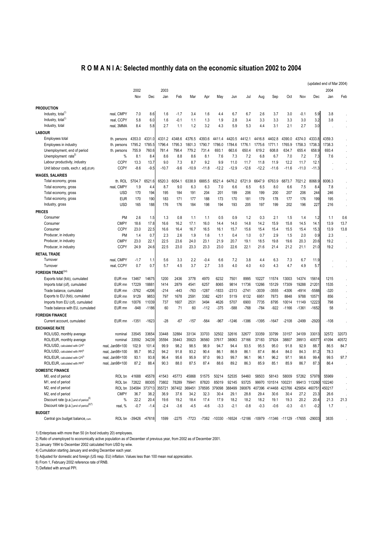## **R O M A N I A: Selected monthly data on the economic situation 2002 to 2004**

|                                                      |                      |         |         |         |                             |         |         |         |         |         |         |               |                                                        |         |                   | (updated end of Mar 2004) |       |
|------------------------------------------------------|----------------------|---------|---------|---------|-----------------------------|---------|---------|---------|---------|---------|---------|---------------|--------------------------------------------------------|---------|-------------------|---------------------------|-------|
|                                                      |                      | 2002    |         | 2003    |                             |         |         |         |         |         |         |               |                                                        |         |                   | 2004                      |       |
|                                                      |                      | Nov     | Dec     | Jan     | Feb                         | Mar     | Apr     | May     | Jun     | Jul     | Aug     | Sep           | Oct                                                    | Nov     | Dec               | Jan                       | Feb   |
|                                                      |                      |         |         |         |                             |         |         |         |         |         |         |               |                                                        |         |                   |                           |       |
| <b>PRODUCTION</b>                                    |                      |         |         |         |                             |         |         |         |         |         |         |               |                                                        |         |                   |                           |       |
| Industry, total <sup>1</sup>                         | real, CMPY           | 7.0     | 8.6     | 1.6     | $-1.7$                      | 3.4     | 1.6     | 4.4     | 6.7     | 6.7     | 2.6     | 3.7           | 3.0                                                    | $-0.1$  | 5.9               | 3.8                       |       |
| Industry, total <sup>1)</sup>                        | real, CCPY           | 5.8     | 6.0     | 1.6     | $-0.1$                      | 1.1     | 1.3     | 1.9     | 2.8     | 3.4     | 3.3     | 3.3           | 3.3                                                    | 3.0     | 3.2               | 3.8                       |       |
| Industry, total                                      | real, 3MMA           | 8.4     | 5.8     | 2.7     | 1.1                         | 1.2     | 3.2     | 4.3     | 5.9     | 5.3     | 4.4     | 3.1           | 2.1                                                    | 2.7     | 3.0               |                           |       |
| <b>LABOUR</b>                                        |                      |         |         |         |                             |         |         |         |         |         |         |               |                                                        |         |                   |                           |       |
| Employees total                                      | th. persons          | 4353.0  | 4331.0  | 4331.2  | 4348.6                      | 4376.5  | 4393.6  | 4411.4  | 4420.5  | 4412.1  | 4416.8  | 4402.8        | 4390.0                                                 | 4374.0  | 4333.8            | 4359.3                    |       |
| Employees in industry                                | th. persons          | 1795.2  | 1785.5  | 1796.4  | 1795.3                      | 1801.3  | 1790.7  | 1786.0  | 1784.6  | 1776.1  | 1775.6  | 1771.1        | 1765.9                                                 | 1758.3  | 1738.3            | 1738.3                    |       |
| Unemployment, end of period                          | th. persons          | 755.9   | 760.6   | 781.4   | 798.4                       | 779.2   | 731.4   | 693.1   | 663.6   | 650.4   | 619.2   | 608.8         | 634.7                                                  | 655.4   | 658.9             | 693.4                     |       |
| Unemployment rate <sup>2)</sup>                      | %                    | 8.1     | 8.4     | 8.6     | 8.8                         | 8.6     | 8.1     | 7.6     | 7.3     | 7.2     | 6.8     | 6.7           | 7.0                                                    | 7.2     | 7.3               | 7.6                       |       |
| Labour productivity, industry                        | <b>CCPY</b>          | 13.3    | 13.7    | 9.0     | 7.3                         | 8.7     | 9.2     | 9.9     | 11.0    | 11.7    | 11.8    | 11.9          | 12.2                                                   | 11.7    | 12.1              |                           |       |
| Unit labour costs, exch.r. adj.(EUR)                 | <b>CCPY</b>          | $-8.6$  | $-9.5$  | $-10.7$ | $-9.6$                      | $-10.9$ | $-11.8$ | $-12.2$ | $-12.9$ | $-12.6$ | $-12.2$ | $-11.6$       | $-11.6$                                                | $-11.0$ | $-11.3$           |                           |       |
| <b>WAGES, SALARIES</b>                               |                      |         |         |         |                             |         |         |         |         |         |         |               |                                                        |         |                   |                           |       |
| Total economy, gross                                 | th. ROL              | 5704.7  | 6521.   | 6520.3  | 6054.1                      | 6338.9  | 6885.5  | 6521.4  | 6476.2  | 6721.9  | 6647.9  | 6763.9        | 6873.7                                                 | 7021.2  | 8068.9            | 8006.3                    |       |
| Total economy, gross                                 | real, CMPY           | 1.9     | 4.4     | 8.7     | 9.0                         | 6.3     | 6.3     | 7.0     | 6.6     | 6.5     | 6.5     | 8.0           | 6.6                                                    | 7.5     | 8.4               | 7.8                       |       |
| Total economy, gross                                 | <b>USD</b>           | 170     | 194     | 195     | 184                         | 191     | 204     | 201     | 199     | 206     | 199     | 200           | 207                                                    | 206     | 244               | 246                       |       |
| Total economy, gross                                 | <b>EUR</b>           | 170     | 190     | 183     | 171                         | 177     | 188     | 173     | 170     | 181     | 179     | 178           | 177                                                    | 176     | 199               | 195                       |       |
| Industry, gross                                      | <b>USD</b>           | 165     | 188     | 176     | 176                         | 184     | 198     | 194     | 193     | 205     | 197     | 199           | 202                                                    | 196     | 227               | 216                       |       |
| <b>PRICES</b>                                        |                      |         |         |         |                             |         |         |         |         |         |         |               |                                                        |         |                   |                           |       |
| Consumer                                             | PM                   | 2.6     | 1.5     | 1.3     | 0.8                         | 1.1     | 1.1     | 0.5     | 0.9     | 1.2     | 0.3     | 2.1           | 1.5                                                    | 1.4     | 1.2               | 1.1                       | 0.6   |
| Consumer                                             | <b>CMPY</b>          | 18.6    | 17.8    | 16.6    | 16.2                        | 17.1    | 16.0    | 14.4    | 14.0    | 14.8    | 14.2    | 15.9          | 15.8                                                   | 14.5    | 14.1              | 13.9                      | 13.7  |
| Consumer                                             | <b>CCPY</b>          | 23.0    | 22.5    | 16.6    | 16.4                        | 16.7    | 16.5    | 16.1    | 15.7    | 15.6    | 15.4    | 15.4          | 15.5                                                   | 15.4    | 15.3              | 13.9                      | 13.8  |
| Producer, in industry                                | PM                   | 1.4     | 0.7     | 2.3     | 2.6                         | 1.9     | 1.6     | 1.1     | 0.4     | 1.0     | 0.7     | 2.9           | 1.5                                                    | 2.0     | 0.9               | 2.3                       |       |
| Producer, in industry                                | <b>CMPY</b>          | 23.0    | 22.1    | 22.5    | 23.6                        | 24.0    | 23.1    | 21.9    | 20.7    | 19.1    | 18.5    | 19.8          | 19.6                                                   | 20.3    | 20.6              | 19.2                      |       |
| Producer, in industry                                | <b>CCPY</b>          | 24.9    | 24.6    | 22.5    | 23.0                        | 23.3    | 23.3    | 23.0    | 22.6    | 22.1    | 21.6    | 21.4          | 21.2                                                   | 21.1    | 21.0              | 19.2                      |       |
| <b>RETAIL TRADE</b>                                  |                      |         |         |         |                             |         |         |         |         |         |         |               |                                                        |         |                   |                           |       |
| Turnover                                             | real, CMPY           | $-1.7$  | 1.1     | 5.6     | 3.3                         | 2.2     | $-0.4$  | 6.6     | 7.2     | 3.8     | 4.4     | 6.3           | 7.3                                                    | 6.7     | 11.9              |                           |       |
| Turnover                                             | real, CCPY           | 0.7     | 0.7     | 5.7     | 4.5                         | 3.7     | 2.7     | 3.5     | 4.0     | 4.0     | 4.0     | 4.3           | 4.7                                                    | 4.9     | 5.7               |                           |       |
| <b>FOREIGN TRADE</b> <sup>3)4)</sup>                 |                      |         |         |         |                             |         |         |         |         |         |         |               |                                                        |         |                   |                           |       |
| Exports total (fob), cumulated                       | EUR mn               | 13467   | 14675   | 1200    | 2436                        | 3778    | 4970    | 6232    | 7501    | 8995    | 10227   | 11574         | 13003                                                  | 14374   | 15614             | 1215                      |       |
| Imports total (cif), cumulated                       | EUR mn               | 17229   | 1888    | 1414    | 2879                        | 4541    | 6257    | 8065    | 9814    | 11736   | 13266   | 15129         | 17309                                                  | 19288   | 2120 <sup>2</sup> | 1535                      |       |
| Trade balance, cumulated                             | EUR mn               | $-3762$ | $-4206$ | $-214$  | $-443$                      | $-763$  | $-1287$ | -1833   | $-2313$ | $-2741$ | $-3039$ | $-3555$       | $-4306$                                                | $-4914$ | $-5588$           | $-320$                    |       |
| Exports to EU (fob), cumulated                       | EUR mn               | 9129    | 9853    | 797     | 1678                        | 2591    | 3382    | 4251    | 5119    | 6132    | 6951    | 7873          | 8848                                                   | 9788    | 10571             | 856                       |       |
| Imports from EU (cif), cumulated                     | EUR mn               | 10076   | 11039   | 737     | 1607                        | 2531    | 3494    | 4626    | 5707    | 6900    | 7735    | 8795          | 10014                                                  | 11149   | 12223             | 798                       |       |
| Trade balance with EU, cumulated                     | EUR mn               | $-948$  | $-1186$ | 60      | 71                          | 60      | $-112$  | $-375$  | $-588$  | $-768$  | $-784$  | $-922$        | $-1166$                                                | $-1361$ | $-1652$           | 58                        |       |
| <b>FOREIGN FINANCE</b>                               |                      |         |         |         |                             |         |         |         |         |         |         |               |                                                        |         |                   |                           |       |
| Current account, cumulated                           | EUR mn               | $-1351$ | $-1623$ | $-28$   | $-67$                       | -157    | $-564$  | -967    | $-1246$ | $-1386$ | $-1395$ | $-1647$       | $-2108$                                                | $-2499$ | $-2920$           | $-108$                    |       |
| <b>EXCHANGE RATE</b>                                 |                      |         |         |         |                             |         |         |         |         |         |         |               |                                                        |         |                   |                           |       |
| ROL/USD, monthly average                             | nominal              | 33545   | 33654   | 33448   | 32884                       | 33134   | 33703   | 32502   | 32616   | 32677   | 33359   | 33799         | 33157                                                  | 34109   | 33013             | 32572                     | 32073 |
| ROL/EUR, monthly average                             | nominal              | 33592   | 34239   | 35594   | 35443                       | 35823   | 36560   | 37617   | 38063   | 37166   | 37183   | 37924         | 38807                                                  | 39913   | 4057              | 41094                     | 40572 |
| ROL/USD, calculated with CPI <sup>5)</sup>           | real, Jan98=100      | 102.9   | 101.4   | 99.9    | 98.2                        | 98.5    | 98.9    | 94.7    | 94.4    | 93.5    | 95.5    | 95.0          | 91.8                                                   | 92.9    | 88.7              | 86.5                      | 84.7  |
| ROL/USD, calculated with PPI <sup>5)</sup>           | real, Jan98=100      | 95.7    | 95.2    | 94.2    | 91.8                        | 93.2    | 90.4    | 86.1    | 86.9    | 86.1    | 87.4    | 86.4          | 84.0                                                   | 84.3    | 81.2              | 78.3                      |       |
| ROL/EUR, calculated with CPI <sup>5)</sup>           | real, Jan98=100      | 93.1    | 93.8    | 96.4    | 95.6                        | 95.9    | 97.0    | 99.3    | 99.7    | 96.1    | 96.1    | 96.2          | 97.1                                                   | 98.6    | 99.4              | 99.5                      | 97.7  |
| ROL/EUR, calculated with PPI <sup>5)</sup>           | real, Jan98=100      | 87.2    | 88.4    | 90.3    | 88.0                        | 87.5    | 87.4    | 88.6    | 89.2    | 86.3    | 85.9    | 85.1          | 85.9                                                   | 86.7    | 87.3              | 86.4                      |       |
| <b>DOMESTIC FINANCE</b>                              |                      |         |         |         |                             |         |         |         |         |         |         |               |                                                        |         |                   |                           |       |
| M0, end of period                                    | ROL bn               | 41688   | 45578   | 41543   | 45773                       | 45868   | 51575   | 50214   | 52535   | 54460   | 58503   | 58143         | 58009                                                  | 57262   | 57978             | 55969                     |       |
| M1, end of period                                    | ROL bn               | 72822   | 88305   | 73802   | 78289                       | 79941   | 87820   | 85019   | 92145   | 93725   | 99970   | 101514        | 100231                                                 |         | 99413 113260      | 102240                    |       |
| M2, end of period                                    | ROL bn 334584 373713 |         |         |         | 355721 367402 369451 378595 |         |         | 379098  | 388499  | 390876  |         | 407396 414468 | 423766 425654 460751                                   |         |                   | 450217                    |       |
| M2, end of period                                    | <b>CMPY</b>          | 36.7    | 38.2    | 36.9    | 37.6                        | 34.2    | 32.3    | 30.4    | 29.1    | 28.8    | 29.4    | 30.6          | 30.4                                                   | 27.2    | 23.3              | 26.6                      |       |
| Discount rate (p.a.), end of period <sup>o)</sup>    | %                    | 22.2    | 20.4    | 19.6    | 19.2                        | 18.4    | 17.4    | 17.9    | 18.2    | 18.2    | 18.2    | 19.1          | 19.3                                                   | 20.2    | 20.4              | 21.3                      | 21.3  |
| Discount rate $(p.a.)$ , end of period <sup>6)</sup> | real, %              | $-0.7$  | $-1.4$  | $-2.4$  | $-3.6$                      | $-4.5$  | $-4.6$  | $-3.3$  | $-2.1$  | $-0.8$  | $-0.3$  | $-0.6$        | $-0.3$                                                 | $-0.1$  | $-0.2$            | 1.7                       |       |
| <b>BUDGET</b>                                        |                      |         |         |         |                             |         |         |         |         |         |         |               |                                                        |         |                   |                           |       |
| Central gov.budget balance, cum.                     | ROL bn -39426        |         | -47618  | 1599    | -2275                       | $-7723$ |         |         |         |         |         |               | -7382 -10330 -16524 -12186 -10979 -11346 -11129 -17655 |         | -29003            | 3835                      |       |
|                                                      |                      |         |         |         |                             |         |         |         |         |         |         |               |                                                        |         |                   |                           |       |

1) Enterprises with more than 50 (in food industry 20) employees.

2) Ratio of unemployed to economically active population as of December of previous year, from 2002 as of December 2001.

3) January 1994 to December 2002 calculated from USD by wiiw.

4) Cumulation starting January and ending December each year.

5) Adjusted for domestic and foreign (US resp. EU) inflation. Values less than 100 mean real appreciation.

6) From 1, February 2002 reference rate of RNB.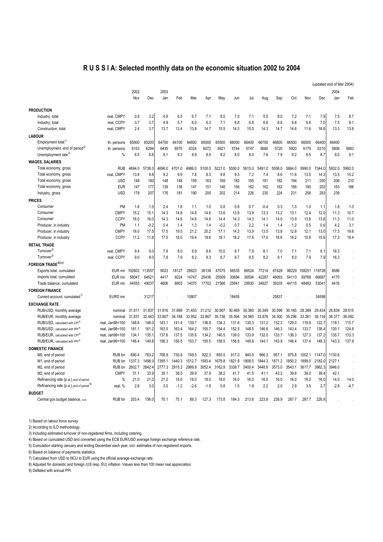## **R U S S I A: Selected monthly data on the economic situation 2002 to 2004**

|                                                      |                    |        |        |        |        |        |        |        |        |        |        |        |        |        |            | (updated end of Mar 2004) |        |
|------------------------------------------------------|--------------------|--------|--------|--------|--------|--------|--------|--------|--------|--------|--------|--------|--------|--------|------------|---------------------------|--------|
|                                                      |                    | 2002   |        | 2003   |        |        |        |        |        |        |        |        |        |        |            | 2004                      |        |
|                                                      |                    | Nov    | Dec    | Jan    | Feb    | Mar    | Apr    | May    | Jun    | Jul    | Aug    | Sep    | Oct    | Nov    | <b>Dec</b> | Jan                       | Feb    |
|                                                      |                    |        |        |        |        |        |        |        |        |        |        |        |        |        |            |                           |        |
| <b>PRODUCTION</b>                                    |                    |        |        |        |        |        |        |        |        |        |        |        |        |        |            |                           |        |
| Industry, total                                      | real, CMPY         | 0.8    | 3.2    | 4.9    | 6.5    | 6.7    | 7.1    | 8.5    | 7.0    | 7.1    | 5.5    | 8.0    | 7.2    | 7.1    | 7.9        | 7.5                       | 8.7    |
| Industry, total                                      | real, CCPY         | 3.7    | 3.7    | 4.9    | 5.7    | 6.0    | 6.3    | 7.1    | 6.8    | 6.8    | 6.6    | 6.8    | 6.8    | 6.8    | 7.0        | 7.5                       | 8.1    |
| Construction, total                                  | real, CMPY         | 2.4    | 3.7    | 13.7   | 13.4   | 13.8   | 14.7   | 15.5   | 14.3   | 15.0   | 14.3   | 14.7   | 14.6   | 11.6   | 16.6       | 13.3                      | 13.8   |
| <b>LABOUR</b>                                        |                    |        |        |        |        |        |        |        |        |        |        |        |        |        |            |                           |        |
| Employment total <sup>1)</sup>                       | th. persons        | 65800  | 65200  | 64700  | 64100  | 64600  | 65000  | 65500  | 66000  | 66400  | 66700  | 66600  | 66500  | 66500  | 66400      | 66400                     |        |
| Unemployment, end of period <sup>2)</sup>            | th. persons        | 6153   | 6294   | 6435   | 6575   | 6324   | 6072   | 5821   | 5744   | 5747   | 5680   | 5720   | 5920   | 6170   | 6310       | 5806                      | 5863   |
| Unemployment rate <sup>2)</sup>                      | %                  | 8.5    | 8.8    | 9.1    | 9.3    | 8.9    | 8.5    | 8.2    | 8.0    | 8.0    | 7.8    | 7.9    | 8.2    | 8.5    | 8.7        | 8.0                       | 8.1    |
| <b>WAGES, SALARIES</b>                               |                    |        |        |        |        |        |        |        |        |        |        |        |        |        |            |                           |        |
| Total economy, gross                                 | <b>RUB</b>         | 4694.0 | 5738.0 | 4696.0 | 4701.0 | 4986.0 | 5100.0 | 5221.0 | 5550.0 | 5615.0 | 5491.0 | 5556.0 | 5864.0 | 5990.0 | 7344.0     | 5932.0                    | 5992.0 |
| Total economy, gross                                 | real, CMPY         | 13.8   | 9.8    | 9.2    | 9.9    | 7.8    | 8.3    | 9.8    | 9.3    | 7.2    | 7.4    | 8.6    | 11.6   | 13.5   | 14.3       | 13.5                      | 15.2   |
| Total economy, gross                                 | <b>USD</b>         | 148    | 180    | 148    | 148    | 159    | 163    | 169    | 182    | 185    | 181    | 182    | 194    | 211    | 250        | 206                       | 210    |
| Total economy, gross                                 | <b>EUR</b>         | 147    | 177    | 139    | 138    | 147    | 151    | 146    | 156    | 162    | 162    | 162    | 166    | 180    | 203        | 163                       | 166    |
| Industry, gross                                      | <b>USD</b>         | 178    | 207    | 176    | 181    | 190    | 200    | 202    | 214    | 226    | 230    | 224    | 231    | 256    | 283        | 239                       |        |
| <b>PRICES</b>                                        |                    |        |        |        |        |        |        |        |        |        |        |        |        |        |            |                           |        |
| Consumer                                             | PM                 | 1.6    | 1.5    | 2.4    | 1.6    | 1.1    | 1.0    | 0.8    | 0.8    | 0.7    | $-0.4$ | 0.3    | 1.0    | 1.0    | 1.1        | 1.8                       | 1.0    |
| Consumer                                             | <b>CMPY</b>        | 15.2   | 15.1   | 14.3   | 14.8   | 14.8   | 14.6   | 13.6   | 13.9   | 13.9   | 13.3   | 13.2   | 13.1   | 12.4   | 12.0       | 11.3                      | 10.7   |
| Consumer                                             | <b>CCPY</b>        | 16.0   | 16.0   | 14.3   | 14.6   | 14.6   | 14.6   | 14.4   | 14.3   | 14.3   | 14.1   | 14.0   | 13.9   | 13.8   | 13.6       | 11.3                      | 11.0   |
| Producer, in industry                                | <b>PM</b>          | 1.1    | $-0.2$ | 0.4    | 1.4    | 1.3    | 1.4    | $-0.2$ | 0.7    | 2.2    | 1.4    | 1.4    | 1.2    | 0.5    | 0.6        | 4.2                       | 3.1    |
| Producer, in industry                                | <b>CMPY</b>        | 18.0   | 17.5   | 17.5   | 19.5   | 21.2   | 20.2   | 17.1   | 14.3   | 13.9   | 13.5   | 13.8   | 12.8   | 12.1   | 13.0       | 17.3                      | 19.6   |
| Producer, in industry                                | <b>CCPY</b>        | 11.2   | 11.8   | 17.5   | 18.5   | 19.4   | 19.6   | 19.1   | 18.2   | 17.6   | 17.0   | 16.6   | 16.2   | 15.8   | 15.6       | 17.3                      | 18.4   |
| <b>RETAIL TRADE</b>                                  |                    |        |        |        |        |        |        |        |        |        |        |        |        |        |            |                           |        |
| Turnover <sup>3)</sup>                               | real. CMPY         | 9.4    | 9.0    | 7.8    | 8.0    | 8.9    | 8.6    | 10.0   | 8.7    | 7.8    | 6.1    | 7.0    | 7.1    | 7.1    | 8.1        | 16.3                      |        |
| Turnover <sup>3)</sup>                               | real. CCPY         | 9.0    | 9.0    | 7.8    | 7.9    | 8.2    | 8.3    | 8.7    | 8.7    | 8.5    | 8.2    | 8.1    | 8.0    | 7.9    | 7.9        | 16.3                      |        |
| FOREIGN TRADE <sup>4)5)6)</sup>                      |                    |        |        |        |        |        |        |        |        |        |        |        |        |        |            |                           |        |
| Exports total, cumulated                             | EUR mn             | 102602 | 113557 | 9023   | 18127  | 28823  | 38138  | 47075  | 56535  | 66524  | 77214  | 87428  | 98229  | 108251 | 119728     | 8586                      |        |
| Imports total, cumulated                             | EUR mn             | 58047  | 64521  | 4417   | 9224   | 14747  | 20436  | 25509  | 30694  | 36594  | 42287  | 48093  | 54113  | 59768  | 66687      | 4170                      |        |
| Trade balance, cumulated                             | EUR mn             | 44555  | 49037  | 4606   | 8903   | 14075  | 17702  | 21566  | 25841  | 29930  | 34927  | 39335  | 44115  | 48483  | 53041      | 4416                      |        |
| <b>FOREIGN FINANCE</b>                               |                    |        |        |        |        |        |        |        |        |        |        |        |        |        |            |                           |        |
| Current account, cumulated"                          | EURD <sub>mn</sub> |        | 31217  |        |        | 10807  |        |        | 18455  |        |        | 25837  |        |        | 34599      |                           |        |
| <b>EXCHANGE RATE</b>                                 |                    |        |        |        |        |        |        |        |        |        |        |        |        |        |            |                           |        |
| RUB/USD, monthly average                             | nominal            | 31.811 | 31.837 | 31.816 | 31.699 | 31.453 | 31.212 | 30.907 | 30.469 | 30.360 | 30.349 | 30.599 | 30.165 | 28.389 | 29.434     | 28.839                    | 28.515 |
| RUB/EUR, monthly average                             | nominal            | 31.831 | 32.443 | 33.807 | 34.188 | 33.952 | 33.867 | 35.738 | 35.594 | 34.560 | 33.876 | 34.300 | 35.296 | 33.261 | 36.134     | 36.377                    | 36.092 |
| RUB/USD, calculated with CPI <sup>8)</sup>           | real, Jan98=100    | 148.6  | 146.0  | 143.1  | 141.4  | 139.7  | 136.9  | 134.3  | 131.6  | 130.3  | 131.2  | 132.3  | 129.0  | 119.9  | 122.7      | 118.1                     | 115.7  |
| RUB/USD, calculated with PPI <sup>8)</sup>           | real, Jan98=100    | 161.1  | 161.2  | 163.5  | 163.4  | 164.2  | 155.7  | 154.4  | 152.5  | 148.5  | 146.6  | 146.3  | 143.4  | 133.7  | 138.4      | 130.1                     | 124.8  |
| RUB/EUR, calculated with CPI <sup>8)</sup>           | real, Jan98=100    | 134.1  | 135.1  | 137.6  | 137.5  | 135.6  | 134.2  | 140.5  | 139.0  | 133.9  | 132.0  | 133.7  | 136.3  | 127.3  | 137.2      | 135.7                     | 133.3  |
| RUB/EUR, calculated with PPI <sup>8)</sup>           | real, Jan98=100    | 146.4  | 149.8  | 156.3  | 156.5  | 153.7  | 150.5  | 158.5  | 156.6  | 148.8  | 144.1  | 143.9  | 146.4  | 137.4  | 148.3      | 143.3                     | 137.9  |
| <b>DOMESTIC FINANCE</b>                              |                    |        |        |        |        |        |        |        |        |        |        |        |        |        |            |                           |        |
| M0, end of period                                    | RUB bn             | 690.4  | 763.2  | 708.9  | 730.8  | 749.5  | 822.3  | 855.5  | 917.0  | 940.9  | 966.3  | 957.1  | 975.8  | 1002.1 | 1147.0     | 1130.6                    |        |
| M1, end of period                                    | RUB bn             | 1337.3 | 1498.0 | 1395.1 | 1440.3 | 1512.7 | 1583.4 | 1679.8 | 1821.8 | 1808.5 | 1844.3 | 1871.2 | 1850.2 | 1899.0 | 2182.0     | 2127.1                    |        |
| M <sub>2</sub> , end of period                       | RUB bn             | 2602.7 | 2842.4 | 2777.3 | 2915.3 | 2989.9 | 3052.4 | 3162.9 | 3339.7 | 3400.4 | 3448.9 | 3573.0 | 3543.1 | 3617.7 | 3962.3     | 3946.0                    |        |
| M <sub>2</sub> , end of period                       | <b>CMPY</b>        | 31.1   | 33.9   | 35.1   | 38.5   | 39.9   | 37.9   | 38.2   | 41.7   | 41.5   | 41.1   | 43.2   | 39.6   | 39.0   | 39.4       | 42.1                      |        |
| Refinancing rate (p.a.), end of period               | %                  | 21.0   | 21.0   | 21.0   | 18.0   | 18.0   | 18.0   | 18.0   | 16.0   | 16.0   | 16.0   | 16.0   | 16.0   | 16.0   | 16.0       | 14.0                      | 14.0   |
| Refinancing rate (p.a.), end of period <sup>9)</sup> | real, %            | 2.6    | 3.0    | 3.0    | $-1.2$ | $-2.6$ | $-1.9$ | 0.8    | 1.5    | 1.9    | 2.2    | 2.0    | 2.9    | 3.5    | 2.7        | $-2.8$                    | $-4.7$ |
| <b>BUDGET</b>                                        |                    |        |        |        |        |        |        |        |        |        |        |        |        |        |            |                           |        |
| Central gov.budget balance, cum.                     | RUB bn             | 203.4  | 156.0  | 70.1   | 75.1   | 89.3   | 127.3  | 173.8  | 184.3  | 213.6  | 223.8  | 238.9  | 287.7  | 287.7  | 226.8      |                           |        |
|                                                      |                    |        |        |        |        |        |        |        |        |        |        |        |        |        |            |                           |        |

1) Based on labour force survey.

2) According to ILO methodology.

3) Including estimated turnover of non-registered firms, including catering.

4) Based on cumulated USD and converted using the ECB EUR/USD average foreign exchange reference rate.

5) Cumulation starting January and ending December each year, incl. estimates of non-registered imports.

6) Based on balance of payments statistics.

7) Calculated from USD to NCU to EUR using the official average exchange rate.

8) Adjusted for domestic and foreign (US resp. EU) inflation. Values less than 100 mean real appreciation.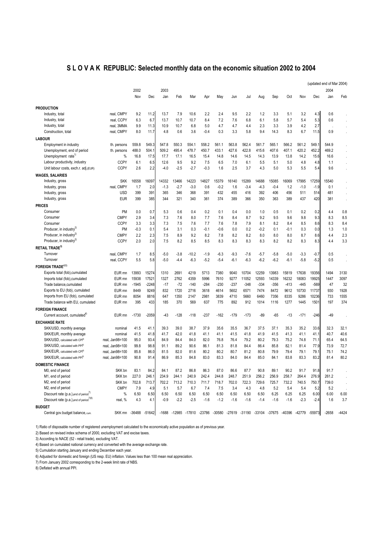#### **S L O V A K REPUBLIC: Selected monthly data on the economic situation 2002 to 2004**

|                                                     |                      |              |         |        |        |                                                                             |              |              |        |        |        |        |        |        |        | (updated end of Mar 2004) |                      |
|-----------------------------------------------------|----------------------|--------------|---------|--------|--------|-----------------------------------------------------------------------------|--------------|--------------|--------|--------|--------|--------|--------|--------|--------|---------------------------|----------------------|
|                                                     |                      | 2002         |         | 2003   |        |                                                                             |              |              |        |        |        |        |        |        |        | 2004                      |                      |
|                                                     |                      | Nov          | Dec     | Jan    | Feb    | Mar                                                                         | Apr          | May          | Jun    | Jul    | Aug    | Sep    | Oct    | Nov    | Dec    | Jan                       | Feb                  |
|                                                     |                      |              |         |        |        |                                                                             |              |              |        |        |        |        |        |        |        |                           |                      |
| <b>PRODUCTION</b>                                   |                      |              |         |        |        |                                                                             |              |              |        |        |        |        |        |        |        |                           |                      |
| Industry, total                                     | real, CMPY           | 9.2          | 11.2    | 13.7   | 7.9    | 10.6                                                                        | 2.2          | 2.4          | 9.5    | 2.2    | 1.2    | 3.3    | 5.1    | 3.2    | 4.3    | 0.6                       |                      |
| Industry, total                                     | real, CCPY           | 6.3          | 6.7     | 13.7   | 10.7   | 10.7                                                                        | 8.4          | 7.2          | 7.6    | 6.8    | 6.1    | 5.8    | 5.7    | 5.4    | 5.3    | 0.6                       |                      |
| Industry, total                                     | real, 3MMA           | 9.9          | 11.3    | 10.9   | 10.7   | 6.8                                                                         | 5.0          | 4.7          | 4.7    | 4.4    | 2.3    | 3.3    | 3.9    | 4.2    | 2.7    |                           |                      |
| Construction, total                                 | real, CMPY           | 8.0          | 11.7    | 4.8    | 0.6    | 3.6                                                                         | $-0.4$       | 0.3          | 3.3    | 5.8    | 9.4    | 14.3   | 8.3    | 6.7    | 11.5   | 0.9                       | $\ddot{\phantom{0}}$ |
| <b>LABOUR</b>                                       |                      |              |         |        |        |                                                                             |              |              |        |        |        |        |        |        |        |                           |                      |
| Employment in industry                              | th. persons          | 559.8        | 549.3   | 547.8  | 550.3  | 554.1                                                                       | 558.2        | 561.1        | 563.8  | 562.4  | 561.7  | 565.1  | 566.2  | 561.2  | 549.1  | 544.9                     |                      |
| Unemployment, end of period                         | th. persons          | 488.0        | 504.1   | 509.2  | 495.4  | 478.7                                                                       | 450.7        | 433.1        | 427.6  | 422.8  | 415.6  | 407.6  | 407.1  | 420.2  | 452.2  | 469.2                     |                      |
| Unemployment rate <sup>1</sup>                      | %                    | 16.8         | 17.5    | 17.7   | 17.1   | 16.5                                                                        | 15.4         | 14.8         | 14.6   | 14.5   | 14.3   | 13.9   | 13.8   | 14.2   | 15.6   | 16.6                      |                      |
| Labour productivity, industry                       | <b>CCPY</b>          | 6.1          | 6.5     | 12.6   | 9.5    | 9.2                                                                         | 7.5          | 6.5          | 7.0    | 6.1    | 5.5    | 5.1    | 5.0    | 4.8    | 4.8    | 1.1                       |                      |
| Unit labour costs, exch.r. adj.(EUR)                | <b>CCPY</b>          | 2.6          | 2.2     | $-4.0$ | $-2.5$ | $-2.7$                                                                      | $-0.3$       | 1.6          | 2.5    | 3.7    | 4.3    | 5.0    | 5.3    | 5.5    | 5.4    | 9.6                       |                      |
| <b>WAGES, SALARIES</b>                              |                      |              |         |        |        |                                                                             |              |              |        |        |        |        |        |        |        |                           |                      |
| Industry, gross                                     | <b>SKK</b>           | 16558        | 16097   | 14332  | 3466   | 4223                                                                        | 14827        | 15379        | 16140  | 15289  | 14688  | 15085  | 16069  | 17995  | 17259  | 15540                     |                      |
| Industry, gross                                     | real, CMPY           | 1.7          | 2.0     | $-1.3$ | $-2.7$ | $-3.0$                                                                      | 0.6          | $-0.2$       | 1.6    | $-3.4$ | $-4.3$ | $-0.4$ | 1.2    | $-1.0$ | $-1.9$ | 0.1                       |                      |
| Industry, gross                                     | <b>USD</b>           | 399          | 391     | 365    | 346    | 368                                                                         | 391          | 432          | 455    | 416    | 392    | 406    | 456    | 511    | 514    | 481                       | $\lambda$            |
| Industry, gross                                     | <b>EUR</b>           | 399          | 385     | 344    | 321    | 340                                                                         | 361          | 374          | 389    | 366    | 350    | 363    | 389    | 437    | 420    | 381                       |                      |
|                                                     |                      |              |         |        |        |                                                                             |              |              |        |        |        |        |        |        |        |                           |                      |
| <b>PRICES</b>                                       |                      |              |         |        |        |                                                                             |              |              |        |        |        |        |        |        |        |                           |                      |
| Consumer                                            | <b>PM</b>            | 0.0          | 0.7     | 5.3    | 0.6    | 0.4                                                                         | 0.2          | 0.1          | 0.4    | 0.0    | 1.0    | 0.5    | 0.1    | 0.2    | 0.2    | 4.4                       | 0.8                  |
| Consumer                                            | <b>CMPY</b>          | 2.9          | 3.4     | 7.3    | 7.6    | 8.0                                                                         | 7.7          | 7.6          | 8.4    | 8.7    | 9.2    | 9.5    | 9.6    | 9.8    | 9.3    | 8.3                       | 8.5                  |
| Consumer                                            | <b>CCPY</b>          | 3.3          | 3.3     | 7.3    | 7.5    | 7.6                                                                         | 7.7          | 7.6          | 7.8    | 7.9    | 8.1    | 8.2    | 8.4    | 8.5    | 8.6    | 8.3                       | 8.4                  |
| Producer, in industry <sup>4</sup>                  | PM                   | $-0.3$       | 0.1     | 5.4    | 3.1    | 0.3                                                                         | $-0.1$       | $-0.6$       | 0.0    | 0.2    | $-0.2$ | 0.1    | $-0.1$ | 0.3    | 0.0    | 1.3                       | 1.0                  |
| Producer, in industry <sup>2)</sup>                 | <b>CMPY</b>          | 2.2          | 2.3     | 7.5    | 8.9    | 9.2                                                                         | 8.2          | 7.8          | 8.2    | 8.2    | 8.0    | 8.0    | 8.0    | 8.7    | 8.6    | 4.4                       | 2.3                  |
| Producer, in industry <sup>2)</sup>                 | <b>CCPY</b>          | 2.0          | 2.0     | 7.5    | 8.2    | 8.5                                                                         | 8.5          | 8.3          | 8.3    | 8.3    | 8.3    | 8.2    | 8.2    | 8.3    | 8.3    | 4.4                       | 3.3                  |
| <b>RETAIL TRADE3)</b>                               |                      |              |         |        |        |                                                                             |              |              |        |        |        |        |        |        |        |                           |                      |
| Turnover                                            | real, CMPY           | 1.7          | 8.5     | $-5.0$ | $-3.8$ | $-10.2$                                                                     | $-1.9$       | $-6.3$       | $-9.3$ | $-7.6$ | $-5.7$ | $-5.8$ | $-5.0$ | $-3.3$ | $-0.7$ | 0.5                       |                      |
| Turnover                                            | real, CCPY           | 5.5          | 5.8     | $-5.0$ | $-4.4$ | $-6.3$                                                                      | $-5.2$       | $-5.4$       | $-6.1$ | $-6.3$ | $-6.2$ | $-6.2$ | $-6.1$ | $-5.8$ | $-5.2$ | 0.5                       |                      |
| <b>FOREIGN TRADE4)5)</b>                            |                      |              |         |        |        |                                                                             |              |              |        |        |        |        |        |        |        |                           |                      |
| Exports total (fob), cumulated                      | EUR mn               | 13993        | 15274   | 1310   | 2691   | 4219                                                                        | 5713         | 7380         | 9040   | 10704  | 12259  | 13983  | 15819  | 17638  | 19356  | 1494                      | 3130                 |
| Imports total (fob), cumulated                      | EUR mn               | 15938        | 17521   | 1327   | 2762   | 4359                                                                        | 5996         | 7610         | 9277   | 11052  | 12593  | 14339  | 16232  | 18083  | 19925  | 1447                      | 3097                 |
| Trade balance, cumulated                            | EUR <sub>mn</sub>    | $-1945$      | $-2248$ | $-17$  | $-72$  | $-140$                                                                      | $-284$       | $-230$       | $-237$ | $-348$ | $-334$ | $-356$ | $-413$ | $-445$ | $-569$ | 47                        | 32                   |
| Exports to EU (fob), cumulated                      | EUR <sub>mn</sub>    | 8449         | 9249    | 832    | 1720   | 2716                                                                        | 3618         | 4614         | 5602   | 6571   | 7474   | 8472   | 9612   | 10730  | 11737  | 930                       | 1928                 |
| Imports from EU (fob), cumulated                    | EUR mn               | 8054         | 8816    | 647    | 1350   | 2147                                                                        | 2981         | 3839         | 4710   | 5660   | 6460   | 7356   | 8335   | 9286   | 10236  | 733                       | 1555                 |
| Trade balance with EU, cumulated                    | EUR mn               | 395          | 433     | 185    | 370    | 569                                                                         | 637          | 775          | 892    | 912    | 1014   | 1116   | 1277   | 1445   | 1501   | 197                       | 374                  |
| <b>FOREIGN FINANCE</b>                              |                      |              |         |        |        |                                                                             |              |              |        |        |        |        |        |        |        |                           |                      |
| Current account, cumulated <sup>47</sup>            | EUR mn               | $-1730$      | -2059   | -43    | $-128$ | $-118$                                                                      | $-237$       | $-162$       | $-179$ | $-173$ | $-89$  | $-65$  | $-13$  | $-171$ | $-246$ | $-49$                     |                      |
| <b>EXCHANGE RATE</b>                                |                      |              |         |        |        |                                                                             |              |              |        |        |        |        |        |        |        |                           |                      |
|                                                     |                      |              | 41.1    | 39.3   | 39.0   | 38.7                                                                        | 37.9         |              | 35.5   | 36.7   |        | 37.1   | 35.3   | 35.2   | 33.6   | 32.3                      |                      |
| SKK/USD, monthly average                            | nominal              | 41.5<br>41.5 |         | 41.7   | 42.0   | 41.8                                                                        | 41.1         | 35.6<br>41.1 | 41.5   | 41.8   | 37.5   | 41.5   | 41.3   | 41.1   | 41.1   | 40.7                      | 32.1<br>40.6         |
| SKK/EUR, monthly average                            | nominal              |              | 41.8    |        |        |                                                                             |              |              |        |        | 41.9   |        |        |        |        |                           |                      |
| SKK/USD, calculated with CPf®                       | real, Jan98=100      | 95.0         | 93.4    | 84.9   | 84.4   | 84.0                                                                        | 82.0<br>86.1 | 76.8         | 76.4   | 79.2   | 80.2   | 79.3   | 75.2   | 74.8   | 71.1   | 65.4                      | 64.5                 |
| SKK/USD, calculated with PP(6)                      | real, Jan98=100      | 99.8         | 98.8    | 91.1   | 89.2   | 90.6                                                                        |              | 81.3         | 81.8   | 84.4   | 86.4   | 85.8   | 82.1   | 81.4   | 77.9   | 73.9                      | 72.7                 |
| SKK/EUR, calculated with CPI <sup>6)</sup>          | real, Jan98=100      | 85.8         | 86.0    | 81.5   | 82.0   | 81.6                                                                        | 80.2         | 80.2         | 80.7   | 81.2   | 80.8   | 79.9   | 79.4   | 79.1   | 79.1   | 75.1                      | 74.2                 |
| SKK/EUR, calculated with PP(6)                      | real, Jan98=100      | 90.8         | 91.4    | 86.9   | 85.3   | 84.8                                                                        | 83.0         | 83.3         | 84.0   | 84.4   | 85.0   | 84.1   | 83.8   | 83.3   | 83.2   | 81.4                      | 80.2                 |
| <b>DOMESTIC FINANCE</b>                             |                      |              |         |        |        |                                                                             |              |              |        |        |        |        |        |        |        |                           |                      |
| M0, end of period                                   | SKK bn               | 83.1         | 84.2    | 84.1   | 87.2   | 86.8                                                                        | 86.3         | 87.0         | 86.6   | 87.7   | 90.8   | 89.1   | 90.2   | 91.7   | 91.8   | 91.7                      |                      |
| M1, end of period                                   | SKK bn               | 227.0        | 246.1   | 234.9  | 244.1  | 240.9                                                                       | 242.4        | 244.8        | 248.7  | 251.9  | 256.2  | 256.9  | 258.7  | 264.4  | 276.9  | 261.2                     |                      |
| M2, end of period                                   | SKK bn               | 702.8        | 713.7   | 702.2  | 713.2  | 710.3                                                                       | 711.7        | 718.7        | 702.0  | 722.3  | 729.6  | 725.7  | 732.2  | 740.5  | 750.7  | 739.0                     | ÷,                   |
| M2, end of period                                   | <b>CMPY</b>          | 7.9          | 4.9     | 5.1    | 5.7    | 6.7                                                                         | 7.4          | 7.5          | 3.4    | 4.3    | 4.8    | 5.2    | 5.4    | 5.4    | 5.2    | 5.2                       |                      |
| Discount rate (p.a.), end of period <sup>()</sup>   | $\%$                 | 6.50         | 6.50    | 6.50   | 6.50   | 6.50                                                                        | 6.50         | 6.50         | 6.50   | 6.50   | 6.50   | 6.25   | 6.25   | 6.25   | 6.00   | 6.00                      | 6.00                 |
| Discount rate (p.a.), end of period <sup>()8)</sup> | real, %              | 4.3          | 4.1     | $-0.9$ | $-2.2$ | $-2.5$                                                                      | $-1.6$       | $-1.2$       | $-1.6$ | $-1.6$ | $-1.4$ | $-1.6$ | $-1.6$ | $-2.3$ | $-2.4$ | 1.6                       | 3.7                  |
| <b>BUDGET</b>                                       |                      |              |         |        |        |                                                                             |              |              |        |        |        |        |        |        |        |                           |                      |
| Central gov.budget balance, cum.                    | SKK mn -36488 -51642 |              |         |        |        | -1688 -12985 -17810 -23786 -30580 -27619 -31190 -33104 -37675 -40396 -42779 |              |              |        |        |        |        |        |        | -55973 | $-2658$                   | $-4424$              |
|                                                     |                      |              |         |        |        |                                                                             |              |              |        |        |        |        |        |        |        |                           |                      |

1) Ratio of disposable number of registered unemployment calculated to the economically active population as of previous year.

2) Based on revised index schema of 2000, excluding VAT and excise taxes.

3) According to NACE (52 - retail trade), excluding VAT.

4) Based on cumulated national currency and converted with the average exchange rate.

5) Cumulation starting January and ending December each year.

6) Adjusted for domestic and foreign (US resp. EU) inflation. Values less than 100 mean real appreciation.

7) From January 2002 corresponding to the 2-week limit rate of NBS.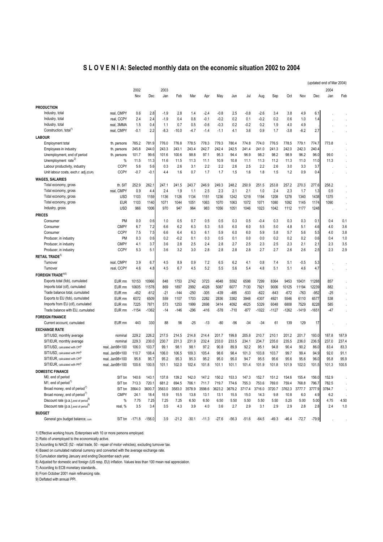#### **S L O V E N I A: Selected monthly data on the economic situation 2002 to 2004**

|                                                                       |                          |               |                  |             |             |             |             |             |             |             |             |             |             |             |             | (updated end of Mar 2004) |         |
|-----------------------------------------------------------------------|--------------------------|---------------|------------------|-------------|-------------|-------------|-------------|-------------|-------------|-------------|-------------|-------------|-------------|-------------|-------------|---------------------------|---------|
|                                                                       |                          | 2002          |                  | 2003        |             |             |             |             |             |             |             |             |             |             |             | 2004                      |         |
|                                                                       |                          | Nov           | Dec              | Jan         | Feb         | Mar         | Apr         | May         | Jun         | Jul         | Aug         | Sep         | Oct         | Nov         | Dec         | Jan                       | Feb     |
| <b>PRODUCTION</b>                                                     |                          |               |                  |             |             |             |             |             |             |             |             |             |             |             |             |                           |         |
| Industry, total                                                       | real, CMPY               | 0.6           |                  | $-1.9$      | 2.8         |             | $-2.4$      | $-0.8$      | 2.5         | $-0.8$      | $-2.6$      |             |             | 4.9         | 6.1         |                           |         |
| Industry, total                                                       |                          | 2.4           | 2.8<br>2.4       | $-1.9$      | 0.4         | 1.4<br>0.8  | $-0.1$      | $-0.2$      | 0.2         | 0.1         | $-0.2$      | 3.4<br>0.2  | 3.8<br>0.6  | 1.0         |             |                           |         |
| Industry, total                                                       | real, CCPY<br>real, 3MMA | 1.5           | 0.4              | 1.1         | 0.7         | 0.5         | -0.6        | $-0.3$      | 0.2         | $-0.2$      | 0.2         | 1.9         | 4.0         | 4.9         | 1.4         |                           |         |
| Construction, total <sup>1)</sup>                                     | real, CMPY               | $-0.1$        | 2.2              | -8.3        | $-10.0$     | $-4.7$      | -1.4        | $-1.1$      | 4.1         | 3.6         | 0.9         | 1.7         | $-3.8$      | $-6.2$      | 2.7         |                           |         |
|                                                                       |                          |               |                  |             |             |             |             |             |             |             |             |             |             |             |             |                           |         |
| <b>LABOUR</b>                                                         |                          |               |                  |             |             |             |             |             |             |             |             |             |             |             |             |                           |         |
| <b>Employment total</b>                                               | th. persons              | 785.2         | 781.9            | 776.0       | 776.8       | 778.5       | 778.3       | 779.3       | 780.4       | 774.8       | 774.0       | 776.5       | 778.5       | 779.1       | 774.7       | 773.8                     |         |
| Employees in industry<br>Unemployment, end of period                  | th. persons              | 245.8         | 244.0            | 243.3       | 243.1       | 243.4       | 242.7       | 242.4       | 242.5       | 241.4       | 241.0       | 241.3       | 242.0       | 242.3       | 240.4       |                           |         |
| Unemployment rate <sup>2)</sup>                                       | th. persons              | 101.7         | 99.6             | 101.6       | 100.6       | 98.8        | 97.1        | 95.3        | 94.4        | 96.9        | 98.2        | 98.2        | 98.9        | 96.2        | 96.0        | 99.0                      |         |
|                                                                       | %<br><b>CCPY</b>         | 11.5          | 11.3             | 11.6<br>0.3 | 11.5<br>2.6 | 11.3<br>3.1 | 11.1<br>2.2 | 10.9<br>2.2 | 10.8<br>2.6 | 11.1<br>2.5 | 11.3<br>2.2 | 11.2<br>2.6 | 11.3<br>3.0 | 11.0<br>3.3 | 11.0<br>3.7 | 11.3                      |         |
| Labour productivity, industry<br>Unit labour costs, exch.r. adj.(EUR) | <b>CCPY</b>              | 5.6<br>$-0.7$ | 5.6<br>$-0.1$    | 4.4         | 1.6         | 0.7         | 1.7         | 1.7         | 1.5         | 1.6         | 1.8         | 1.5         | 1.2         | 0.9         | 0.4         |                           |         |
|                                                                       |                          |               |                  |             |             |             |             |             |             |             |             |             |             |             |             |                           | $\cdot$ |
| <b>WAGES, SALARIES</b>                                                |                          |               |                  |             |             |             |             |             |             |             |             |             |             |             |             |                           |         |
| Total economy, gross                                                  | th. SIT                  | 252.9         | 262.1            | 247.1       | 241.5       | 243.7       | 246.9       | 249.3       | 248.2       | 250.9       | 251.5       | 253.8       | 257.2       | 270.3       | 277.6       | 258.2                     |         |
| Total economy, gross                                                  | real, CMPY               | 0.9           | 4.4              | 2.4         | 1.9         | 1.1         | 2.5         | 2.3         | 2.1         | 2.1         | 1.0         | 2.4         | 2.3         | 1.7         | 1.3         | 0.5                       |         |
| Total economy, gross                                                  | <b>USD</b>               | 1103          | 1159             | 1136        | 1126        | 1134        | 1151        | 1236        | 1242        | 1219        | 1194        | 1208        | 1278        | 1340        | 1438        | 1375                      |         |
| Total economy, gross                                                  | <b>EUR</b>               | 1103          | 1140             | 1071        | 1044        | 1051        | 1063        | 1070        | 1063        | 1072        | 1071        | 1080        | 1092        | 1145        | 1174        | 1090                      |         |
| Industry, gross                                                       | <b>USD</b>               | 966           | 1006             | 970         | 947         | 964         | 983         | 1056        | 1051        | 1046        | 1023        | 1042        | 1112        | 1177        | 1248        |                           |         |
| <b>PRICES</b>                                                         |                          |               |                  |             |             |             |             |             |             |             |             |             |             |             |             |                           |         |
| Consumer                                                              | PM                       | 0.0           | 0.6              | 1.0         | 0.5         | 0.7         | 0.5         | 0.5         | 0.3         | 0.5         | $-0.4$      | 0.3         | 0.3         | 0.3         | 0.1         | 0.4                       | 0.1     |
| Consumer                                                              | <b>CMPY</b>              | 6.7           | 7.2              | 6.6         | 6.2         | 6.3         | 5.3         | 5.5         | 6.0         | 6.0         | 5.5         | 5.0         | 4.8         | 5.1         | 4.6         | 4.0                       | 3.6     |
| Consumer                                                              | <b>CCPY</b>              | 7.5           | 7.5              | 6.6         | 6.4         | 6.3         | 6.1         | 5.9         | 6.0         | 6.0         | 5.9         | 5.8         | 5.7         | 5.6         | 5.5         | 4.0                       | 3.8     |
| Producer, in industry                                                 | <b>PM</b>                | 0.3           | 0.6              | 0.2         | $-0.2$      | 0.1         | 0.3         | 0.5         | 0.1         | 0.0         | 0.0         | 0.2         | 0.2         | 0.2         | 0.6         | 0.4                       | 1.0     |
| Producer, in industry                                                 | <b>CMPY</b>              | 4.1           | 3.7              | 3.6         | 2.8         | 2.5         | 2.4         | 2.8         | 2.7         | 2.5         | 2.3         | 2.5         | 2.3         | 2.1         | 2.1         | 2.3                       | 3.5     |
| Producer, in industry                                                 | <b>CCPY</b>              | 5.3           | 5.1              | 3.6         | 3.2         | 3.0         | 2.8         | 2.8         | 2.8         | 2.8         | 2.7         | 2.7         | 2.6         | 2.6         | 2.5         | 2.3                       | 2.9     |
| RETAIL TRADE3)                                                        |                          |               |                  |             |             |             |             |             |             |             |             |             |             |             |             |                           |         |
| Turnover                                                              | real. CMPY               | 3.9           | 6.7              | 4.5         | 8.9         | 0.9         | 7.2         | 6.5         | 6.2         | 4.1         | 0.8         | 7.4         | 5.1         | $-0.5$      | 5.3         |                           |         |
| Turnover                                                              | real, CCPY               | 4.6           | 4.8              | 4.5         | 6.7         | 4.5         | 5.2         | 5.5         | 5.6         | 5.4         | 4.8         | 5.1         | 5.1         | 4.6         | 4.7         |                           | $\cdot$ |
| FOREIGN TRADE <sup>4)5)</sup>                                         |                          |               |                  |             |             |             |             |             |             |             |             |             |             |             |             |                           |         |
| Exports total (fob), cumulated                                        | EUR mn                   | 10153         | 10966            | 848         | 1753        | 2742        | 3723        | 4648        | 5592        | 6598        | 7299        | 8364        | 9453        | 10431       | 11288       | 857                       |         |
| Imports total (cif), cumulated                                        | EUR mn                   | 10605         | 11578            | 869         | 1897        | 2992        | 4028        | 5087        | 6077        | 7130        | 7921        | 9006        | 10125       | 11194       | 12239       | 882                       |         |
| Trade balance total, cumulated                                        | EUR mn                   | $-452$        | $-612$           | $-21$       | $-144$      | $-250$      | $-305$      | $-439$      | $-485$      | $-533$      | $-622$      | $-643$      | $-672$      | $-763$      | $-952$      | $-25$                     |         |
| Exports to EU (fob), cumulated                                        | EUR mn                   | 6072          | 6509             | 559         | 1107        | 1703        | 2282        | 2836        | 3382        | 3948        | 4307        | 4921        | 5546        | 6110        | 6577        | 538                       |         |
| Imports from EU (cif), cumulated                                      | EUR mn                   | 7225          | 7871             | 573         | 1253        | 1999        | 2698        | 3414        | 4092        | 4825        | 5329        | 6048        | 6808        | 7529        | 8228        | 585                       |         |
| Trade balance with EU, cumulated                                      | EUR mn                   | -1154         | $-1362$          | $-14$       | $-146$      | $-296$      | -416        | $-578$      | $-710$      | $-877$      | $-1022$     | -1127       | -1262       | -1419       | $-1651$     | $-47$                     |         |
| <b>FOREIGN FINANCE</b>                                                |                          |               |                  |             |             |             |             |             |             |             |             |             |             |             |             |                           |         |
| Current account, cumulated                                            | EUR mn                   | 443           | 330              | 88          | 56          | -25         | $-13$       | -80         | $-56$       | $-34$       | $-34$       | 61          | 139         | 129         | 17          |                           |         |
| <b>EXCHANGE RATE</b>                                                  |                          |               |                  |             |             |             |             |             |             |             |             |             |             |             |             |                           |         |
| SIT/USD, monthly average                                              | nominal                  | 229.2         | 226.2            | 217.5       | 214.5       | 214.8       | 214.4       | 201.7       | 199.8       | 205.8       | 210.7       | 210.1       | 201.2       | 201.7       | 193.0       | 187.8                     | 187.9   |
| SIT/EUR, monthly average                                              | nominal                  | 229.3         | 230.0            | 230.7       | 231.3       | 231.9       | 232.4       | 233.0       | 233.5       | 234.1       | 234.7       | 235.0       | 235.5       | 236.0       | 236.5       | 237.0                     | 237.4   |
| SIT/USD, calculated with CPf6)                                        | real, Jan98=100          | 106.0         | 103.7            | 99.1        | 98.1        | 98.1        | 97.2        | 90.8        | 89.9        | 92.2        | 95.1        | 94.8        | 90.4        | 90.2        | 86.0        | 83.4                      | 83.3    |
| SIT/USD, calculated with PPf <sup>6)</sup>                            | real, Jan98=100          | 110.7         | 108.4            | 106.0       | 106.5       | 109.3       | 105.4       | 98.6        | 98.4        | 101.3       | 103.8       | 103.7       | 99.7        | 99.4        | 94.9        | 92.0                      | 91.1    |
| SIT/EUR, calculated with CP(6)                                        | real, Jan98=100          | 95.8          | 95.7             | 95.2        | 95.3        | 95.3        | 95.2        | 95.0        | 95.0        | 94.7        | 95.5        | 95.6        | 95.6        | 95.6        | 96.0        | 95.8                      | 95.9    |
| SIT/EUR, calculated with PPf <sup>6</sup>                             | real. Jan98=100          | 100.6         | 100.5            | 101.1       | 102.0       | 102.4       | 101.8       | 101.1       | 101.1       | 101.4       | 101.9       | 101.8       | 101.9       | 102.0       | 101.5       | 101.3                     | 100.5   |
| <b>DOMESTIC FINANCE</b>                                               |                          |               |                  |             |             |             |             |             |             |             |             |             |             |             |             |                           |         |
| M0, end of period                                                     | SIT bn                   | 140.6         | 143.1            | 137.8       | 139.2       | 142.0       | 147.2       | 150.2       | 153.3       | 147.3       | 152.7       | 151.2       | 154.6       | 155.4       | 156.0       | 152.9                     |         |
| M <sub>1</sub> , end of period <sup>7</sup>                           | SIT bn                   | 713.3         | 720.1            | 681.2       | 694.5       | 706.1       | 711.7       | 719.7       | 774.6       | 755.3       | 753.6       | 769.0       | 759.4       | 768.8       | 796.7       | 782.5                     |         |
| Broad money, end of period"                                           | SIT bn                   | 3564.0        | 3600.7           | 3563.0      | 3583.0      | 3578.9      | 3598.6      | 3623.2      | 3679.2      | 3717.4      | 3716.0      | 3720.7      | 3762.3      | 3777.7      | 3777.9      | 3784.7                    | $\cdot$ |
| Broad money, end of period <sup>7</sup>                               | <b>CMPY</b>              | 24.1          | 18.4             | 15.9        | 15.5        | 13.8        | 13.1        | 13.1        | 15.5        | 15.0        | 14.3        | 9.8         | 10.8        | 6.0         | 4.9         | 6.2                       |         |
| Discount rate (p.a.), end of period <sup>8)</sup>                     | $\%$                     | 7.75          | 7.25             | 7.25        | 7.25        | 6.50        | 6.50        | 6.50        | 5.50        | 5.50        | 5.50        | 5.50        | 5.25        | 5.00        | 5.00        | 4.75                      | 4.50    |
| Discount rate (p.a.), end of period <sup>9)</sup>                     | real, %                  | 3.5           | 3.4              | 3.5         | 4.3         | 3.9         | 4.0         | 3.6         | 2.7         | 2.9         | 3.1         | 2.9         | 2.9         | 2.8         | 2.8         | 2.4                       | 1.0     |
| <b>BUDGET</b>                                                         |                          |               |                  |             |             |             |             |             |             |             |             |             |             |             |             |                           |         |
| General gov.budget balance, cum.                                      | SIT bn                   |               | $-171.8 - 156.0$ | 3.9         | $-21.2$     | $-30.1$     | $-11.3$     | $-27.6$     | $-56.3$     | $-51.6$     | $-64.5$     | $-49.3$     | $-46.4$     | $-72.7$     | $-79.9$     |                           |         |

1) Effective working hours. Enterprises with 10 or more persons employed.

2) Ratio of unemployed to the economically active.

3) According to NACE (52 - retail trade, 50 - repair of motor vehicles), excluding turnover tax.

4) Based on cumulated national currency and converted with the average exchange rate.

5) Cumulation starting January and ending December each year.

6) Adjusted for domestic and foreign (US resp. EU) inflation. Values less than 100 mean real appreciation.

7) According to ECB monetary standards..

8) From October 2001 main refinancing rate.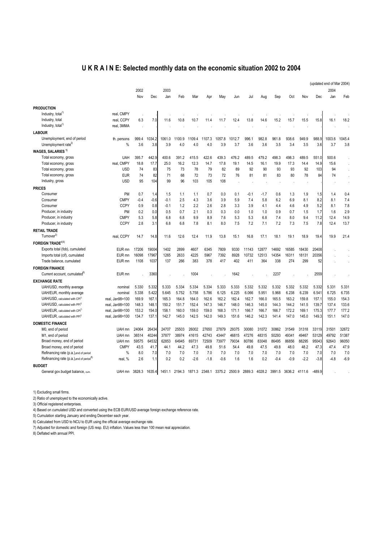## **U K R A I N E: Selected monthly data on the economic situation 2002 to 2004**

|                                                      |                    |        |        |        |                                           |        |        |        |        |               |        |        |        |               |          | (updated end of Mar 2004) |        |
|------------------------------------------------------|--------------------|--------|--------|--------|-------------------------------------------|--------|--------|--------|--------|---------------|--------|--------|--------|---------------|----------|---------------------------|--------|
|                                                      |                    | 2002   |        | 2003   |                                           |        |        |        |        |               |        |        |        |               |          | 2004                      |        |
|                                                      |                    | Nov    | Dec    | Jan    | Feb                                       | Mar    | Apr    | May    | Jun    | Jul           | Aug    | Sep    | Oct    | Nov           | Dec      | Jan                       | Feb    |
| <b>PRODUCTION</b>                                    |                    |        |        |        |                                           |        |        |        |        |               |        |        |        |               |          |                           |        |
| Industry, total <sup>1)</sup>                        | real, CMPY         |        |        |        |                                           |        |        |        |        |               |        |        |        |               |          |                           |        |
| Industry, total                                      | real, CCPY         | 6.3    | 7.0    | 11.6   | 10.8                                      | 10.7   | 11.4   | 11.7   | 12.4   | 13.8          | 14.6   | 15.2   | 15.7   | 15.5          | 15.8     | 16.1                      | 18.2   |
| Industry, total <sup>1)</sup>                        | real, 3MMA         |        |        |        |                                           |        |        |        |        |               |        |        |        |               |          |                           |        |
| <b>LABOUR</b>                                        |                    |        |        |        |                                           |        |        |        |        |               |        |        |        |               |          |                           |        |
| Unemployment, end of period                          | th. persons        | 999.4  | 1034.2 | 1061.0 | 1100.9                                    | 1109.4 | 1107.3 | 1057.8 | 1012.7 | 996.1         | 982.8  | 961.8  | 938.6  | 949.9         | 988.9    | 1003.6                    | 1045.4 |
| Unemployment rate <sup>2)</sup>                      | $\%$               | 3.6    | 3.8    | 3.9    | 4.0                                       | 4.0    | 4.0    | 3.9    | 3.7    | 3.6           | 3.6    | 3.5    | 3.4    | 3.5           | 3.6      | 3.7                       | 3.8    |
| WAGES, SALARIES <sup>1)</sup>                        |                    |        |        |        |                                           |        |        |        |        |               |        |        |        |               |          |                           |        |
| Total economy, gross                                 | UAH                | 395.7  | 442.9  | 400.6  | 391.2                                     | 415.5  | 422.6  | 439.3  | 476.2  | 489.5         | 479.2  | 498.3  | 498.3  | 489.5         | 551.0    | 500.6                     |        |
| Total economy, gross                                 | real. CMPY         | 18.8   | 17.7   | 25.0   | 16.2                                      | 12.3   | 14.7   | 17.8   | 19.1   | 14.5          | 16.1   | 19.9   | 17.3   | 14.4          | 14.9     | 15.6                      |        |
| Total economy, gross                                 | <b>USD</b>         | 74     | 83     | 75     | 73                                        | 78     | 79     | 82     | 89     | 92            | 90     | 93     | 93     | 92            | 103      | 94                        |        |
| Total economy, gross                                 | <b>EUR</b>         | 74     | 82     | 71     | 68                                        | 72     | 73     | 72     | 76     | 81            | 81     | 83     | 80     | 78            | 84       | 74                        |        |
| Industry, gross                                      | <b>USD</b>         | 95     | 104    | 99     | 96                                        | 103    | 105    | 108    |        |               |        |        |        |               |          |                           |        |
| <b>PRICES</b>                                        |                    |        |        |        |                                           |        |        |        |        |               |        |        |        |               |          |                           |        |
| Consumer                                             | PM                 | 0.7    | 1.4    | 1.5    | 1.1                                       | 1.1    | 0.7    | 0.0    | 0.1    | $-0.1$        | $-1.7$ | 0.6    | 1.3    | 1.9           | 1.5      | 1.4                       | 0.4    |
| Consumer                                             | <b>CMPY</b>        | $-0.4$ | $-0.6$ | $-0.1$ | 2.5                                       | 4.3    | 3.6    | 3.9    | 5.9    | 7.4           | 5.8    | 6.2    | 6.9    | 8.1           | 8.2      | 8.1                       | 7.4    |
| Consumer                                             | <b>CCPY</b>        | 0.9    | 0.8    | $-0.1$ | 1.2                                       | 2.2    | 2.6    | 2.8    | 3.3    | 3.9           | 4.1    | 4.4    | 4.6    | 4.9           | 5.2      | 8.1                       | 7.8    |
| Producer, in industry                                | <b>PM</b>          | 0.2    | 0.0    | 0.5    | 0.7                                       | 2.1    | 0.3    | 0.3    | 0.0    | 1.0           | 1.0    | 0.9    | 0.7    | 1.5           | 1.7      | 1.6                       | 2.9    |
| Producer, in industry                                | <b>CMPY</b>        | 5.3    | 5.8    | 6.8    | 6.8                                       | 9.9    | 8.9    | 7.6    | 5.3    | 5.3           | 6.8    | 7.4    | 8.0    | 9.4           | 11.2     | 12.4                      | 14.9   |
| Producer, in industry                                | <b>CCPY</b>        | 2.8    | 3.1    | 6.8    | 6.8                                       | 7.8    | 8.1    | 8.0    | 7.5    | 7.2           | 7.1    | 7.2    | 7.3    | 7.5           | 7.8      | 12.4                      | 13.7   |
| <b>RETAIL TRADE</b>                                  |                    |        |        |        |                                           |        |        |        |        |               |        |        |        |               |          |                           |        |
| Turnover <sup>3)</sup>                               | real, CCPY         | 14.7   | 14.8   | 11.6   | 12.6                                      | 12.4   | 11.9   | 13.8   | 15.1   | 16.8          | 17.1   | 18.1   | 19.1   | 18.9          | 19.4     | 19.9                      | 21.4   |
|                                                      |                    |        |        |        |                                           |        |        |        |        |               |        |        |        |               |          |                           |        |
| <b>FOREIGN TRADE</b> <sup>4)5)</sup>                 |                    |        |        |        |                                           |        |        |        |        |               |        |        |        |               |          |                           |        |
| Exports total (fob), cumulated                       | EUR <sub>mn</sub>  | 17206  | 19004  | 1402   | 2899                                      | 4607   | 6345   | 7809   | 9330   | 11143         | 12877  | 14692  | 16585  | 18430         | 20408    |                           |        |
| Imports total (cif), cumulated                       | EUR mn             | 16098  | 17967  | 1265   | 2633                                      | 4225   | 5967   | 7392   | 8928   | 10732<br>411  | 12513  | 14354  | 16311  | 18131<br>299  | 20356    |                           |        |
| Trade balance, cumulated                             | EUR mn             | 1108   | 1037   | 137    | 266                                       | 383    | 378    | 417    | 402    |               | 364    | 338    | 274    |               | 52       |                           |        |
| <b>FOREIGN FINANCE</b>                               |                    |        |        |        |                                           |        |        |        |        |               |        |        |        |               |          |                           |        |
| Current account, cumulated <sup>o)</sup>             | EUR mn             |        | 3360   |        |                                           | 1004   |        |        | 1642   |               |        | 2237   |        |               | 2559     |                           |        |
| <b>EXCHANGE RATE</b>                                 |                    |        |        |        |                                           |        |        |        |        |               |        |        |        |               |          |                           |        |
| UAH/USD, monthly average                             | nominal            | 5.330  | 5.332  | 5.333  | 5.334                                     | 5.334  | 5.334  | 5.333  | 5.333  | 5.332         | 5.332  | 5.332  | 5.332  | 5.332         | 5.332    | 5.331                     | 5.331  |
| UAH/EUR, monthly average                             | nominal            | 5.338  | 5.422  | 5.645  | 5.752                                     | 5.758  | 5.786  | 6.125  | 6.225  | 6.066         | 5.951  | 5.968  | 6.238  | 6.239         | 6.541    | 6.725                     | 6.735  |
| UAH/USD, calculated with CPI <sup>7)</sup>           | real. Jan98=100    | 169.9  | 167.7  | 165.3  | 164.8                                     | 164.0  | 162.6  | 162.2  | 162.4  | 162.7         | 166.0  | 165.5  | 163.2  | 159.8         | 157.1    | 155.0                     | 154.3  |
| UAH/USD, calculated with PPI <sup>7]</sup>           | real, Jan98=100    | 148.3  | 148.   | 150.2  | 151.7                                     | 152.4  | 147.3  | 146.7  | 148.0  | 146.3         | 145.0  | 144.3  | 144.2  | 141.5         | 139.7    | 137.4                     | 133.6  |
| UAH/EUR, calculated with CPI7                        | Jan98=100<br>real. | 153.2  | 154.0  | 158.1  | 160.0                                     | 159.0  | 159.0  | 168.3  | 171.1  | 166.7         | 166.7  | 166.7  | 172.2  | 169.1         | 175.3    | 177.7                     | 177.2  |
| UAH/EUR, calculated with PPI <sup>7]</sup>           | real, Jan98=100    | 134.7  | 137.   | 142.7  | 145.0                                     | 142.5  | 142.0  | 149.3  | 151.6  | 146.2         | 142.3  | 141.4  | 147.0  | 145.0         | 149.3    | 151.1                     | 147.0  |
| <b>DOMESTIC FINANCE</b>                              |                    |        |        |        |                                           |        |        |        |        |               |        |        |        |               |          |                           |        |
| M0, end of period                                    | UAH mn             | 24064  | 26434  | 24707  | 25503                                     | 26002  | 27650  | 27879  | 29375  | 30080         | 31072  | 30862  | 31549  | 31318         | 33119    | 31501                     | 32672  |
| M1, end of period                                    | UAH mn             | 36514  | 40244  | 37877  | 38974                                     | 41615  | 42743  | 43447  | 46815  | 47276         | 48315  | 50293  | 49341  | 49467         | 53129    | 49792                     | 51387  |
| Broad money, end of period                           | UAH mn             | 59575  | 64532  | 62853  | 64945                                     | 69731  | 72509  | 73977  | 79034  | 80786         | 83048  | 86495  | 86856  | 88295         | 95043    | 92643                     | 96050  |
| Broad money, end of period                           | <b>CMPY</b>        | 43.5   | 41.7   | 44.1   | 44.2                                      | 47.3   | 49.8   | 51.6   | 54.4   | 49.8          | 47.5   | 49.8   | 48.0   | 48.2          | 47.3     | 47.4                      | 47.9   |
| Refinancing rate (p.a.), end of period               | %                  | 8.0    | 7.0    | 7.0    | 7.0                                       | 7.0    | 7.0    | 7.0    | 7.0    | 7.0           | 7.0    | 7.0    | 7.0    | 7.0           | 7.0      | 7.0                       | 7.0    |
| Refinancing rate (p.a.), end of period <sup>8)</sup> | real, %            | 2.6    | 1.1    | 0.2    | 0.2                                       | $-2.6$ | $-1.8$ | $-0.6$ | 1.6    | 1.6           | 0.2    | $-0.4$ | $-0.9$ | $-2.2$        | $-3.8$   | $-4.8$                    | $-6.9$ |
| <b>BUDGET</b>                                        |                    |        |        |        |                                           |        |        |        |        |               |        |        |        |               |          |                           |        |
| General gov.budget balance, cum.                     | UAH mn             | 3828.3 | 1635.4 |        | 1451.1 2194.3 1871.3 2348.1 3375.2 2500.9 |        |        |        |        | 2889.3 4028.2 |        | 3991.5 |        | 3636.2 4111.6 | $-489.9$ |                           |        |
|                                                      |                    |        |        |        |                                           |        |        |        |        |               |        |        |        |               |          |                           |        |

1) Excluding small firms.

2) Ratio of unemployed to the economically active.

3) Official registered enterprises.

4) Based on cumulated USD and converted using the ECB EUR/USD average foreign exchange reference rate.

5) Cumulation starting January and ending December each year.

6) Calculated from USD to NCU to EUR using the official average exchange rate.

7) Adjusted for domestic and foreign (US resp. EU) inflation. Values less than 100 mean real appreciation.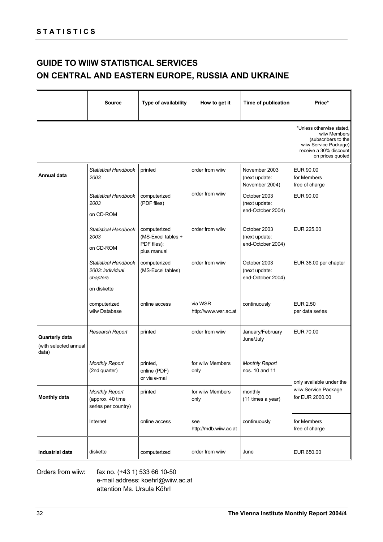## **GUIDE TO WIIW STATISTICAL SERVICES ON CENTRAL AND EASTERN EUROPE, RUSSIA AND UKRAINE**

|                                                         | <b>Source</b>                                                              | Type of availability                                             | How to get it                   | Time of publication                                | Price*                                                                                                                                  |
|---------------------------------------------------------|----------------------------------------------------------------------------|------------------------------------------------------------------|---------------------------------|----------------------------------------------------|-----------------------------------------------------------------------------------------------------------------------------------------|
|                                                         |                                                                            |                                                                  |                                 |                                                    | *Unless otherwise stated,<br>wiiw Members<br>(subscribers to the<br>wiiw Service Package)<br>receive a 30% discount<br>on prices quoted |
| Annual data                                             | Statistical Handbook<br>2003                                               | printed                                                          | order from wiiw                 | November 2003<br>(next update:<br>November 2004)   | EUR 90.00<br>for Members<br>free of charge                                                                                              |
|                                                         | <b>Statistical Handbook</b><br>2003<br>on CD-ROM                           | computerized<br>(PDF files)                                      | order from wiiw                 | October 2003<br>(next update:<br>end-October 2004) | EUR 90.00                                                                                                                               |
|                                                         | Statistical Handbook<br>2003<br>on CD-ROM                                  | computerized<br>(MS-Excel tables +<br>PDF files);<br>plus manual | order from wiiw                 | October 2003<br>(next update:<br>end-October 2004) | EUR 225.00                                                                                                                              |
|                                                         | <b>Statistical Handbook</b><br>2003: individual<br>chapters<br>on diskette | computerized<br>(MS-Excel tables)                                | order from wiiw                 | October 2003<br>(next update:<br>end-October 2004) | EUR 36.00 per chapter                                                                                                                   |
|                                                         | computerized<br>wiiw Database                                              | online access                                                    | via WSR<br>http://www.wsr.ac.at | continuously                                       | <b>EUR 2.50</b><br>per data series                                                                                                      |
| <b>Quarterly data</b><br>(with selected annual<br>data) | <b>Research Report</b>                                                     | printed                                                          | order from wiiw                 | January/February<br>June/July                      | <b>EUR 70.00</b>                                                                                                                        |
|                                                         | <b>Monthly Report</b><br>(2nd quarter)                                     | printed,<br>online (PDF)<br>or via e-mail                        | for wiiw Members<br>only        | <b>Monthly Report</b><br>nos. 10 and 11            | only available under the                                                                                                                |
| <b>Monthly data</b>                                     | <b>Monthly Report</b><br>(approx. 40 time<br>series per country)           | printed                                                          | for wiiw Members<br>only        | monthly<br>(11 times a year)                       | wiiw Service Package<br>for EUR 2000.00                                                                                                 |
|                                                         | Internet                                                                   | online access                                                    | see<br>http://mdb.wiiw.ac.at    | continuously                                       | for Members<br>free of charge                                                                                                           |
| Industrial data                                         | diskette                                                                   | computerized                                                     | order from wiiw                 | June                                               | EUR 650.00                                                                                                                              |

Orders from wiiw: fax no. (+43 1) 533 66 10-50 e-mail address: koehrl@wiiw.ac.at attention Ms. Ursula Köhrl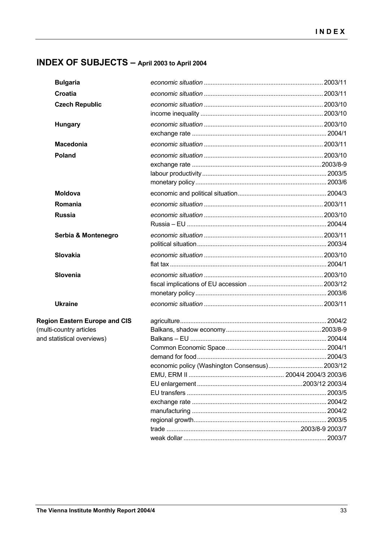## INDEX OF SUBJECTS - April 2003 to April 2004

| <b>Bulgaria</b>                      |                                                |  |
|--------------------------------------|------------------------------------------------|--|
| Croatia                              |                                                |  |
| <b>Czech Republic</b>                |                                                |  |
|                                      |                                                |  |
| <b>Hungary</b>                       |                                                |  |
|                                      |                                                |  |
| <b>Macedonia</b>                     |                                                |  |
| Poland                               |                                                |  |
|                                      |                                                |  |
|                                      |                                                |  |
|                                      |                                                |  |
| <b>Moldova</b>                       |                                                |  |
| Romania                              |                                                |  |
| <b>Russia</b>                        |                                                |  |
|                                      |                                                |  |
| Serbia & Montenegro                  |                                                |  |
|                                      |                                                |  |
| <b>Slovakia</b>                      |                                                |  |
|                                      |                                                |  |
| Slovenia                             |                                                |  |
|                                      |                                                |  |
|                                      |                                                |  |
| <b>Ukraine</b>                       |                                                |  |
| <b>Region Eastern Europe and CIS</b> |                                                |  |
| (multi-country articles              |                                                |  |
| and statistical overviews)           |                                                |  |
|                                      |                                                |  |
|                                      |                                                |  |
|                                      | economic policy (Washington Consensus) 2003/12 |  |
|                                      |                                                |  |
|                                      |                                                |  |
|                                      |                                                |  |
|                                      |                                                |  |
|                                      |                                                |  |
|                                      |                                                |  |
|                                      |                                                |  |
|                                      |                                                |  |